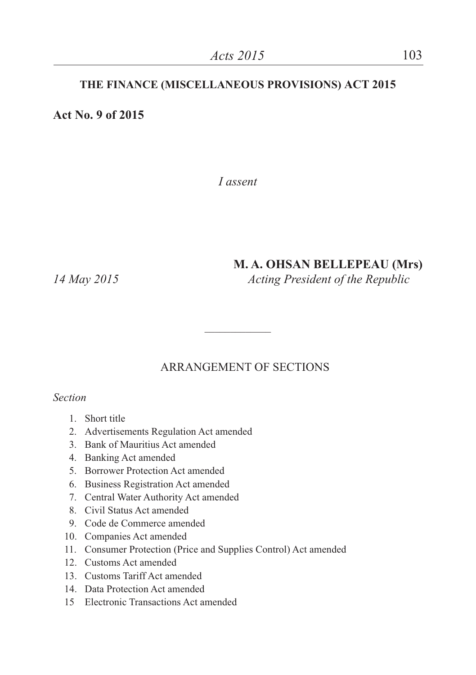#### **THE FINANCE (MISCELLANEOUS PROVISIONS) ACT 2015**

**Act No. 9 of 2015**

*I assent*

## **M. A. OHSAN BELLEPEAU (Mrs)**

*14 May 2015 Acting President of the Republic*

## ARRANGEMENT OF SECTIONS

 $\overline{\phantom{a}}$ 

*Section*

- 1. Short title
- 2. Advertisements Regulation Act amended
- 3. Bank of Mauritius Act amended
- 4. Banking Act amended
- 5. Borrower Protection Act amended
- 6. Business Registration Act amended
- 7. Central Water Authority Act amended
- 8. Civil Status Act amended
- 9. Code de Commerce amended
- 10. Companies Act amended
- 11. Consumer Protection (Price and Supplies Control) Act amended
- 12. Customs Act amended
- 13. Customs Tariff Act amended
- 14. Data Protection Act amended
- 15 Electronic Transactions Act amended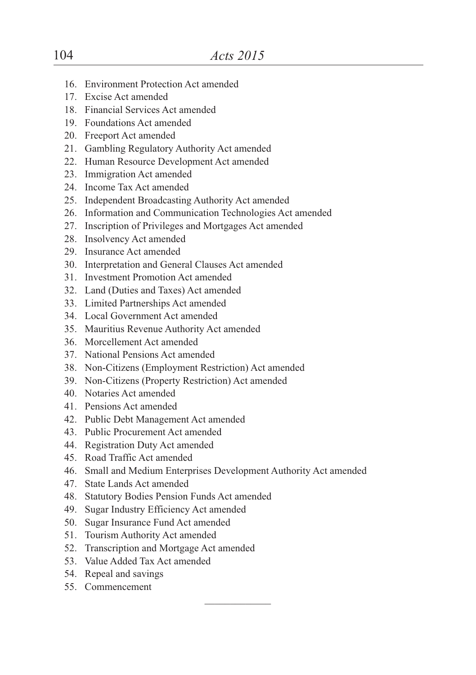- 16. Environment Protection Act amended
- 17. Excise Act amended
- 18. Financial Services Act amended
- 19. Foundations Act amended
- 20. Freeport Act amended
- 21. Gambling Regulatory Authority Act amended
- 22. Human Resource Development Act amended
- 23. Immigration Act amended
- 24. Income Tax Act amended
- 25. Independent Broadcasting Authority Act amended
- 26. Information and Communication Technologies Act amended
- 27. Inscription of Privileges and Mortgages Act amended
- 28. Insolvency Act amended
- 29. Insurance Act amended
- 30. Interpretation and General Clauses Act amended
- 31. Investment Promotion Act amended
- 32. Land (Duties and Taxes) Act amended
- 33. Limited Partnerships Act amended
- 34. Local Government Act amended
- 35. Mauritius Revenue Authority Act amended
- 36. Morcellement Act amended
- 37. National Pensions Act amended
- 38. Non-Citizens (Employment Restriction) Act amended
- 39. Non-Citizens (Property Restriction) Act amended
- 40. Notaries Act amended
- 41. Pensions Act amended
- 42. Public Debt Management Act amended
- 43. Public Procurement Act amended
- 44. Registration Duty Act amended
- 45. Road Traffic Act amended
- 46. Small and Medium Enterprises Development Authority Act amended
- 47. State Lands Act amended
- 48. Statutory Bodies Pension Funds Act amended
- 49. Sugar Industry Efficiency Act amended
- 50. Sugar Insurance Fund Act amended
- 51. Tourism Authority Act amended
- 52. Transcription and Mortgage Act amended
- 53. Value Added Tax Act amended
- 54. Repeal and savings
- 55. Commencement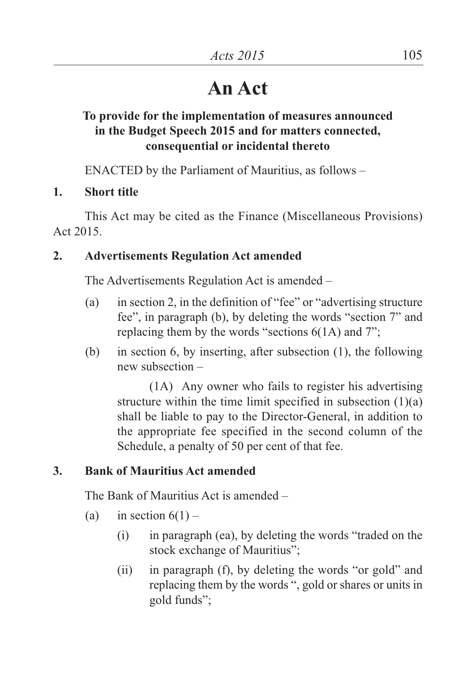# **An Act**

# **To provide for the implementation of measures announced in the Budget Speech 2015 and for matters connected, consequential or incidental thereto**

ENACTED by the Parliament of Mauritius, as follows –

**1. Short title**

This Act may be cited as the Finance (Miscellaneous Provisions) Act 2015.

# **2. Advertisements Regulation Act amended**

The Advertisements Regulation Act is amended –

- (a) in section 2, in the definition of "fee" or "advertising structure fee", in paragraph (b), by deleting the words "section 7" and replacing them by the words "sections 6(1A) and 7";
- (b) in section 6, by inserting, after subsection (1), the following new subsection –

(1A) Any owner who fails to register his advertising structure within the time limit specified in subsection  $(1)(a)$ shall be liable to pay to the Director-General, in addition to the appropriate fee specified in the second column of the Schedule, a penalty of 50 per cent of that fee.

# **3. Bank of Mauritius Act amended**

The Bank of Mauritius Act is amended –

- (a) in section  $6(1)$ 
	- (i) in paragraph (ea), by deleting the words "traded on the stock exchange of Mauritius";
	- (ii) in paragraph (f), by deleting the words "or gold" and replacing them by the words ", gold or shares or units in gold funds";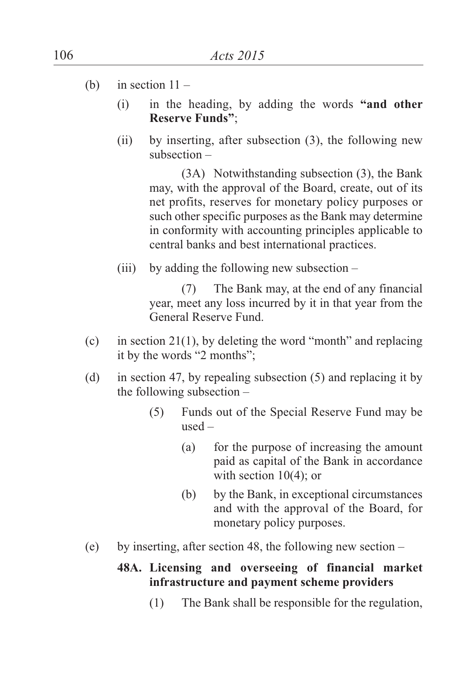- (b) in section  $11 -$ 
	- (i) in the heading, by adding the words **"and other Reserve Funds"**;
	- (ii) by inserting, after subsection (3), the following new subsection –

(3A) Notwithstanding subsection (3), the Bank may, with the approval of the Board, create, out of its net profits, reserves for monetary policy purposes or such other specific purposes as the Bank may determine in conformity with accounting principles applicable to central banks and best international practices.

(iii) by adding the following new subsection  $-$ 

(7) The Bank may, at the end of any financial year, meet any loss incurred by it in that year from the General Reserve Fund.

- (c) in section 21(1), by deleting the word "month" and replacing it by the words "2 months";
- (d) in section 47, by repealing subsection (5) and replacing it by the following subsection –
	- (5) Funds out of the Special Reserve Fund may be used –
		- (a) for the purpose of increasing the amount paid as capital of the Bank in accordance with section 10(4); or
		- (b) by the Bank, in exceptional circumstances and with the approval of the Board, for monetary policy purposes.
- (e) by inserting, after section 48, the following new section –

## **48A. Licensing and overseeing of financial market infrastructure and payment scheme providers**

(1) The Bank shall be responsible for the regulation,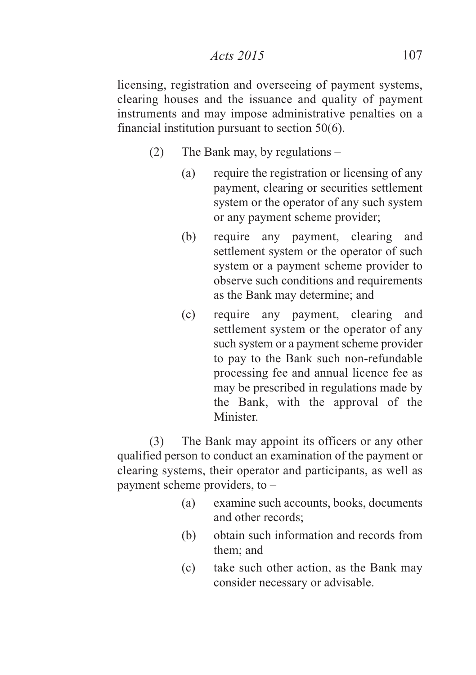licensing, registration and overseeing of payment systems, clearing houses and the issuance and quality of payment instruments and may impose administrative penalties on a financial institution pursuant to section 50(6).

- (2) The Bank may, by regulations
	- (a) require the registration or licensing of any payment, clearing or securities settlement system or the operator of any such system or any payment scheme provider;
	- (b) require any payment, clearing and settlement system or the operator of such system or a payment scheme provider to observe such conditions and requirements as the Bank may determine; and
	- (c) require any payment, clearing and settlement system or the operator of any such system or a payment scheme provider to pay to the Bank such non-refundable processing fee and annual licence fee as may be prescribed in regulations made by the Bank, with the approval of the **Minister**

(3) The Bank may appoint its officers or any other qualified person to conduct an examination of the payment or clearing systems, their operator and participants, as well as payment scheme providers, to –

- (a) examine such accounts, books, documents and other records;
- (b) obtain such information and records from them; and
- (c) take such other action, as the Bank may consider necessary or advisable.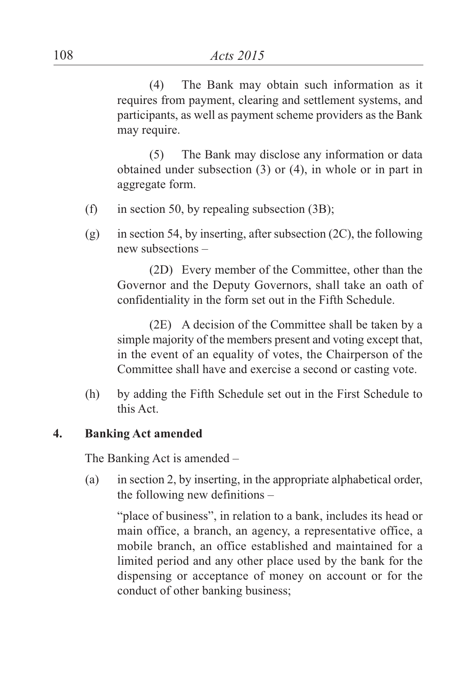(4) The Bank may obtain such information as it requires from payment, clearing and settlement systems, and participants, as well as payment scheme providers as the Bank may require.

(5) The Bank may disclose any information or data obtained under subsection (3) or (4), in whole or in part in aggregate form.

- (f) in section 50, by repealing subsection  $(3B)$ ;
- (g) in section 54, by inserting, after subsection  $(2C)$ , the following new subsections –

(2D) Every member of the Committee, other than the Governor and the Deputy Governors, shall take an oath of confidentiality in the form set out in the Fifth Schedule.

(2E) A decision of the Committee shall be taken by a simple majority of the members present and voting except that, in the event of an equality of votes, the Chairperson of the Committee shall have and exercise a second or casting vote.

(h) by adding the Fifth Schedule set out in the First Schedule to this Act.

#### **4. Banking Act amended**

The Banking Act is amended –

(a) in section 2, by inserting, in the appropriate alphabetical order, the following new definitions –

"place of business", in relation to a bank, includes its head or main office, a branch, an agency, a representative office, a mobile branch, an office established and maintained for a limited period and any other place used by the bank for the dispensing or acceptance of money on account or for the conduct of other banking business;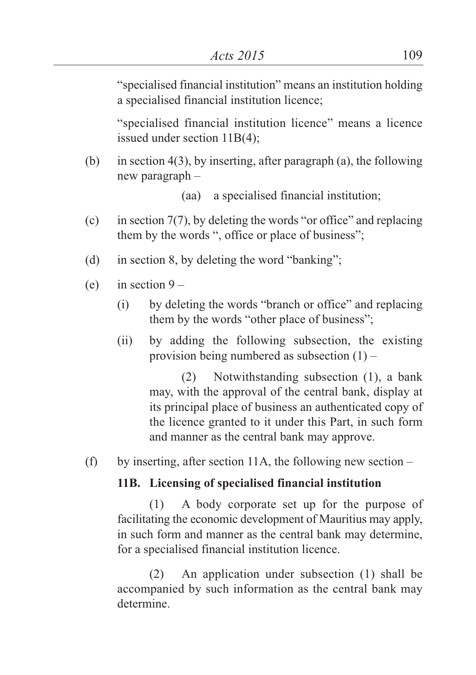"specialised financial institution" means an institution holding a specialised financial institution licence;

"specialised financial institution licence" means a licence issued under section 11B(4);

(b) in section 4(3), by inserting, after paragraph (a), the following new paragraph –

(aa) a specialised financial institution;

- (c) in section  $7(7)$ , by deleting the words "or office" and replacing them by the words ", office or place of business";
- (d) in section 8, by deleting the word "banking";
- (e) in section  $9 -$ 
	- (i) by deleting the words "branch or office" and replacing them by the words "other place of business";
	- (ii) by adding the following subsection, the existing provision being numbered as subsection  $(1)$  –

(2) Notwithstanding subsection (1), a bank may, with the approval of the central bank, display at its principal place of business an authenticated copy of the licence granted to it under this Part, in such form and manner as the central bank may approve.

(f) by inserting, after section 11A, the following new section –

## **11B. Licensing of specialised financial institution**

(1) A body corporate set up for the purpose of facilitating the economic development of Mauritius may apply, in such form and manner as the central bank may determine, for a specialised financial institution licence.

(2) An application under subsection (1) shall be accompanied by such information as the central bank may determine.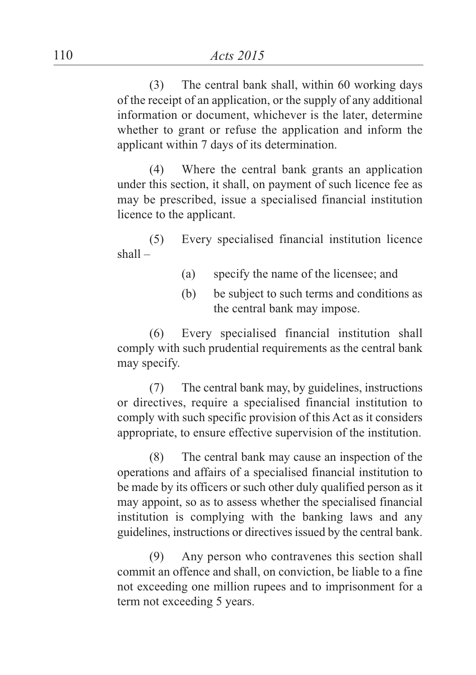(3) The central bank shall, within 60 working days of the receipt of an application, or the supply of any additional information or document, whichever is the later, determine whether to grant or refuse the application and inform the applicant within 7 days of its determination.

(4) Where the central bank grants an application under this section, it shall, on payment of such licence fee as may be prescribed, issue a specialised financial institution licence to the applicant.

(5) Every specialised financial institution licence shall –

- (a) specify the name of the licensee; and
- (b) be subject to such terms and conditions as the central bank may impose.

(6) Every specialised financial institution shall comply with such prudential requirements as the central bank may specify.

(7) The central bank may, by guidelines, instructions or directives, require a specialised financial institution to comply with such specific provision of this Act as it considers appropriate, to ensure effective supervision of the institution.

(8) The central bank may cause an inspection of the operations and affairs of a specialised financial institution to be made by its officers or such other duly qualified person as it may appoint, so as to assess whether the specialised financial institution is complying with the banking laws and any guidelines, instructions or directives issued by the central bank.

(9) Any person who contravenes this section shall commit an offence and shall, on conviction, be liable to a fine not exceeding one million rupees and to imprisonment for a term not exceeding 5 years.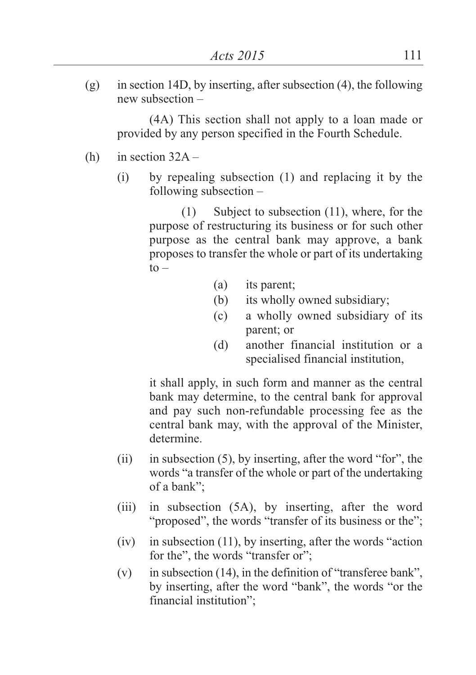$(g)$  in section 14D, by inserting, after subsection (4), the following new subsection –

(4A) This section shall not apply to a loan made or provided by any person specified in the Fourth Schedule.

- (h) in section  $32A -$ 
	- (i) by repealing subsection (1) and replacing it by the following subsection –

(1) Subject to subsection (11), where, for the purpose of restructuring its business or for such other purpose as the central bank may approve, a bank proposes to transfer the whole or part of its undertaking  $to -$ 

- (a) its parent;
- (b) its wholly owned subsidiary;
- (c) a wholly owned subsidiary of its parent; or
- (d) another financial institution or a specialised financial institution,

it shall apply, in such form and manner as the central bank may determine, to the central bank for approval and pay such non-refundable processing fee as the central bank may, with the approval of the Minister, determine.

- (ii) in subsection (5), by inserting, after the word "for", the words "a transfer of the whole or part of the undertaking of a bank";
- (iii) in subsection (5A), by inserting, after the word "proposed", the words "transfer of its business or the";
- (iv) in subsection (11), by inserting, after the words "action for the", the words "transfer or";
- (v) in subsection (14), in the definition of "transferee bank", by inserting, after the word "bank", the words "or the financial institution";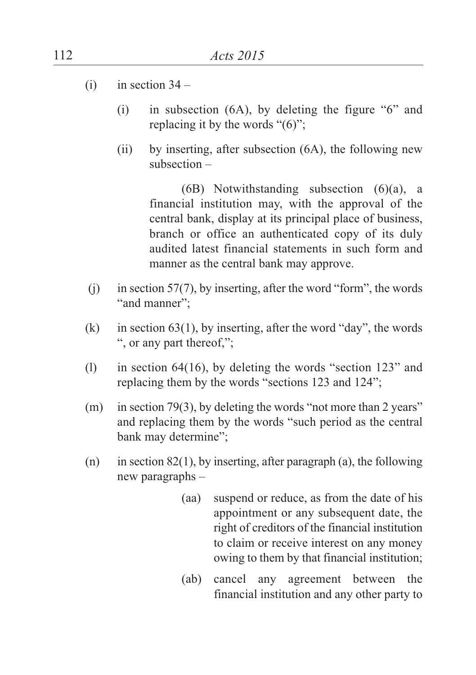- $(i)$  in section  $34 -$ 
	- (i) in subsection (6A), by deleting the figure "6" and replacing it by the words "(6)";
	- (ii) by inserting, after subsection (6A), the following new subsection –

(6B) Notwithstanding subsection (6)(a), a financial institution may, with the approval of the central bank, display at its principal place of business, branch or office an authenticated copy of its duly audited latest financial statements in such form and manner as the central bank may approve.

- (i) in section 57(7), by inserting, after the word "form", the words "and manner":
- (k) in section  $63(1)$ , by inserting, after the word "day", the words ", or any part thereof,";
- (l) in section 64(16), by deleting the words "section 123" and replacing them by the words "sections 123 and 124";
- (m) in section 79(3), by deleting the words "not more than 2 years" and replacing them by the words "such period as the central bank may determine";
- (n) in section 82(1), by inserting, after paragraph (a), the following new paragraphs –
	- (aa) suspend or reduce, as from the date of his appointment or any subsequent date, the right of creditors of the financial institution to claim or receive interest on any money owing to them by that financial institution;
	- (ab) cancel any agreement between the financial institution and any other party to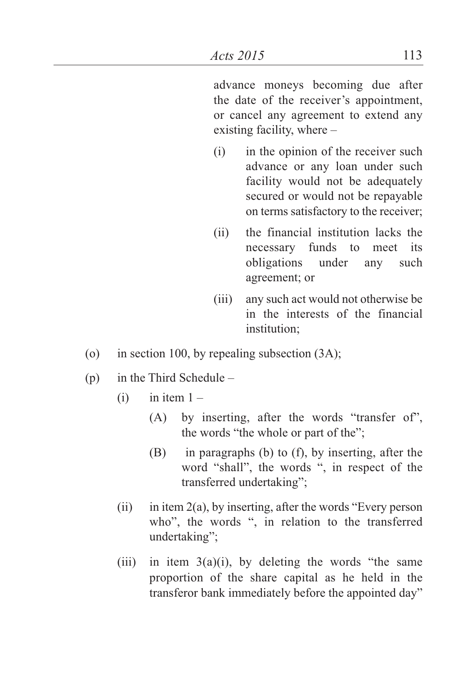advance moneys becoming due after the date of the receiver's appointment, or cancel any agreement to extend any existing facility, where –

- (i) in the opinion of the receiver such advance or any loan under such facility would not be adequately secured or would not be repayable on terms satisfactory to the receiver;
- (ii) the financial institution lacks the necessary funds to meet its obligations under any such agreement; or
- (iii) any such act would not otherwise be in the interests of the financial institution;
- (o) in section 100, by repealing subsection (3A);
- (p) in the Third Schedule
	- $(i)$  in item  $1 -$ 
		- (A) by inserting, after the words "transfer of", the words "the whole or part of the";
		- (B) in paragraphs (b) to (f), by inserting, after the word "shall", the words ", in respect of the transferred undertaking";
	- (ii) in item  $2(a)$ , by inserting, after the words "Every person" who", the words ", in relation to the transferred undertaking";
	- (iii) in item  $3(a)(i)$ , by deleting the words "the same proportion of the share capital as he held in the transferor bank immediately before the appointed day"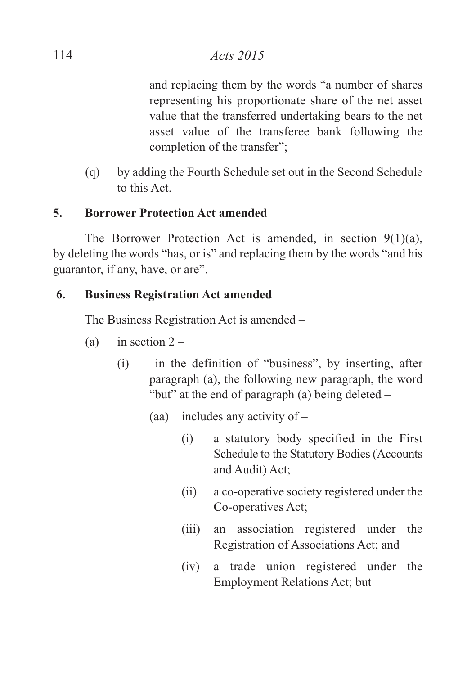and replacing them by the words "a number of shares representing his proportionate share of the net asset value that the transferred undertaking bears to the net asset value of the transferee bank following the completion of the transfer";

(q) by adding the Fourth Schedule set out in the Second Schedule to this Act.

## **5. Borrower Protection Act amended**

The Borrower Protection Act is amended, in section 9(1)(a), by deleting the words "has, or is" and replacing them by the words "and his guarantor, if any, have, or are".

## **6. Business Registration Act amended**

The Business Registration Act is amended –

- (a) in section  $2 -$ 
	- (i) in the definition of "business", by inserting, after paragraph (a), the following new paragraph, the word "but" at the end of paragraph (a) being deleted –
		- (aa) includes any activity of
			- (i) a statutory body specified in the First Schedule to the Statutory Bodies(Accounts and Audit) Act;
			- (ii) a co-operative society registered under the Co-operatives Act;
			- (iii) an association registered under the Registration of Associations Act; and
			- (iv) a trade union registered under the Employment Relations Act; but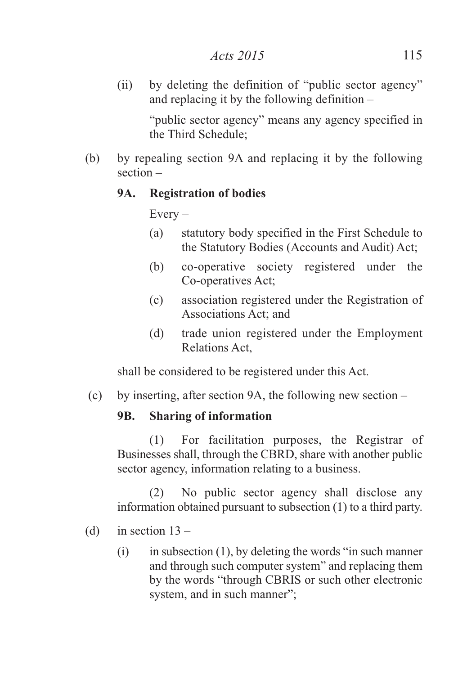(ii) by deleting the definition of "public sector agency" and replacing it by the following definition –

"public sector agency" means any agency specified in the Third Schedule;

(b) by repealing section 9A and replacing it by the following section –

## **9A. Registration of bodies**

 $Every -$ 

- (a) statutory body specified in the First Schedule to the Statutory Bodies (Accounts and Audit) Act;
- (b) co-operative society registered under the Co-operatives Act;
- (c) association registered under the Registration of Associations Act; and
- (d) trade union registered under the Employment Relations Act,

shall be considered to be registered under this Act.

(c) by inserting, after section 9A, the following new section –

# **9B. Sharing of information**

(1) For facilitation purposes, the Registrar of Businesses shall, through the CBRD, share with another public sector agency, information relating to a business.

(2) No public sector agency shall disclose any information obtained pursuant to subsection (1) to a third party.

- (d) in section  $13 -$ 
	- $(i)$  in subsection (1), by deleting the words "in such manner" and through such computer system" and replacing them by the words "through CBRIS or such other electronic system, and in such manner";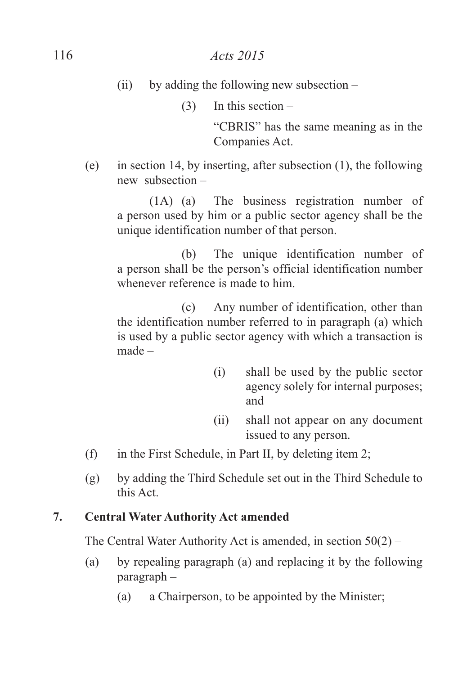(ii) by adding the following new subsection  $-$ 

 $(3)$  In this section –

"CBRIS" has the same meaning as in the Companies Act.

(e) in section 14, by inserting, after subsection (1), the following new subsection –

(1A) (a) The business registration number of a person used by him or a public sector agency shall be the unique identification number of that person.

(b) The unique identification number of a person shall be the person's official identification number whenever reference is made to him.

(c) Any number of identification, other than the identification number referred to in paragraph (a) which is used by a public sector agency with which a transaction is made –

- (i) shall be used by the public sector agency solely for internal purposes; and
- (ii) shall not appear on any document issued to any person.
- (f) in the First Schedule, in Part II, by deleting item 2;
- (g) by adding the Third Schedule set out in the Third Schedule to this Act.

## **7. Central Water Authority Act amended**

The Central Water Authority Act is amended, in section 50(2) –

- (a) by repealing paragraph (a) and replacing it by the following paragraph –
	- (a) a Chairperson, to be appointed by the Minister;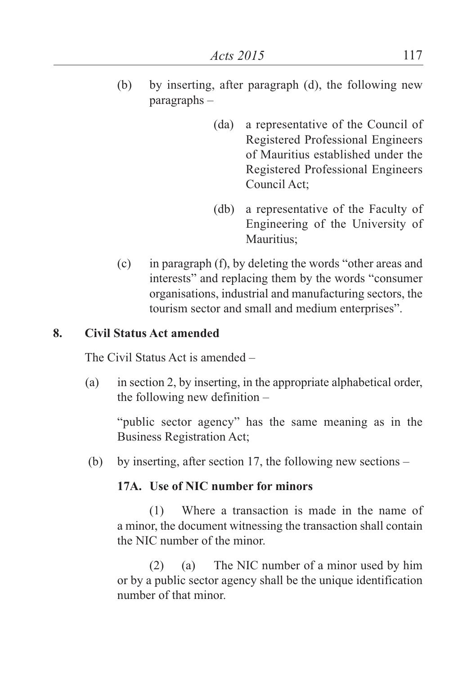- (b) by inserting, after paragraph (d), the following new paragraphs –
	- (da) a representative of the Council of Registered Professional Engineers of Mauritius established under the Registered Professional Engineers Council Act;
	- (db) a representative of the Faculty of Engineering of the University of Mauritius;
- (c) in paragraph (f), by deleting the words "other areas and interests" and replacing them by the words "consumer organisations, industrial and manufacturing sectors, the tourism sector and small and medium enterprises".

## **8. Civil Status Act amended**

The Civil Status Act is amended –

(a) in section 2, by inserting, in the appropriate alphabetical order, the following new definition –

"public sector agency" has the same meaning as in the Business Registration Act;

(b) by inserting, after section 17, the following new sections –

## **17A. Use of NIC number for minors**

(1) Where a transaction is made in the name of a minor, the document witnessing the transaction shall contain the NIC number of the minor.

(2) (a) The NIC number of a minor used by him or by a public sector agency shall be the unique identification number of that minor.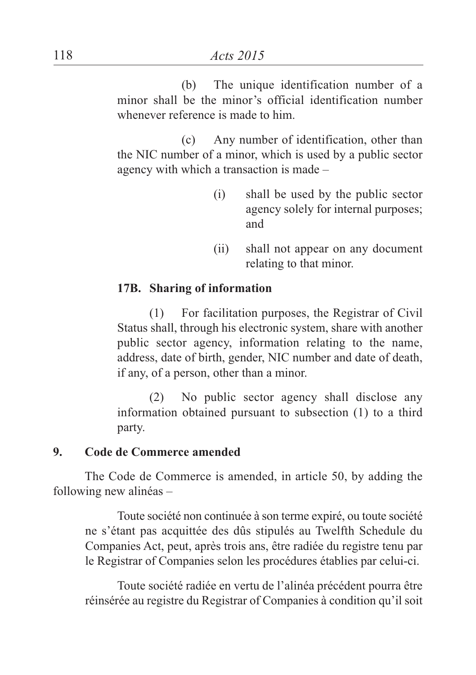(b) The unique identification number of a minor shall be the minor's official identification number whenever reference is made to him.

(c) Any number of identification, other than the NIC number of a minor, which is used by a public sector agency with which a transaction is made –

- (i) shall be used by the public sector agency solely for internal purposes; and
- (ii) shall not appear on any document relating to that minor.

## **17B. Sharing of information**

(1) For facilitation purposes, the Registrar of Civil Status shall, through his electronic system, share with another public sector agency, information relating to the name, address, date of birth, gender, NIC number and date of death, if any, of a person, other than a minor.

(2) No public sector agency shall disclose any information obtained pursuant to subsection (1) to a third party.

## **9. Code de Commerce amended**

The Code de Commerce is amended, in article 50, by adding the following new alinéas –

Toute société non continuée à son terme expiré, ou toute société ne s'étant pas acquittée des dûs stipulés au Twelfth Schedule du Companies Act, peut, après trois ans, être radiée du registre tenu par le Registrar of Companies selon les procédures établies par celui-ci.

Toute société radiée en vertu de l'alinéa précédent pourra être réinsérée au registre du Registrar of Companies à condition qu'il soit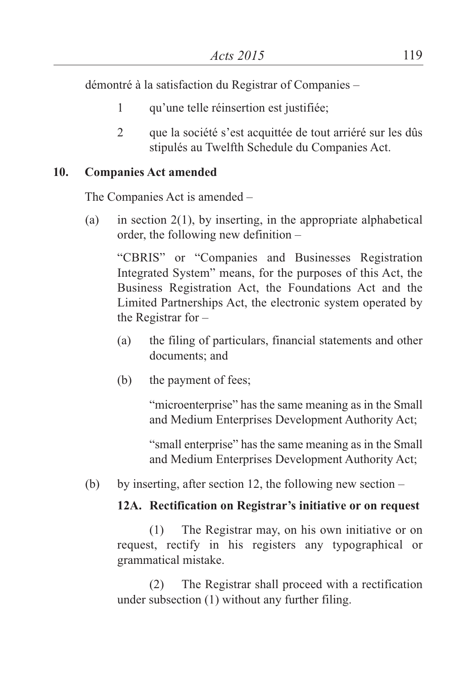démontré à la satisfaction du Registrar of Companies –

- 1 qu'une telle réinsertion est justifiée;
- 2 que la société s'est acquittée de tout arriéré sur les dûs stipulés au Twelfth Schedule du Companies Act.

## **10. Companies Act amended**

The Companies Act is amended –

(a) in section  $2(1)$ , by inserting, in the appropriate alphabetical order, the following new definition –

"CBRIS" or "Companies and Businesses Registration Integrated System" means, for the purposes of this Act, the Business Registration Act, the Foundations Act and the Limited Partnerships Act, the electronic system operated by the Registrar for –

- (a) the filing of particulars, financial statements and other documents; and
- (b) the payment of fees;

"microenterprise" has the same meaning as in the Small and Medium Enterprises Development Authority Act;

"small enterprise" has the same meaning as in the Small and Medium Enterprises Development Authority Act;

(b) by inserting, after section 12, the following new section  $-$ 

## **12A. Rectification on Registrar's initiative or on request**

(1) The Registrar may, on his own initiative or on request, rectify in his registers any typographical or grammatical mistake.

(2) The Registrar shall proceed with a rectification under subsection (1) without any further filing.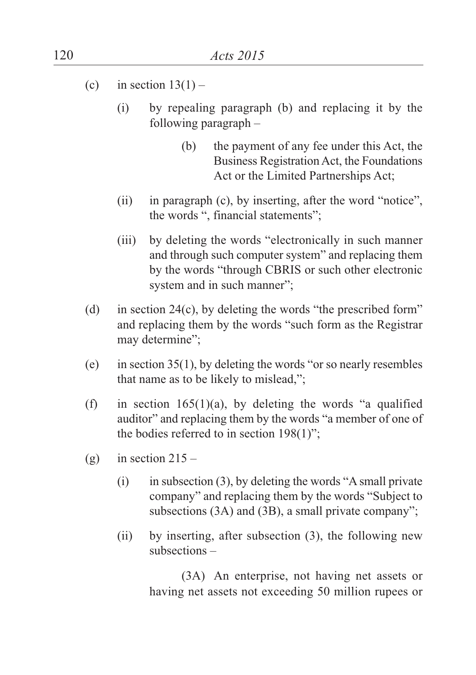- (c) in section  $13(1)$ 
	- (i) by repealing paragraph (b) and replacing it by the following paragraph –
		- (b) the payment of any fee under this Act, the Business Registration Act, the Foundations Act or the Limited Partnerships Act;
	- (ii) in paragraph (c), by inserting, after the word "notice", the words ", financial statements";
	- (iii) by deleting the words "electronically in such manner and through such computer system" and replacing them by the words "through CBRIS or such other electronic system and in such manner";
- (d) in section 24(c), by deleting the words "the prescribed form" and replacing them by the words "such form as the Registrar may determine";
- (e) in section  $35(1)$ , by deleting the words "or so nearly resembles" that name as to be likely to mislead,";
- (f) in section  $165(1)(a)$ , by deleting the words "a qualified auditor" and replacing them by the words "a member of one of the bodies referred to in section 198(1)";
- (g) in section  $215 -$ 
	- (i) in subsection (3), by deleting the words "A small private company" and replacing them by the words "Subject to subsections (3A) and (3B), a small private company";
	- (ii) by inserting, after subsection (3), the following new subsections –

(3A) An enterprise, not having net assets or having net assets not exceeding 50 million rupees or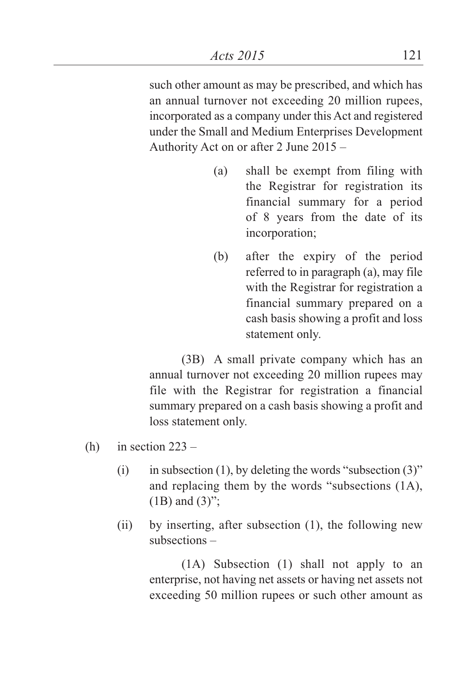such other amount as may be prescribed, and which has an annual turnover not exceeding 20 million rupees, incorporated as a company under this Act and registered under the Small and Medium Enterprises Development Authority Act on or after 2 June 2015 –

- (a) shall be exempt from filing with the Registrar for registration its financial summary for a period of 8 years from the date of its incorporation;
- (b) after the expiry of the period referred to in paragraph (a), may file with the Registrar for registration a financial summary prepared on a cash basis showing a profit and loss statement only.

(3B) A small private company which has an annual turnover not exceeding 20 million rupees may file with the Registrar for registration a financial summary prepared on a cash basis showing a profit and loss statement only.

- (h) in section  $223 -$ 
	- (i) in subsection (1), by deleting the words "subsection  $(3)$ " and replacing them by the words "subsections (1A),  $(1B)$  and  $(3)$ ":
	- (ii) by inserting, after subsection (1), the following new subsections –

(1A) Subsection (1) shall not apply to an enterprise, not having net assets or having net assets not exceeding 50 million rupees or such other amount as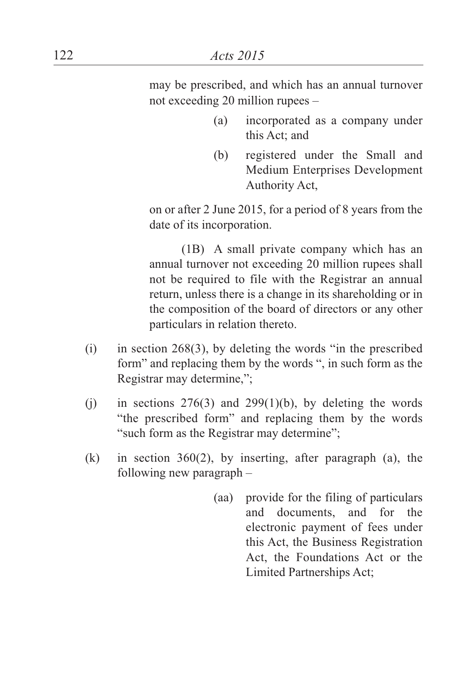may be prescribed, and which has an annual turnover not exceeding 20 million rupees –

- (a) incorporated as a company under this Act; and
- (b) registered under the Small and Medium Enterprises Development Authority Act,

on or after 2 June 2015, for a period of 8 years from the date of its incorporation.

(1B) A small private company which has an annual turnover not exceeding 20 million rupees shall not be required to file with the Registrar an annual return, unless there is a change in its shareholding or in the composition of the board of directors or any other particulars in relation thereto.

- (i) in section 268(3), by deleting the words "in the prescribed form" and replacing them by the words ", in such form as the Registrar may determine,";
- (i) in sections  $276(3)$  and  $299(1)(b)$ , by deleting the words "the prescribed form" and replacing them by the words "such form as the Registrar may determine";
- (k) in section 360(2), by inserting, after paragraph (a), the following new paragraph –
	- (aa) provide for the filing of particulars and documents, and for the electronic payment of fees under this Act, the Business Registration Act, the Foundations Act or the Limited Partnerships Act;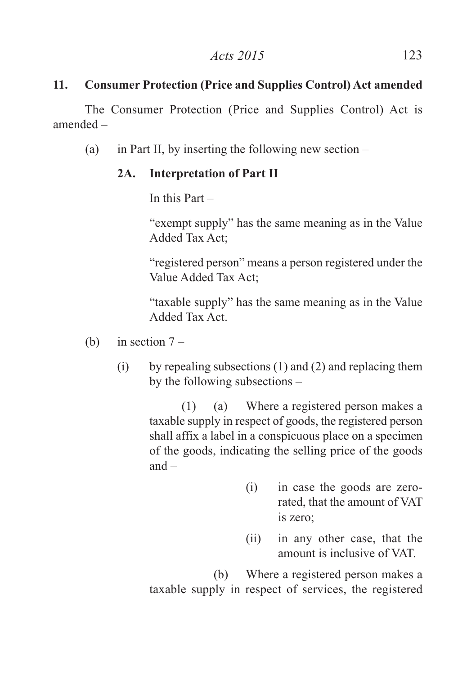# **11. Consumer Protection (Price and Supplies Control) Act amended**

The Consumer Protection (Price and Supplies Control) Act is amended –

(a) in Part II, by inserting the following new section –

# **2A. Interpretation of Part II**

In this Part –

"exempt supply" has the same meaning as in the Value Added Tax Act;

"registered person" means a person registered under the Value Added Tax Act;

"taxable supply" has the same meaning as in the Value Added Tax Act.

- (b) in section  $7 -$ 
	- (i) by repealing subsections (1) and (2) and replacing them by the following subsections –

(1) (a) Where a registered person makes a taxable supply in respect of goods, the registered person shall affix a label in a conspicuous place on a specimen of the goods, indicating the selling price of the goods and –

- (i) in case the goods are zerorated, that the amount of VAT is zero;
- (ii) in any other case, that the amount is inclusive of VAT.

(b) Where a registered person makes a taxable supply in respect of services, the registered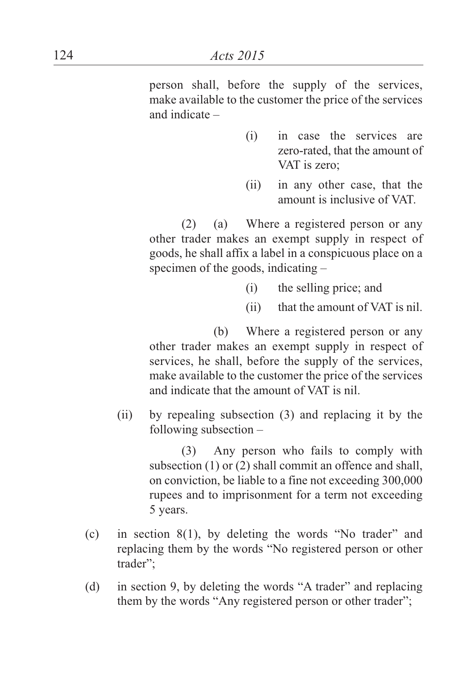person shall, before the supply of the services, make available to the customer the price of the services and indicate –

- (i) in case the services are zero-rated, that the amount of VAT is zero;
- (ii) in any other case, that the amount is inclusive of VAT.

(2) (a) Where a registered person or any other trader makes an exempt supply in respect of goods, he shall affix a label in a conspicuous place on a specimen of the goods, indicating –

- (i) the selling price; and
- (ii) that the amount of VAT is nil.

(b) Where a registered person or any other trader makes an exempt supply in respect of services, he shall, before the supply of the services, make available to the customer the price of the services and indicate that the amount of VAT is nil.

(ii) by repealing subsection (3) and replacing it by the following subsection –

> (3) Any person who fails to comply with subsection (1) or (2) shall commit an offence and shall, on conviction, be liable to a fine not exceeding 300,000 rupees and to imprisonment for a term not exceeding 5 years.

- (c) in section 8(1), by deleting the words "No trader" and replacing them by the words "No registered person or other trader";
- (d) in section 9, by deleting the words "A trader" and replacing them by the words "Any registered person or other trader";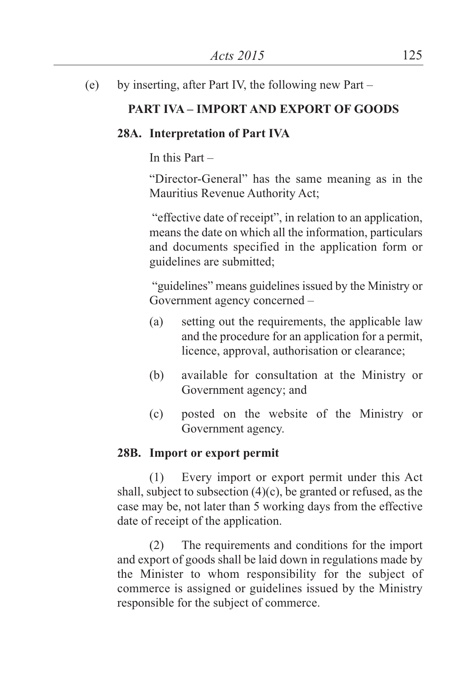(e) by inserting, after Part IV, the following new Part –

# **PART IVA – IMPORT AND EXPORT OF GOODS**

## **28A. Interpretation of Part IVA**

In this Part –

"Director-General" has the same meaning as in the Mauritius Revenue Authority Act;

"effective date of receipt", in relation to an application, means the date on which all the information, particulars and documents specified in the application form or guidelines are submitted;

"guidelines" means guidelines issued by the Ministry or Government agency concerned –

- (a) setting out the requirements, the applicable law and the procedure for an application for a permit, licence, approval, authorisation or clearance;
- (b) available for consultation at the Ministry or Government agency; and
- (c) posted on the website of the Ministry or Government agency.

## **28B. Import or export permit**

(1) Every import or export permit under this Act shall, subject to subsection (4)(c), be granted or refused, as the case may be, not later than 5 working days from the effective date of receipt of the application.

(2) The requirements and conditions for the import and export of goods shall be laid down in regulations made by the Minister to whom responsibility for the subject of commerce is assigned or guidelines issued by the Ministry responsible for the subject of commerce.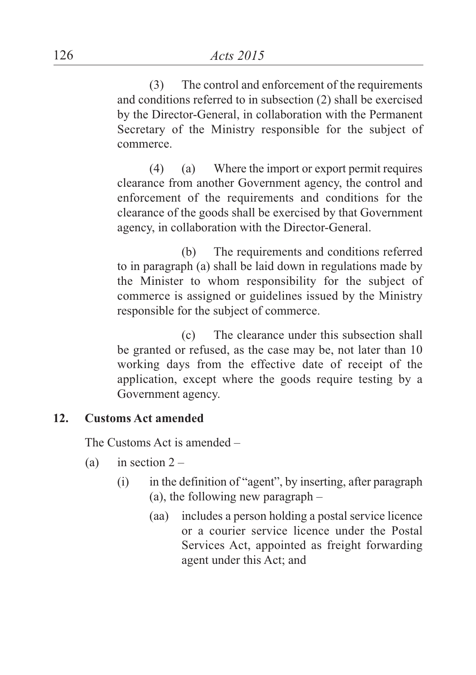(3) The control and enforcement of the requirements and conditions referred to in subsection (2) shall be exercised by the Director-General, in collaboration with the Permanent Secretary of the Ministry responsible for the subject of commerce.

(4) (a) Where the import or export permit requires clearance from another Government agency, the control and enforcement of the requirements and conditions for the clearance of the goods shall be exercised by that Government agency, in collaboration with the Director-General.

(b) The requirements and conditions referred to in paragraph (a) shall be laid down in regulations made by the Minister to whom responsibility for the subject of commerce is assigned or guidelines issued by the Ministry responsible for the subject of commerce.

(c) The clearance under this subsection shall be granted or refused, as the case may be, not later than 10 working days from the effective date of receipt of the application, except where the goods require testing by a Government agency.

## **12. Customs Act amended**

The Customs Act is amended –

- (a) in section  $2 -$ 
	- (i) in the definition of "agent", by inserting, after paragraph (a), the following new paragraph –
		- (aa) includes a person holding a postal service licence or a courier service licence under the Postal Services Act, appointed as freight forwarding agent under this Act; and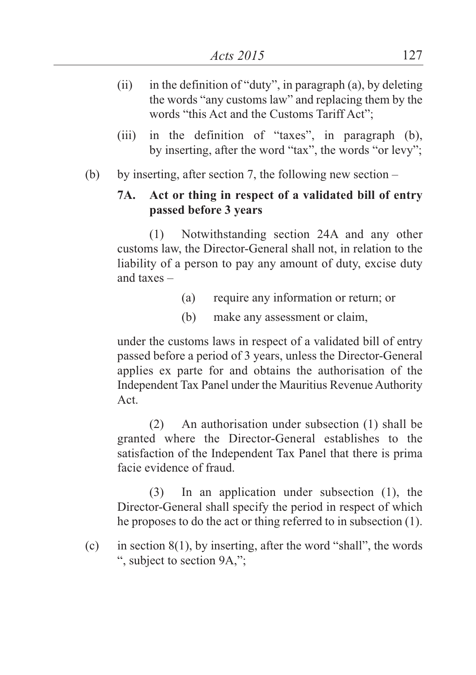- (ii) in the definition of "duty", in paragraph (a), by deleting the words "any customs law" and replacing them by the words "this Act and the Customs Tariff Act";
- (iii) in the definition of "taxes", in paragraph (b), by inserting, after the word "tax", the words "or levy";
- (b) by inserting, after section 7, the following new section –

# **7A. Act or thing in respect of a validated bill of entry passed before 3 years**

(1) Notwithstanding section 24A and any other customs law, the Director-General shall not, in relation to the liability of a person to pay any amount of duty, excise duty and taxes –

- (a) require any information or return; or
- (b) make any assessment or claim,

under the customs laws in respect of a validated bill of entry passed before a period of 3 years, unless the Director-General applies ex parte for and obtains the authorisation of the Independent Tax Panel under the Mauritius Revenue Authority Act.

(2) An authorisation under subsection (1) shall be granted where the Director-General establishes to the satisfaction of the Independent Tax Panel that there is prima facie evidence of fraud.

(3) In an application under subsection (1), the Director-General shall specify the period in respect of which he proposes to do the act or thing referred to in subsection (1).

(c) in section  $8(1)$ , by inserting, after the word "shall", the words ", subject to section 9A,";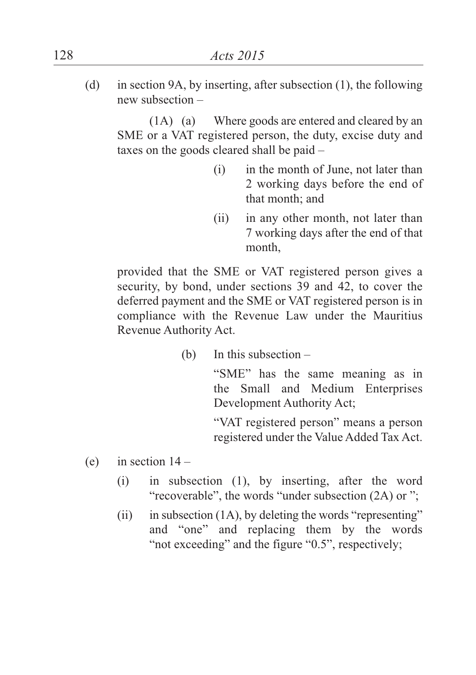(d) in section 9A, by inserting, after subsection (1), the following new subsection –

(1A) (a) Where goods are entered and cleared by an SME or a VAT registered person, the duty, excise duty and taxes on the goods cleared shall be paid –

- (i) in the month of June, not later than 2 working days before the end of that month; and
- (ii) in any other month, not later than 7 working days after the end of that month,

provided that the SME or VAT registered person gives a security, by bond, under sections 39 and 42, to cover the deferred payment and the SME or VAT registered person is in compliance with the Revenue Law under the Mauritius Revenue Authority Act.

(b) In this subsection –

"SME" has the same meaning as in the Small and Medium Enterprises Development Authority Act;

"VAT registered person" means a person registered under the Value Added Tax Act.

- (e) in section  $14 -$ 
	- (i) in subsection (1), by inserting, after the word "recoverable", the words "under subsection (2A) or ";
	- (ii) in subsection  $(1A)$ , by deleting the words "representing" and "one" and replacing them by the words "not exceeding" and the figure "0.5", respectively;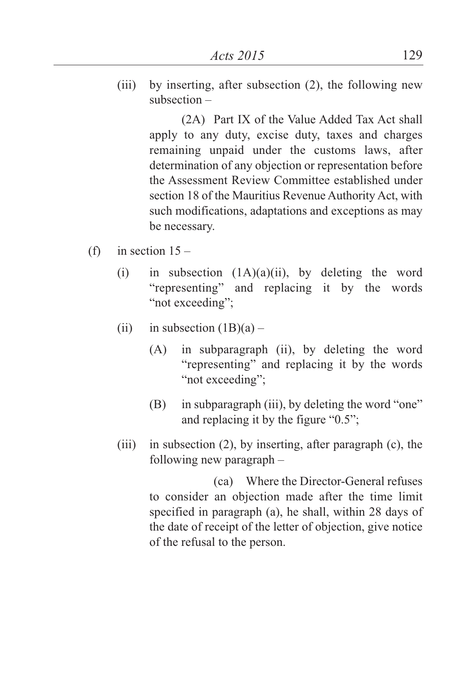(iii) by inserting, after subsection (2), the following new subsection –

> (2A) Part IX of the Value Added Tax Act shall apply to any duty, excise duty, taxes and charges remaining unpaid under the customs laws, after determination of any objection or representation before the Assessment Review Committee established under section 18 of the Mauritius Revenue Authority Act, with such modifications, adaptations and exceptions as may be necessary.

- (f) in section  $15 -$ 
	- (i) in subsection  $(1A)(a)(ii)$ , by deleting the word "representing" and replacing it by the words "not exceeding";
	- (ii) in subsection  $(1B)(a)$ 
		- (A) in subparagraph (ii), by deleting the word "representing" and replacing it by the words "not exceeding":
		- (B) in subparagraph (iii), by deleting the word "one" and replacing it by the figure "0.5";
	- (iii) in subsection (2), by inserting, after paragraph (c), the following new paragraph –

(ca) Where the Director-General refuses to consider an objection made after the time limit specified in paragraph (a), he shall, within 28 days of the date of receipt of the letter of objection, give notice of the refusal to the person.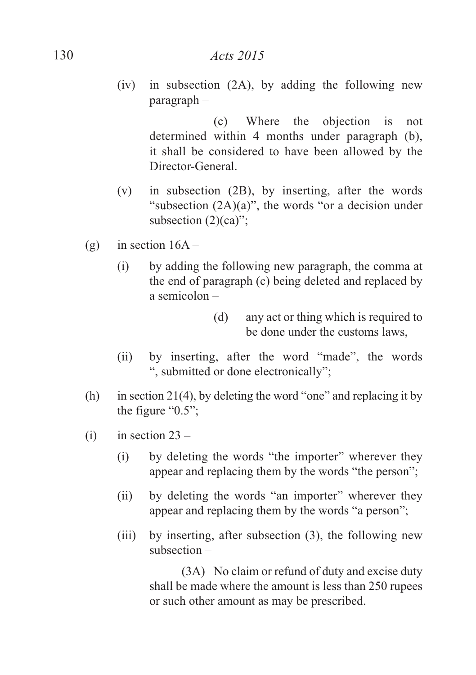(iv) in subsection (2A), by adding the following new paragraph –

(c) Where the objection is not determined within 4 months under paragraph (b), it shall be considered to have been allowed by the Director-General.

- (v) in subsection (2B), by inserting, after the words "subsection  $(2A)(a)$ ", the words "or a decision under subsection  $(2)(ca)$ ";
- (g) in section  $16A -$ 
	- (i) by adding the following new paragraph, the comma at the end of paragraph (c) being deleted and replaced by a semicolon –
		- (d) any act or thing which is required to be done under the customs laws,
	- (ii) by inserting, after the word "made", the words ", submitted or done electronically";
- (h) in section 21(4), by deleting the word "one" and replacing it by the figure "0.5";
- (i) in section  $23 -$ 
	- (i) by deleting the words "the importer" wherever they appear and replacing them by the words "the person";
	- (ii) by deleting the words "an importer" wherever they appear and replacing them by the words "a person";
	- (iii) by inserting, after subsection (3), the following new subsection –

(3A) No claim or refund of duty and excise duty shall be made where the amount is less than 250 rupees or such other amount as may be prescribed.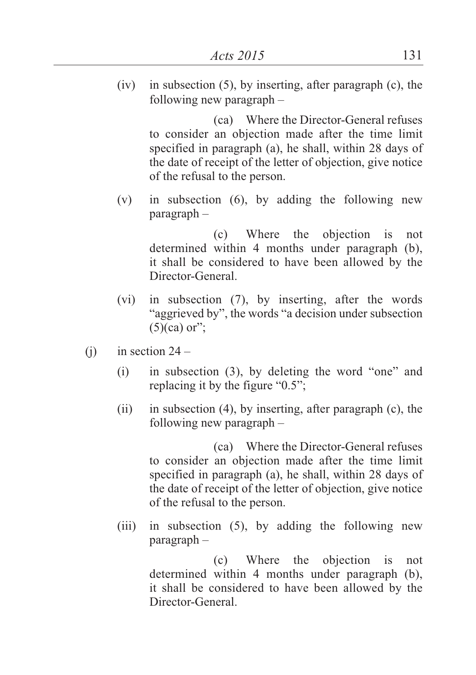$(iv)$  in subsection  $(5)$ , by inserting, after paragraph  $(c)$ , the following new paragraph –

> (ca) Where the Director-General refuses to consider an objection made after the time limit specified in paragraph (a), he shall, within 28 days of the date of receipt of the letter of objection, give notice of the refusal to the person.

(v) in subsection (6), by adding the following new paragraph –

(c) Where the objection is not determined within 4 months under paragraph (b), it shall be considered to have been allowed by the Director-General.

- (vi) in subsection (7), by inserting, after the words "aggrieved by", the words "a decision under subsection  $(5)(ca)$  or";
- (i) in section  $24 -$ 
	- (i) in subsection (3), by deleting the word "one" and replacing it by the figure "0.5";
	- (ii) in subsection (4), by inserting, after paragraph (c), the following new paragraph –

(ca) Where the Director-General refuses to consider an objection made after the time limit specified in paragraph (a), he shall, within 28 days of the date of receipt of the letter of objection, give notice of the refusal to the person.

(iii) in subsection (5), by adding the following new paragraph –

> (c) Where the objection is not determined within 4 months under paragraph (b), it shall be considered to have been allowed by the Director-General.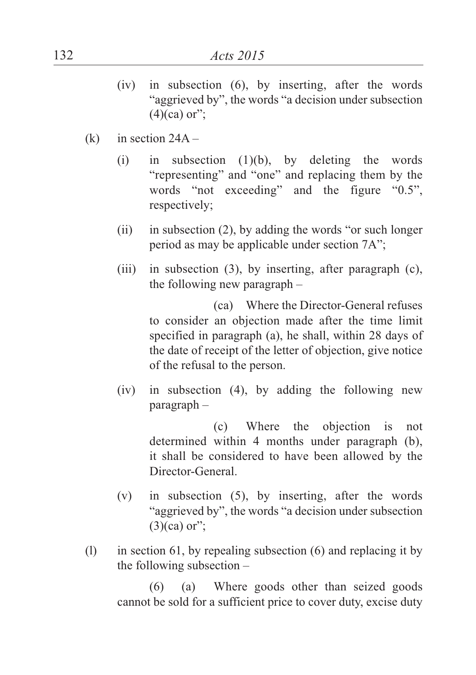- (iv) in subsection (6), by inserting, after the words "aggrieved by", the words "a decision under subsection  $(4)(ca)$  or";
- $(k)$  in section 24A
	- (i) in subsection  $(1)(b)$ , by deleting the words "representing" and "one" and replacing them by the words "not exceeding" and the figure "0.5", respectively;
	- (ii) in subsection (2), by adding the words "or such longer period as may be applicable under section 7A";
	- (iii) in subsection (3), by inserting, after paragraph (c), the following new paragraph –

(ca) Where the Director-General refuses to consider an objection made after the time limit specified in paragraph (a), he shall, within 28 days of the date of receipt of the letter of objection, give notice of the refusal to the person.

(iv) in subsection (4), by adding the following new paragraph –

(c) Where the objection is not determined within 4 months under paragraph (b), it shall be considered to have been allowed by the Director-General.

- (v) in subsection (5), by inserting, after the words "aggrieved by", the words "a decision under subsection  $(3)(ca)$  or":
- (l) in section 61, by repealing subsection (6) and replacing it by the following subsection –

(6) (a) Where goods other than seized goods cannot be sold for a sufficient price to cover duty, excise duty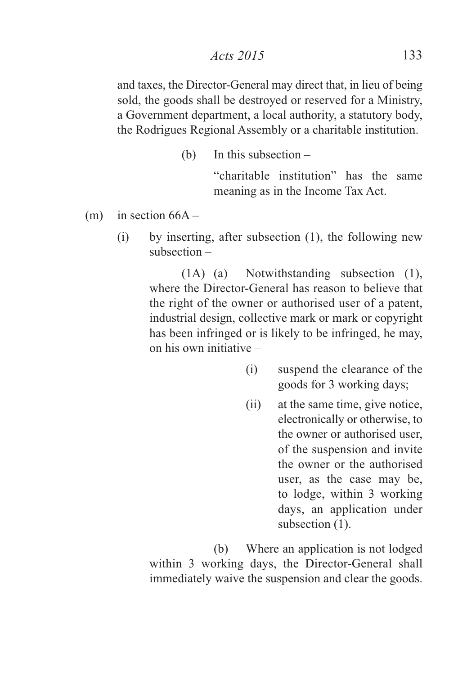and taxes, the Director-General may direct that, in lieu of being sold, the goods shall be destroyed or reserved for a Ministry, a Government department, a local authority, a statutory body, the Rodrigues Regional Assembly or a charitable institution.

(b) In this subsection –

"charitable institution" has the same meaning as in the Income Tax Act.

- (m) in section  $66A -$ 
	- (i) by inserting, after subsection (1), the following new subsection –

(1A) (a) Notwithstanding subsection (1), where the Director-General has reason to believe that the right of the owner or authorised user of a patent, industrial design, collective mark or mark or copyright has been infringed or is likely to be infringed, he may, on his own initiative –

- (i) suspend the clearance of the goods for 3 working days;
- (ii) at the same time, give notice, electronically or otherwise, to the owner or authorised user, of the suspension and invite the owner or the authorised user, as the case may be, to lodge, within 3 working days, an application under subsection  $(1)$ .

(b) Where an application is not lodged within 3 working days, the Director-General shall immediately waive the suspension and clear the goods.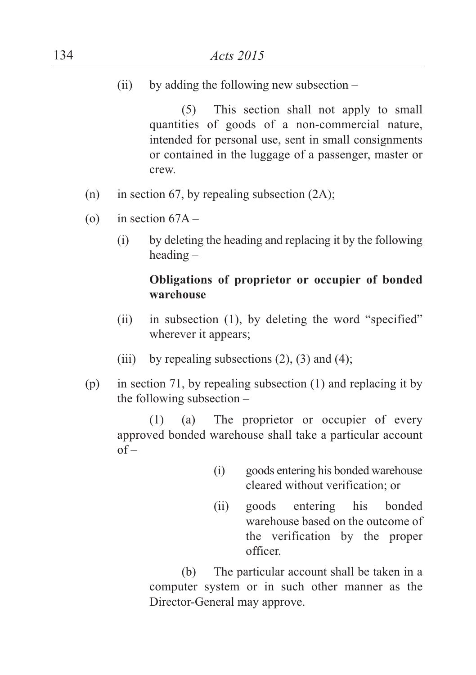(ii) by adding the following new subsection  $-$ 

(5) This section shall not apply to small quantities of goods of a non-commercial nature, intended for personal use, sent in small consignments or contained in the luggage of a passenger, master or crew.

- (n) in section 67, by repealing subsection  $(2A)$ ;
- (o) in section  $67A -$ 
	- (i) by deleting the heading and replacing it by the following heading –

## **Obligations of proprietor or occupier of bonded warehouse**

- (ii) in subsection (1), by deleting the word "specified" wherever it appears;
- (iii) by repealing subsections  $(2)$ ,  $(3)$  and  $(4)$ ;
- (p) in section 71, by repealing subsection (1) and replacing it by the following subsection –

(1) (a) The proprietor or occupier of every approved bonded warehouse shall take a particular account  $of -$ 

- (i) goods entering his bonded warehouse cleared without verification; or
- (ii) goods entering his bonded warehouse based on the outcome of the verification by the proper officer.

(b) The particular account shall be taken in a computer system or in such other manner as the Director-General may approve.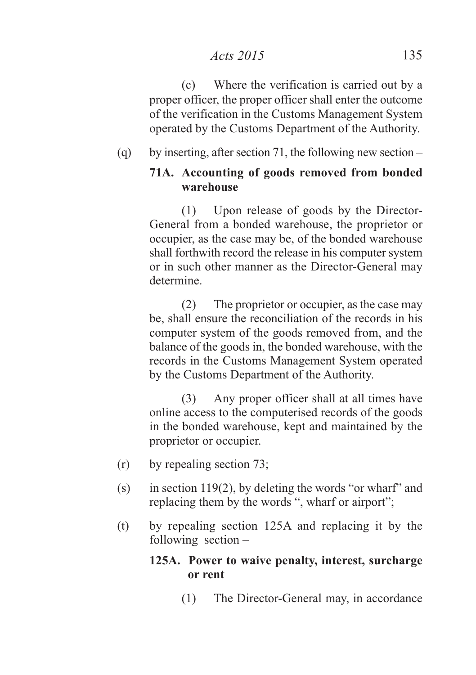(c) Where the verification is carried out by a proper officer, the proper officer shall enter the outcome of the verification in the Customs Management System operated by the Customs Department of the Authority.

## (q) by inserting, after section 71, the following new section –

## **71A. Accounting of goods removed from bonded warehouse**

(1) Upon release of goods by the Director-General from a bonded warehouse, the proprietor or occupier, as the case may be, of the bonded warehouse shall forthwith record the release in his computer system or in such other manner as the Director-General may determine.

(2) The proprietor or occupier, as the case may be, shall ensure the reconciliation of the records in his computer system of the goods removed from, and the balance of the goods in, the bonded warehouse, with the records in the Customs Management System operated by the Customs Department of the Authority.

(3) Any proper officer shall at all times have online access to the computerised records of the goods in the bonded warehouse, kept and maintained by the proprietor or occupier.

- (r) by repealing section 73;
- (s) in section 119(2), by deleting the words "or wharf" and replacing them by the words ", wharf or airport";
- (t) by repealing section 125A and replacing it by the following section –

#### **125A. Power to waive penalty, interest, surcharge or rent**

(1) The Director-General may, in accordance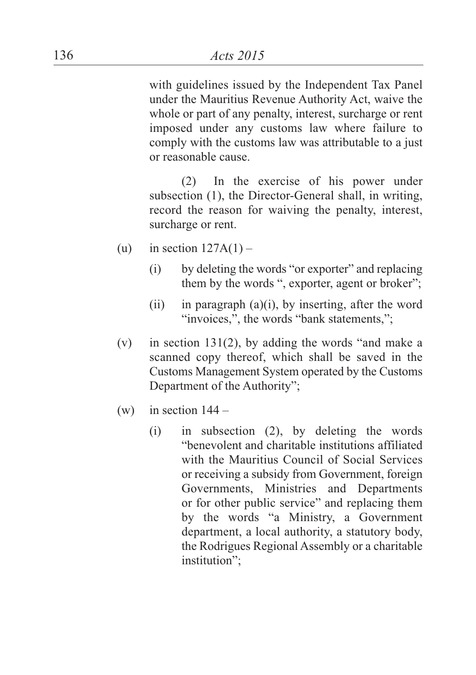with guidelines issued by the Independent Tax Panel under the Mauritius Revenue Authority Act, waive the whole or part of any penalty, interest, surcharge or rent imposed under any customs law where failure to comply with the customs law was attributable to a just or reasonable cause.

(2) In the exercise of his power under subsection (1), the Director-General shall, in writing, record the reason for waiving the penalty, interest, surcharge or rent.

- (u) in section  $127A(1)$ 
	- (i) by deleting the words "or exporter" and replacing them by the words ", exporter, agent or broker";
	- (ii) in paragraph  $(a)(i)$ , by inserting, after the word "invoices,", the words "bank statements,";
- (v) in section 131(2), by adding the words "and make a scanned copy thereof, which shall be saved in the Customs Management System operated by the Customs Department of the Authority";
- (w) in section  $144 -$ 
	- (i) in subsection (2), by deleting the words "benevolent and charitable institutions affiliated with the Mauritius Council of Social Services or receiving a subsidy from Government, foreign Governments, Ministries and Departments or for other public service" and replacing them by the words "a Ministry, a Government department, a local authority, a statutory body, the Rodrigues Regional Assembly or a charitable institution";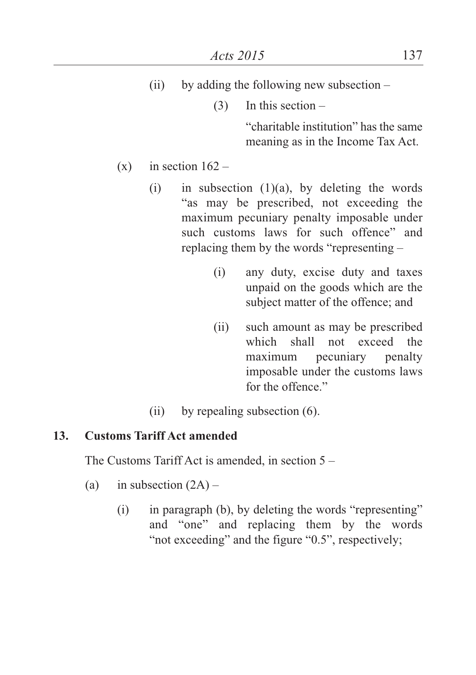- (ii) by adding the following new subsection  $-$ 
	- $(3)$  In this section –

"charitable institution" has the same meaning as in the Income Tax Act.

- (x) in section  $162 -$ 
	- (i) in subsection  $(1)(a)$ , by deleting the words "as may be prescribed, not exceeding the maximum pecuniary penalty imposable under such customs laws for such offence" and replacing them by the words "representing –
		- (i) any duty, excise duty and taxes unpaid on the goods which are the subject matter of the offence; and
		- (ii) such amount as may be prescribed which shall not exceed the maximum pecuniary penalty imposable under the customs laws for the offence."
	- (ii) by repealing subsection (6).

## **13. Customs Tariff Act amended**

The Customs Tariff Act is amended, in section 5 –

- (a) in subsection  $(2A)$ 
	- (i) in paragraph (b), by deleting the words "representing" and "one" and replacing them by the words "not exceeding" and the figure "0.5", respectively;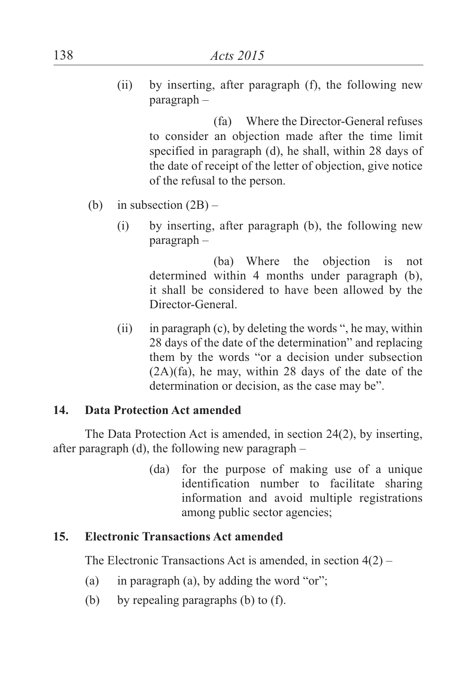(ii) by inserting, after paragraph (f), the following new paragraph –

> (fa) Where the Director-General refuses to consider an objection made after the time limit specified in paragraph (d), he shall, within 28 days of the date of receipt of the letter of objection, give notice of the refusal to the person.

- (b) in subsection  $(2B)$ 
	- (i) by inserting, after paragraph (b), the following new paragraph –

(ba) Where the objection is not determined within 4 months under paragraph (b), it shall be considered to have been allowed by the Director-General.

(ii) in paragraph (c), by deleting the words ", he may, within 28 days of the date of the determination" and replacing them by the words "or a decision under subsection (2A)(fa), he may, within 28 days of the date of the determination or decision, as the case may be".

## **14. Data Protection Act amended**

The Data Protection Act is amended, in section 24(2), by inserting, after paragraph (d), the following new paragraph –

> (da) for the purpose of making use of a unique identification number to facilitate sharing information and avoid multiple registrations among public sector agencies;

## **15. Electronic Transactions Act amended**

The Electronic Transactions Act is amended, in section 4(2) –

- (a) in paragraph (a), by adding the word "or";
- (b) by repealing paragraphs (b) to (f).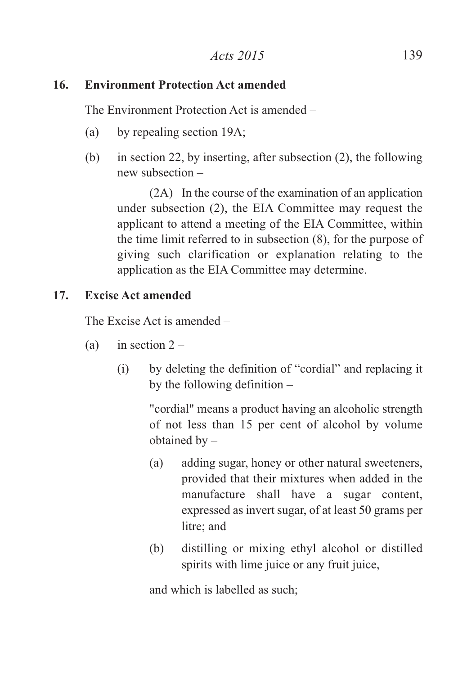### **16. Environment Protection Act amended**

The Environment Protection Act is amended –

- (a) by repealing section 19A;
- (b) in section 22, by inserting, after subsection (2), the following new subsection –

(2A) In the course of the examination of an application under subsection (2), the EIA Committee may request the applicant to attend a meeting of the EIA Committee, within the time limit referred to in subsection (8), for the purpose of giving such clarification or explanation relating to the application as the EIA Committee may determine.

# **17. Excise Act amended**

The Excise Act is amended –

- (a) in section  $2 -$ 
	- (i) by deleting the definition of "cordial" and replacing it by the following definition –

"cordial" means a product having an alcoholic strength of not less than 15 per cent of alcohol by volume obtained by –

- (a) adding sugar, honey or other natural sweeteners, provided that their mixtures when added in the manufacture shall have a sugar content, expressed as invert sugar, of at least 50 grams per litre; and
- (b) distilling or mixing ethyl alcohol or distilled spirits with lime juice or any fruit juice,

and which is labelled as such;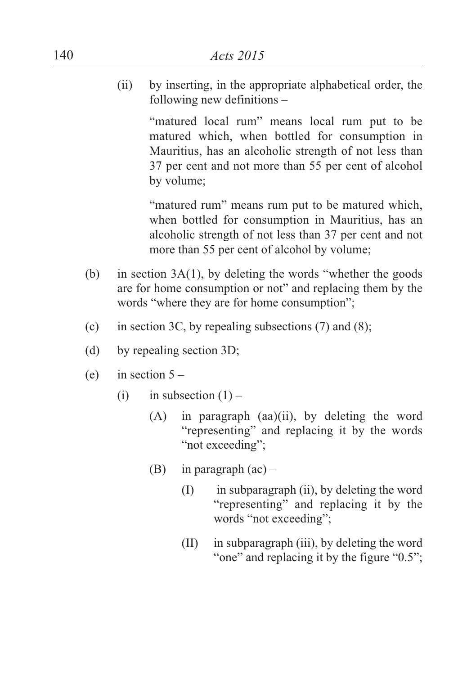(ii) by inserting, in the appropriate alphabetical order, the following new definitions –

> "matured local rum" means local rum put to be matured which, when bottled for consumption in Mauritius, has an alcoholic strength of not less than 37 per cent and not more than 55 per cent of alcohol by volume;

> "matured rum" means rum put to be matured which, when bottled for consumption in Mauritius, has an alcoholic strength of not less than 37 per cent and not more than 55 per cent of alcohol by volume;

- (b) in section  $3A(1)$ , by deleting the words "whether the goods" are for home consumption or not" and replacing them by the words "where they are for home consumption";
- (c) in section 3C, by repealing subsections  $(7)$  and  $(8)$ ;
- (d) by repealing section 3D;
- (e) in section  $5 -$ 
	- (i) in subsection  $(1)$ 
		- (A) in paragraph (aa)(ii), by deleting the word "representing" and replacing it by the words "not exceeding";
		- (B) in paragraph  $(ac)$ 
			- (I) in subparagraph (ii), by deleting the word "representing" and replacing it by the words "not exceeding";
			- (II) in subparagraph (iii), by deleting the word "one" and replacing it by the figure "0.5";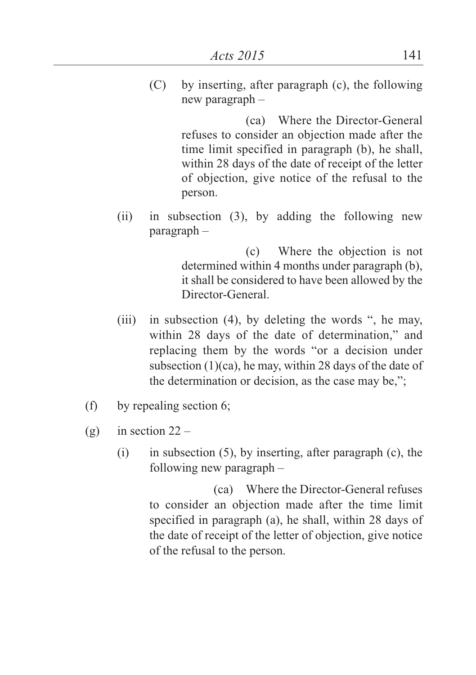(C) by inserting, after paragraph (c), the following new paragraph –

> (ca) Where the Director-General refuses to consider an objection made after the time limit specified in paragraph (b), he shall, within 28 days of the date of receipt of the letter of objection, give notice of the refusal to the person.

(ii) in subsection (3), by adding the following new paragraph –

> (c) Where the objection is not determined within 4 months under paragraph (b), it shall be considered to have been allowed by the Director-General.

- (iii) in subsection (4), by deleting the words ", he may, within 28 days of the date of determination," and replacing them by the words "or a decision under subsection  $(1)(ca)$ , he may, within 28 days of the date of the determination or decision, as the case may be,";
- (f) by repealing section 6;
- (g) in section  $22 -$ 
	- (i) in subsection (5), by inserting, after paragraph (c), the following new paragraph –

(ca) Where the Director-General refuses to consider an objection made after the time limit specified in paragraph (a), he shall, within 28 days of the date of receipt of the letter of objection, give notice of the refusal to the person.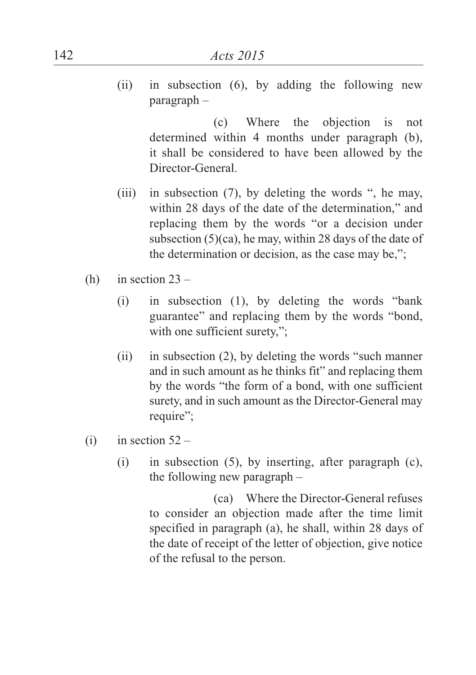(ii) in subsection (6), by adding the following new paragraph –

(c) Where the objection is not determined within 4 months under paragraph (b), it shall be considered to have been allowed by the Director-General.

- (iii) in subsection (7), by deleting the words ", he may, within 28 days of the date of the determination," and replacing them by the words "or a decision under subsection (5)(ca), he may, within 28 days of the date of the determination or decision, as the case may be,";
- (h) in section  $23 -$ 
	- (i) in subsection (1), by deleting the words "bank guarantee" and replacing them by the words "bond, with one sufficient surety,";
	- (ii) in subsection (2), by deleting the words "such manner and in such amount as he thinks fit" and replacing them by the words "the form of a bond, with one sufficient surety, and in such amount as the Director-General may require";
- (i) in section  $52 -$ 
	- (i) in subsection (5), by inserting, after paragraph (c), the following new paragraph –

(ca) Where the Director-General refuses to consider an objection made after the time limit specified in paragraph (a), he shall, within 28 days of the date of receipt of the letter of objection, give notice of the refusal to the person.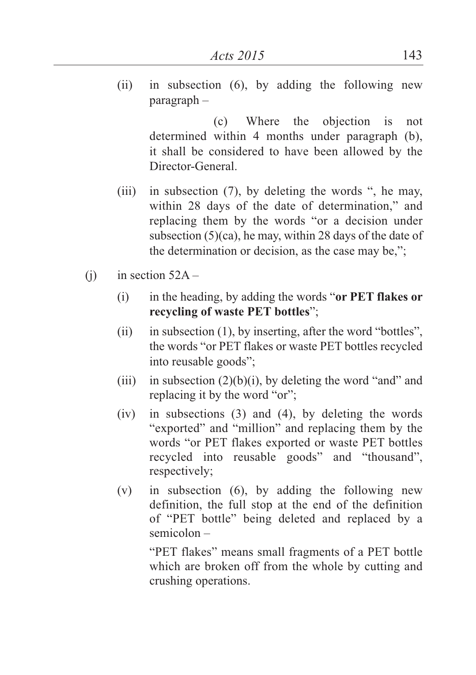(ii) in subsection (6), by adding the following new paragraph –

(c) Where the objection is not determined within 4 months under paragraph (b), it shall be considered to have been allowed by the Director-General.

- (iii) in subsection (7), by deleting the words ", he may, within 28 days of the date of determination," and replacing them by the words "or a decision under subsection (5)(ca), he may, within 28 days of the date of the determination or decision, as the case may be,";
- (i) in section  $52A -$ 
	- (i) in the heading, by adding the words "**or PET flakes or recycling of waste PET bottles**";
	- (ii) in subsection (1), by inserting, after the word "bottles", the words "or PET flakes or waste PET bottles recycled into reusable goods";
	- (iii) in subsection  $(2)(b)(i)$ , by deleting the word "and" and replacing it by the word "or";
	- (iv) in subsections (3) and (4), by deleting the words "exported" and "million" and replacing them by the words "or PET flakes exported or waste PET bottles recycled into reusable goods" and "thousand", respectively;
	- (v) in subsection (6), by adding the following new definition, the full stop at the end of the definition of "PET bottle" being deleted and replaced by a semicolon –

"PET flakes" means small fragments of a PET bottle which are broken off from the whole by cutting and crushing operations.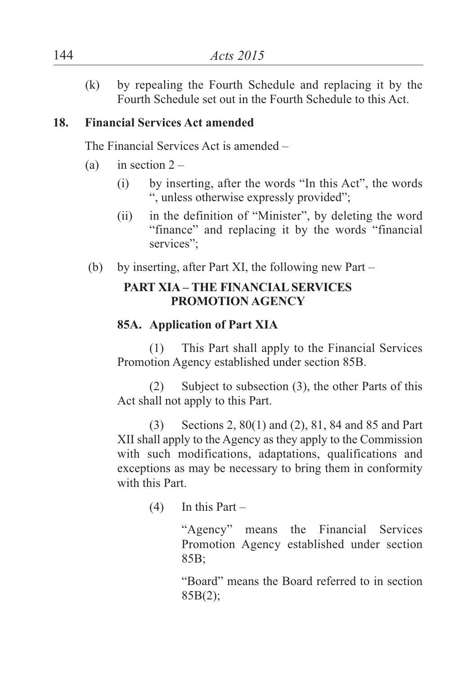(k) by repealing the Fourth Schedule and replacing it by the Fourth Schedule set out in the Fourth Schedule to this Act.

### **18. Financial Services Act amended**

The Financial Services Act is amended –

- (a) in section  $2 -$ 
	- (i) by inserting, after the words "In this Act", the words ", unless otherwise expressly provided";
	- (ii) in the definition of "Minister", by deleting the word "finance" and replacing it by the words "financial services":
- (b) by inserting, after Part XI, the following new Part –

## **PART XIA – THE FINANCIALSERVICES PROMOTION AGENCY**

## **85A. Application of Part XIA**

(1) This Part shall apply to the Financial Services Promotion Agency established under section 85B.

(2) Subject to subsection (3), the other Parts of this Act shall not apply to this Part.

(3) Sections 2, 80(1) and (2), 81, 84 and 85 and Part XII shall apply to the Agency as they apply to the Commission with such modifications, adaptations, qualifications and exceptions as may be necessary to bring them in conformity with this Part.

 $(4)$  In this Part –

"Agency" means the Financial Services Promotion Agency established under section 85B;

"Board" means the Board referred to in section  $85B(2)$ :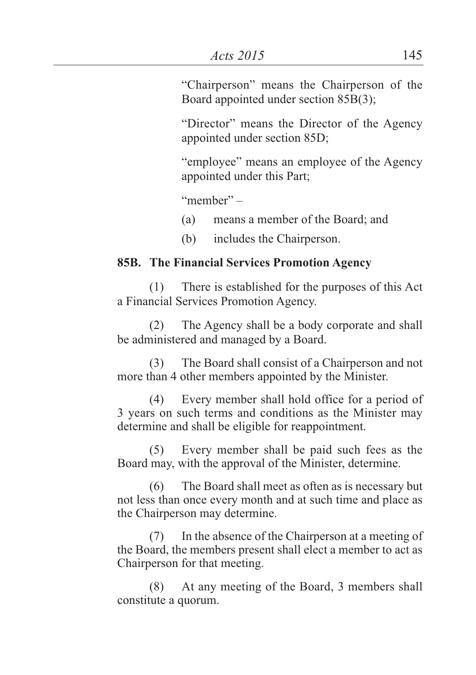"Chairperson" means the Chairperson of the Board appointed under section 85B(3);

"Director" means the Director of the Agency appointed under section 85D;

"employee" means an employee of the Agency appointed under this Part;

"member" –

- (a) means a member of the Board; and
- (b) includes the Chairperson.

#### **85B. The Financial Services Promotion Agency**

(1) There is established for the purposes of this Act a Financial Services Promotion Agency.

(2) The Agency shall be a body corporate and shall be administered and managed by a Board.

(3) The Board shall consist of a Chairperson and not more than 4 other members appointed by the Minister.

(4) Every member shall hold office for a period of 3 years on such terms and conditions as the Minister may determine and shall be eligible for reappointment.

(5) Every member shall be paid such fees as the Board may, with the approval of the Minister, determine.

(6) The Board shall meet as often as is necessary but not less than once every month and at such time and place as the Chairperson may determine.

(7) In the absence of the Chairperson at a meeting of the Board, the members present shall elect a member to act as Chairperson for that meeting.

(8) At any meeting of the Board, 3 members shall constitute a quorum.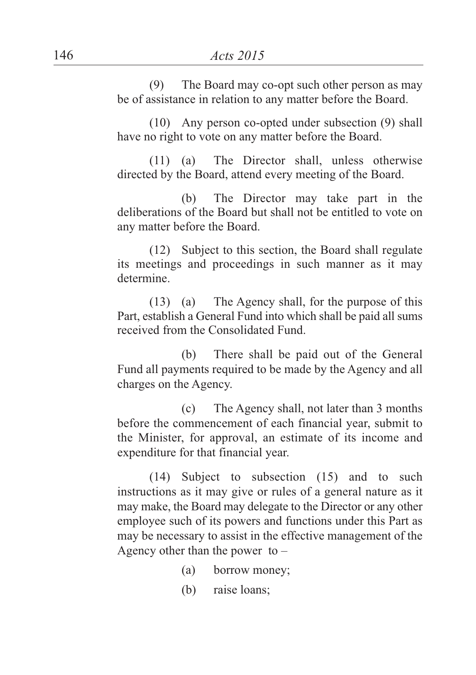(9) The Board may co-opt such other person as may be of assistance in relation to any matter before the Board.

(10) Any person co-opted under subsection (9) shall have no right to vote on any matter before the Board.

(11) (a) The Director shall, unless otherwise directed by the Board, attend every meeting of the Board.

(b) The Director may take part in the deliberations of the Board but shall not be entitled to vote on any matter before the Board.

(12) Subject to this section, the Board shall regulate its meetings and proceedings in such manner as it may determine.

(13) (a) The Agency shall, for the purpose of this Part, establish a General Fund into which shall be paid all sums received from the Consolidated Fund.

(b) There shall be paid out of the General Fund all payments required to be made by the Agency and all charges on the Agency.

(c) The Agency shall, not later than 3 months before the commencement of each financial year, submit to the Minister, for approval, an estimate of its income and expenditure for that financial year.

(14) Subject to subsection (15) and to such instructions as it may give or rules of a general nature as it may make, the Board may delegate to the Director or any other employee such of its powers and functions under this Part as may be necessary to assist in the effective management of the Agency other than the power to  $-$ 

- (a) borrow money;
- (b) raise loans;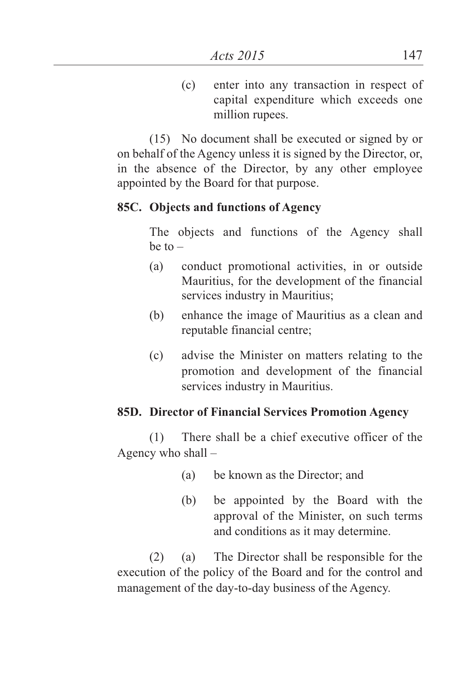(c) enter into any transaction in respect of capital expenditure which exceeds one million rupees.

(15) No document shall be executed or signed by or on behalf of the Agency unless it is signed by the Director, or, in the absence of the Director, by any other employee appointed by the Board for that purpose.

#### **85C. Objects and functions of Agency**

The objects and functions of the Agency shall  $be$  to  $-$ 

- (a) conduct promotional activities, in or outside Mauritius, for the development of the financial services industry in Mauritius;
- (b) enhance the image of Mauritius as a clean and reputable financial centre;
- (c) advise the Minister on matters relating to the promotion and development of the financial services industry in Mauritius.

#### **85D. Director of Financial Services Promotion Agency**

(1) There shall be a chief executive officer of the Agency who shall –

- (a) be known as the Director; and
- (b) be appointed by the Board with the approval of the Minister, on such terms and conditions as it may determine.

(2) (a) The Director shall be responsible for the execution of the policy of the Board and for the control and management of the day-to-day business of the Agency.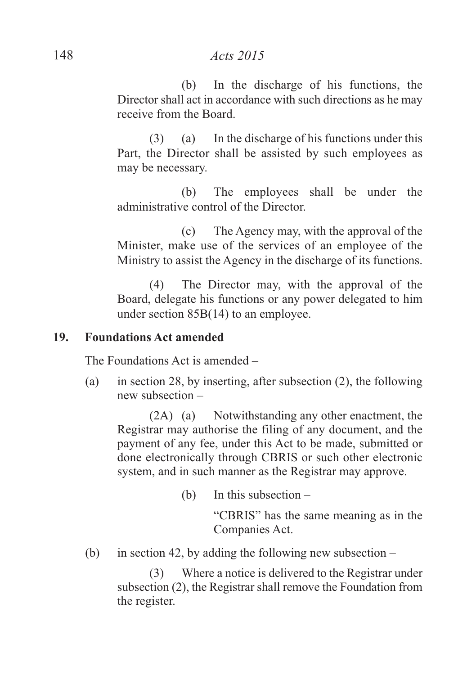(b) In the discharge of his functions, the Director shall act in accordance with such directions as he may receive from the Board.

(3) (a) In the discharge of his functions under this Part, the Director shall be assisted by such employees as may be necessary.

(b) The employees shall be under the administrative control of the Director.

(c) The Agency may, with the approval of the Minister, make use of the services of an employee of the Ministry to assist the Agency in the discharge of its functions.

(4) The Director may, with the approval of the Board, delegate his functions or any power delegated to him under section 85B(14) to an employee.

#### **19. Foundations Act amended**

The Foundations Act is amended –

(a) in section 28, by inserting, after subsection (2), the following new subsection –

(2A) (a) Notwithstanding any other enactment, the Registrar may authorise the filing of any document, and the payment of any fee, under this Act to be made, submitted or done electronically through CBRIS or such other electronic system, and in such manner as the Registrar may approve.

(b) In this subsection –

"CBRIS" has the same meaning as in the Companies Act.

(b) in section 42, by adding the following new subsection –

(3) Where a notice is delivered to the Registrar under subsection (2), the Registrar shall remove the Foundation from the register.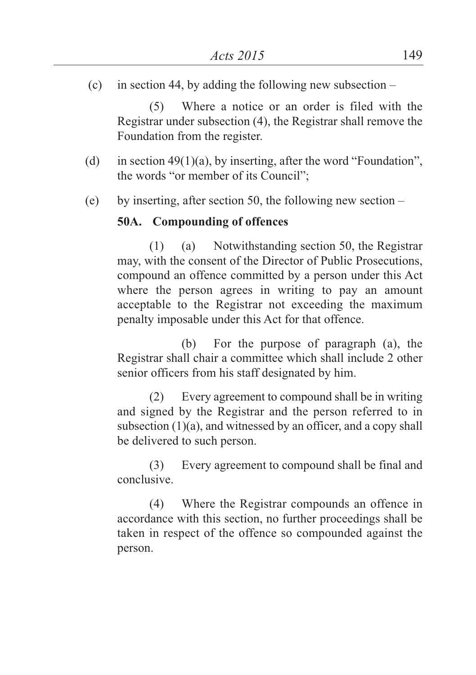(c) in section 44, by adding the following new subsection  $-$ 

(5) Where a notice or an order is filed with the Registrar under subsection (4), the Registrar shall remove the Foundation from the register.

- (d) in section  $49(1)(a)$ , by inserting, after the word "Foundation", the words "or member of its Council";
- (e) by inserting, after section 50, the following new section –

### **50A. Compounding of offences**

(1) (a) Notwithstanding section 50, the Registrar may, with the consent of the Director of Public Prosecutions, compound an offence committed by a person under this Act where the person agrees in writing to pay an amount acceptable to the Registrar not exceeding the maximum penalty imposable under this Act for that offence.

(b) For the purpose of paragraph (a), the Registrar shall chair a committee which shall include 2 other senior officers from his staff designated by him.

(2) Every agreement to compound shall be in writing and signed by the Registrar and the person referred to in subsection (1)(a), and witnessed by an officer, and a copy shall be delivered to such person.

(3) Every agreement to compound shall be final and conclusive.

(4) Where the Registrar compounds an offence in accordance with this section, no further proceedings shall be taken in respect of the offence so compounded against the person.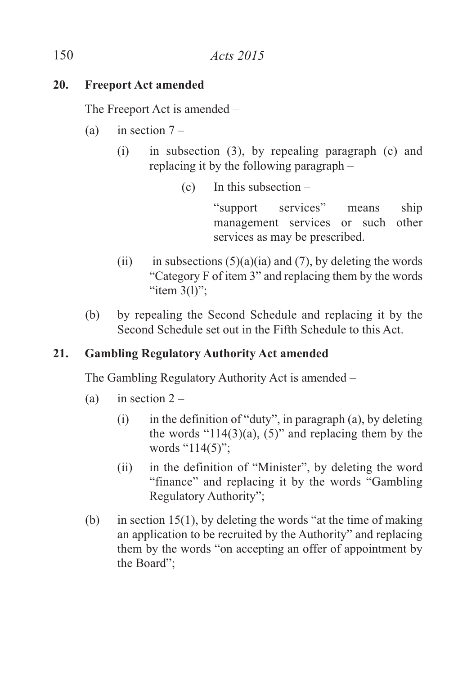## **20. Freeport Act amended**

The Freeport Act is amended –

- (a) in section  $7 -$ 
	- (i) in subsection (3), by repealing paragraph (c) and replacing it by the following paragraph –
		- $(c)$  In this subsection –

"support services" means ship management services or such other services as may be prescribed.

- (ii) in subsections  $(5)(a)(ia)$  and  $(7)$ , by deleting the words "Category F of item 3" and replacing them by the words " $item 3(1)$ ":
- (b) by repealing the Second Schedule and replacing it by the Second Schedule set out in the Fifth Schedule to this Act.

## **21. Gambling Regulatory Authority Act amended**

The Gambling Regulatory Authority Act is amended –

- (a) in section  $2 -$ 
	- $(i)$  in the definition of "duty", in paragraph (a), by deleting the words " $114(3)(a)$ ,  $(5)$ " and replacing them by the words "114(5)";
	- (ii) in the definition of "Minister", by deleting the word "finance" and replacing it by the words "Gambling Regulatory Authority";
- (b) in section 15(1), by deleting the words "at the time of making an application to be recruited by the Authority" and replacing them by the words "on accepting an offer of appointment by the Board";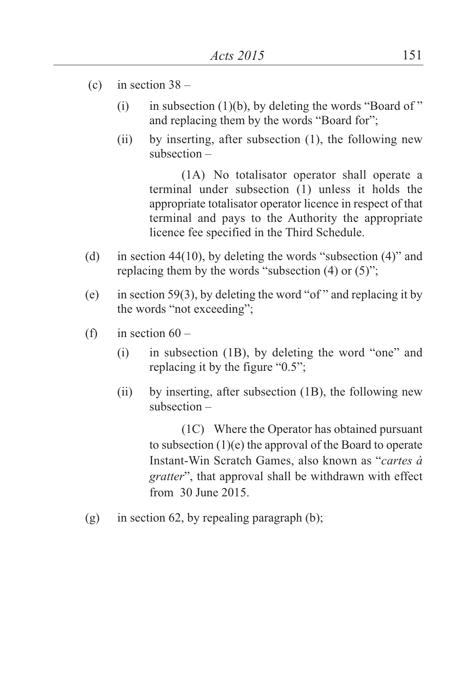- (c) in section  $38 -$ 
	- (i) in subsection  $(1)(b)$ , by deleting the words "Board of" and replacing them by the words "Board for";
	- (ii) by inserting, after subsection (1), the following new subsection –

(1A) No totalisator operator shall operate a terminal under subsection (1) unless it holds the appropriate totalisator operator licence in respect of that terminal and pays to the Authority the appropriate licence fee specified in the Third Schedule.

- (d) in section 44(10), by deleting the words "subsection (4)" and replacing them by the words "subsection (4) or (5)";
- (e) in section 59(3), by deleting the word "of " and replacing it by the words "not exceeding";
- (f) in section  $60 -$ 
	- (i) in subsection (1B), by deleting the word "one" and replacing it by the figure "0.5";
	- (ii) by inserting, after subsection (1B), the following new subsection –

(1C) Where the Operator has obtained pursuant to subsection (1)(e) the approval of the Board to operate Instant-Win Scratch Games, also known as "*cartes à gratter*", that approval shall be withdrawn with effect from 30 June 2015.

(g) in section 62, by repealing paragraph  $(b)$ ;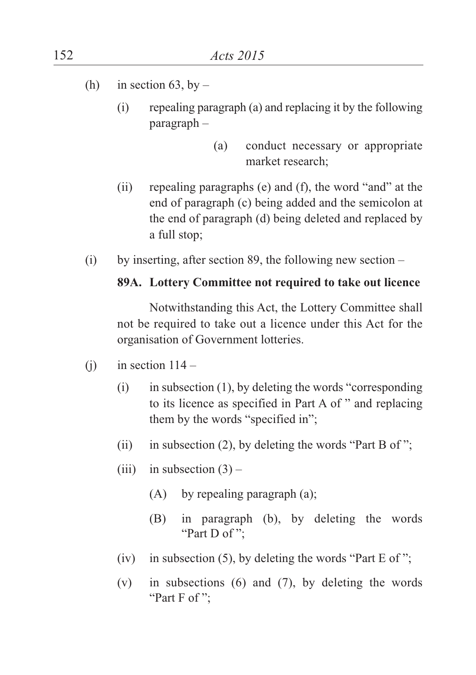- (h) in section 63, by
	- (i) repealing paragraph (a) and replacing it by the following paragraph –
		- (a) conduct necessary or appropriate market research;
	- (ii) repealing paragraphs (e) and (f), the word "and" at the end of paragraph (c) being added and the semicolon at the end of paragraph (d) being deleted and replaced by a full stop;
- (i) by inserting, after section 89, the following new section  $-$

#### **89A. Lottery Committee not required to take out licence**

Notwithstanding this Act, the Lottery Committee shall not be required to take out a licence under this Act for the organisation of Government lotteries.

- (i) in section  $114 -$ 
	- (i) in subsection (1), by deleting the words "corresponding to its licence as specified in Part A of " and replacing them by the words "specified in";
	- (ii) in subsection (2), by deleting the words "Part B of";
	- (iii) in subsection  $(3)$ 
		- (A) by repealing paragraph (a);
		- (B) in paragraph (b), by deleting the words "Part D of";
	- (iv) in subsection (5), by deleting the words "Part  $E$  of";
	- (v) in subsections (6) and (7), by deleting the words "Part F of":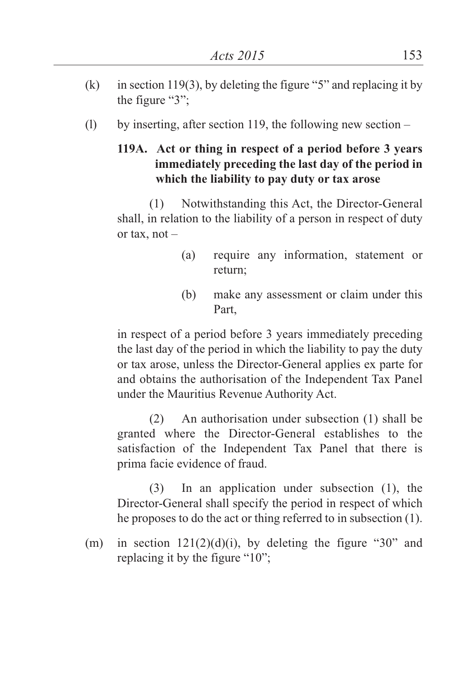- (k) in section 119(3), by deleting the figure "5" and replacing it by the figure "3";
- (l) by inserting, after section 119, the following new section  $-$

### **119A. Act or thing in respect of a period before 3 years immediately preceding the last day of the period in which the liability to pay duty or tax arose**

(1) Notwithstanding this Act, the Director-General shall, in relation to the liability of a person in respect of duty or tax, not –

- (a) require any information, statement or return;
- (b) make any assessment or claim under this Part,

in respect of a period before 3 years immediately preceding the last day of the period in which the liability to pay the duty or tax arose, unless the Director-General applies ex parte for and obtains the authorisation of the Independent Tax Panel under the Mauritius Revenue Authority Act.

(2) An authorisation under subsection (1) shall be granted where the Director-General establishes to the satisfaction of the Independent Tax Panel that there is prima facie evidence of fraud.

(3) In an application under subsection (1), the Director-General shall specify the period in respect of which he proposes to do the act or thing referred to in subsection (1).

(m) in section  $121(2)(d)(i)$ , by deleting the figure "30" and replacing it by the figure "10";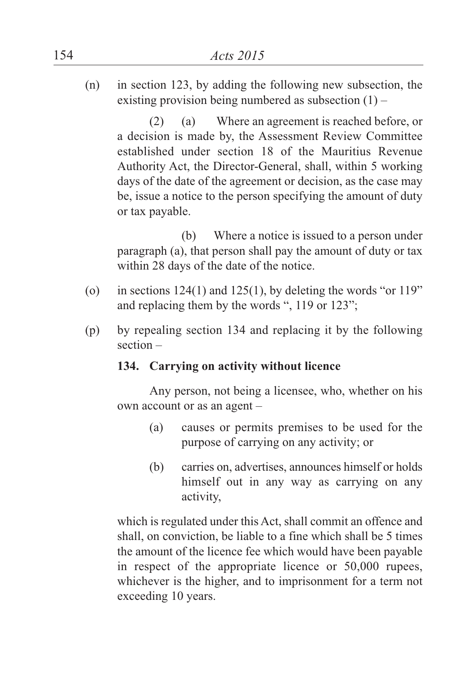(n) in section 123, by adding the following new subsection, the existing provision being numbered as subsection  $(1)$  –

(2) (a) Where an agreement is reached before, or a decision is made by, the Assessment Review Committee established under section 18 of the Mauritius Revenue Authority Act, the Director-General, shall, within 5 working days of the date of the agreement or decision, as the case may be, issue a notice to the person specifying the amount of duty or tax payable.

(b) Where a notice is issued to a person under paragraph (a), that person shall pay the amount of duty or tax within 28 days of the date of the notice.

- (o) in sections  $124(1)$  and  $125(1)$ , by deleting the words "or  $119"$ " and replacing them by the words ", 119 or 123";
- (p) by repealing section 134 and replacing it by the following section –

#### **134. Carrying on activity without licence**

Any person, not being a licensee, who, whether on his own account or as an agent –

- (a) causes or permits premises to be used for the purpose of carrying on any activity; or
- (b) carries on, advertises, announces himself or holds himself out in any way as carrying on any activity,

which is regulated under this Act, shall commit an offence and shall, on conviction, be liable to a fine which shall be 5 times the amount of the licence fee which would have been payable in respect of the appropriate licence or 50,000 rupees, whichever is the higher, and to imprisonment for a term not exceeding 10 years.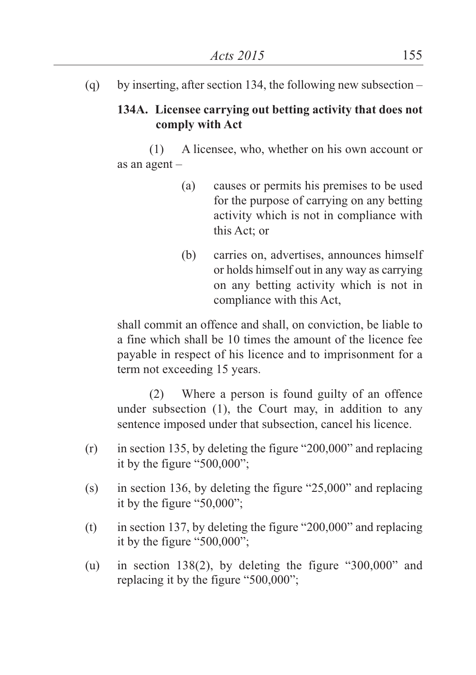(q) by inserting, after section 134, the following new subsection –

## **134A. Licensee carrying out betting activity that does not comply with Act**

(1) A licensee, who, whether on his own account or as an agent –

- (a) causes or permits his premises to be used for the purpose of carrying on any betting activity which is not in compliance with this Act; or
- (b) carries on, advertises, announces himself or holds himself out in any way as carrying on any betting activity which is not in compliance with this Act,

shall commit an offence and shall, on conviction, be liable to a fine which shall be 10 times the amount of the licence fee payable in respect of his licence and to imprisonment for a term not exceeding 15 years.

(2) Where a person is found guilty of an offence under subsection (1), the Court may, in addition to any sentence imposed under that subsection, cancel his licence.

- (r) in section 135, by deleting the figure "200,000" and replacing it by the figure "500,000";
- (s) in section 136, by deleting the figure "25,000" and replacing it by the figure "50,000";
- (t) in section 137, by deleting the figure "200,000" and replacing it by the figure "500,000";
- (u) in section 138(2), by deleting the figure "300,000" and replacing it by the figure "500,000";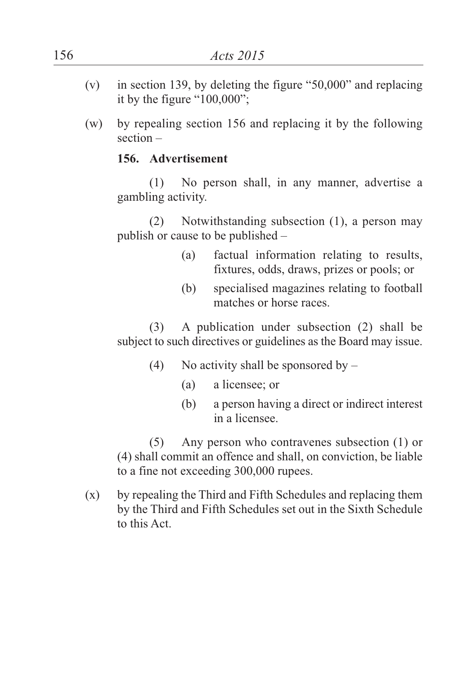- (v) in section 139, by deleting the figure "50,000" and replacing it by the figure "100,000";
- (w) by repealing section 156 and replacing it by the following section –

### **156. Advertisement**

(1) No person shall, in any manner, advertise a gambling activity.

(2) Notwithstanding subsection (1), a person may publish or cause to be published –

- (a) factual information relating to results, fixtures, odds, draws, prizes or pools; or
- (b) specialised magazines relating to football matches or horse races.

(3) A publication under subsection (2) shall be subject to such directives or guidelines as the Board may issue.

- (4) No activity shall be sponsored by  $-$ 
	- (a) a licensee; or
	- (b) a person having a direct or indirect interest in a licensee.

(5) Any person who contravenes subsection (1) or (4) shall commit an offence and shall, on conviction, be liable to a fine not exceeding 300,000 rupees.

(x) by repealing the Third and Fifth Schedules and replacing them by the Third and Fifth Schedules set out in the Sixth Schedule to this Act.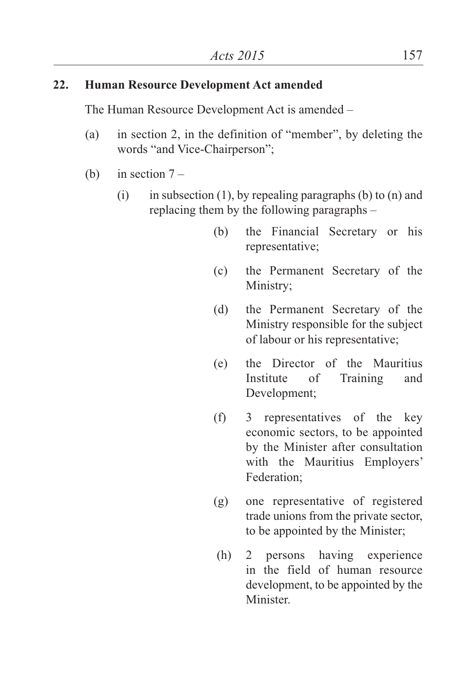### **22. Human Resource Development Act amended**

The Human Resource Development Act is amended –

- (a) in section 2, in the definition of "member", by deleting the words "and Vice-Chairperson";
- (b) in section  $7 -$ 
	- (i) in subsection (1), by repealing paragraphs (b) to (n) and replacing them by the following paragraphs –
		- (b) the Financial Secretary or his representative;
		- (c) the Permanent Secretary of the Ministry;
		- (d) the Permanent Secretary of the Ministry responsible for the subject of labour or his representative;
		- (e) the Director of the Mauritius Institute of Training and Development;
		- (f) 3 representatives of the key economic sectors, to be appointed by the Minister after consultation with the Mauritius Employers' Federation;
		- (g) one representative of registered trade unions from the private sector, to be appointed by the Minister;
		- (h) 2 persons having experience in the field of human resource development, to be appointed by the **Minister**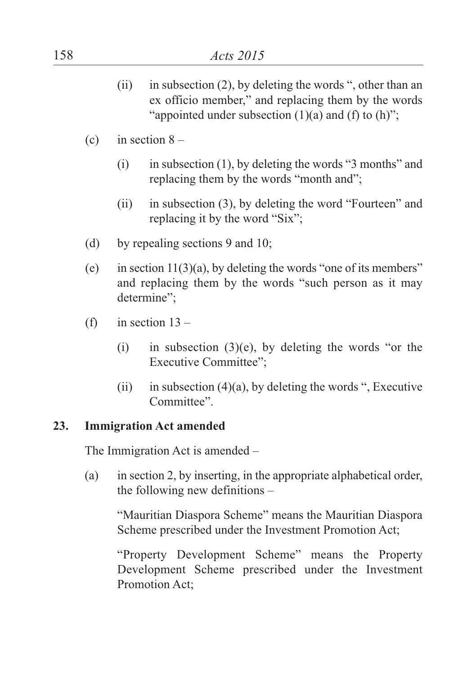- (ii) in subsection (2), by deleting the words ", other than an ex officio member," and replacing them by the words "appointed under subsection  $(1)(a)$  and  $(f)$  to  $(h)$ ":
- (c) in section  $8 -$ 
	- (i) in subsection (1), by deleting the words "3 months" and replacing them by the words "month and";
	- (ii) in subsection (3), by deleting the word "Fourteen" and replacing it by the word "Six";
- (d) by repealing sections 9 and 10;
- (e) in section  $11(3)(a)$ , by deleting the words "one of its members" and replacing them by the words "such person as it may determine";
- (f) in section  $13 -$ 
	- (i) in subsection  $(3)(e)$ , by deleting the words "or the Executive Committee";
	- (ii) in subsection  $(4)(a)$ , by deleting the words ", Executive Committee".

### **23. Immigration Act amended**

The Immigration Act is amended –

(a) in section 2, by inserting, in the appropriate alphabetical order, the following new definitions –

"Mauritian Diaspora Scheme" means the Mauritian Diaspora Scheme prescribed under the Investment Promotion Act;

"Property Development Scheme" means the Property Development Scheme prescribed under the Investment Promotion Act;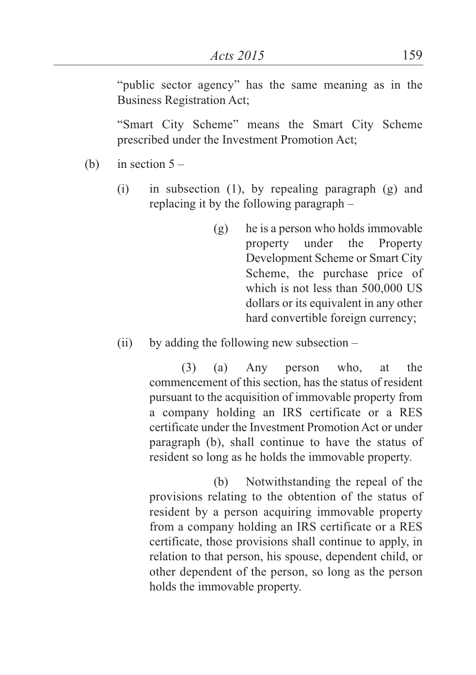"public sector agency" has the same meaning as in the Business Registration Act;

"Smart City Scheme" means the Smart City Scheme prescribed under the Investment Promotion Act;

(b) in section  $5 -$ 

- (i) in subsection (1), by repealing paragraph (g) and replacing it by the following paragraph –
	- (g) he is a person who holds immovable property under the Property Development Scheme or Smart City Scheme, the purchase price of which is not less than 500,000 US dollars or its equivalent in any other hard convertible foreign currency;
- $(ii)$  by adding the following new subsection –

(3) (a) Any person who, at the commencement of this section, has the status of resident pursuant to the acquisition of immovable property from a company holding an IRS certificate or a RES certificate under the Investment Promotion Act or under paragraph (b), shall continue to have the status of resident so long as he holds the immovable property.

(b) Notwithstanding the repeal of the provisions relating to the obtention of the status of resident by a person acquiring immovable property from a company holding an IRS certificate or a RES certificate, those provisions shall continue to apply, in relation to that person, his spouse, dependent child, or other dependent of the person, so long as the person holds the immovable property.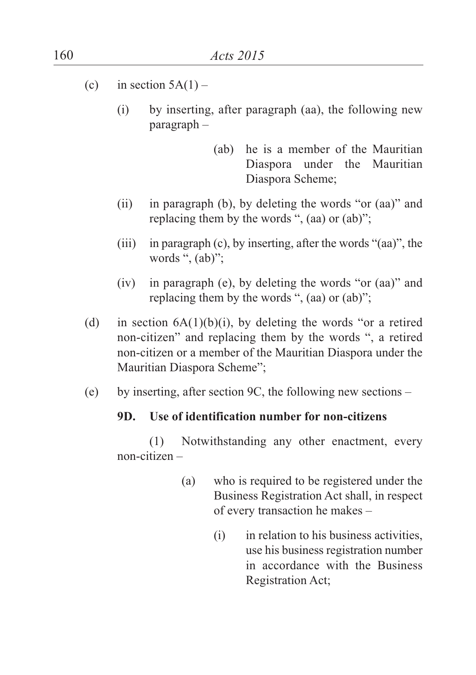- (c) in section  $5A(1)$ 
	- (i) by inserting, after paragraph (aa), the following new paragraph –
		- (ab) he is a member of the Mauritian Diaspora under the Mauritian Diaspora Scheme;
	- (ii) in paragraph (b), by deleting the words "or (aa)" and replacing them by the words ", (aa) or (ab)";
	- (iii) in paragraph (c), by inserting, after the words "(aa)", the words ", (ab)";
	- (iv) in paragraph (e), by deleting the words "or (aa)" and replacing them by the words ", (aa) or (ab)";
- (d) in section  $6A(1)(b)(i)$ , by deleting the words "or a retired non-citizen" and replacing them by the words ", a retired non-citizen or a member of the Mauritian Diaspora under the Mauritian Diaspora Scheme";
- (e) by inserting, after section 9C, the following new sections –

#### **9D. Use of identification number for non-citizens**

(1) Notwithstanding any other enactment, every non-citizen –

- (a) who is required to be registered under the Business Registration Act shall, in respect of every transaction he makes –
	- (i) in relation to his business activities, use his business registration number in accordance with the Business Registration Act;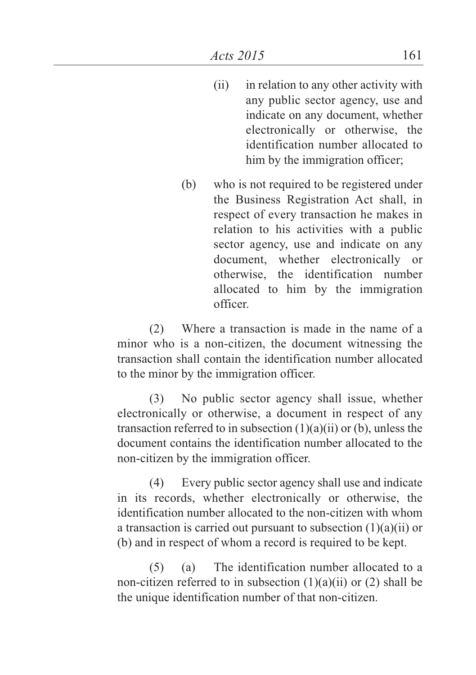- (ii) in relation to any other activity with any public sector agency, use and indicate on any document, whether electronically or otherwise, the identification number allocated to him by the immigration officer;
- (b) who is not required to be registered under the Business Registration Act shall, in respect of every transaction he makes in relation to his activities with a public sector agency, use and indicate on any document, whether electronically or otherwise, the identification number allocated to him by the immigration officer.

(2) Where a transaction is made in the name of a minor who is a non-citizen, the document witnessing the transaction shall contain the identification number allocated to the minor by the immigration officer.

(3) No public sector agency shall issue, whether electronically or otherwise, a document in respect of any transaction referred to in subsection (1)(a)(ii) or (b), unless the document contains the identification number allocated to the non-citizen by the immigration officer.

(4) Every public sector agency shall use and indicate in its records, whether electronically or otherwise, the identification number allocated to the non-citizen with whom a transaction is carried out pursuant to subsection (1)(a)(ii) or (b) and in respect of whom a record is required to be kept.

(5) (a) The identification number allocated to a non-citizen referred to in subsection  $(1)(a)(ii)$  or  $(2)$  shall be the unique identification number of that non-citizen.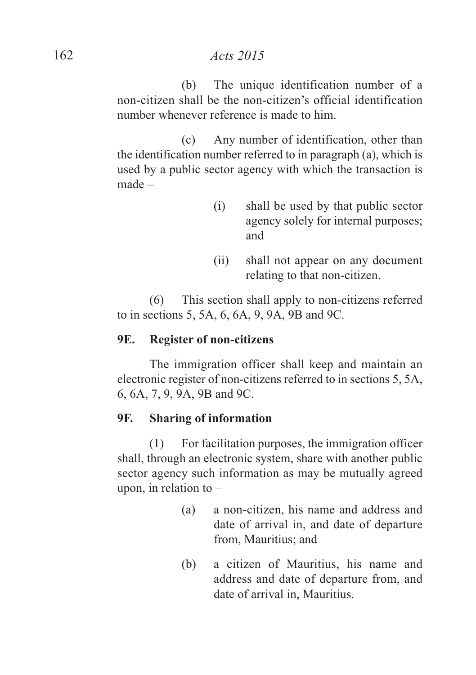(b) The unique identification number of a non-citizen shall be the non-citizen's official identification number whenever reference is made to him.

(c) Any number of identification, other than the identification number referred to in paragraph (a), which is used by a public sector agency with which the transaction is made –

- (i) shall be used by that public sector agency solely for internal purposes; and
- (ii) shall not appear on any document relating to that non-citizen.

(6) This section shall apply to non-citizens referred to in sections 5, 5A, 6, 6A, 9, 9A, 9B and 9C.

#### **9E. Register of non-citizens**

The immigration officer shall keep and maintain an electronic register of non-citizens referred to in sections 5, 5A, 6, 6A, 7, 9, 9A, 9B and 9C.

#### **9F. Sharing of information**

(1) For facilitation purposes, the immigration officer shall, through an electronic system, share with another public sector agency such information as may be mutually agreed upon, in relation to  $-$ 

- (a) a non-citizen, his name and address and date of arrival in, and date of departure from, Mauritius; and
- (b) a citizen of Mauritius, his name and address and date of departure from, and date of arrival in, Mauritius.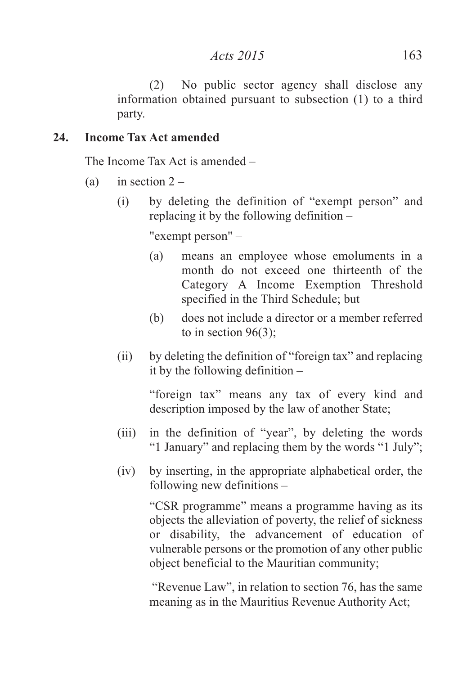(2) No public sector agency shall disclose any information obtained pursuant to subsection (1) to a third party.

## **24. Income Tax Act amended**

The Income Tax Act is amended –

- (a) in section  $2 -$ 
	- (i) by deleting the definition of "exempt person" and replacing it by the following definition –

"exempt person" –

- (a) means an employee whose emoluments in a month do not exceed one thirteenth of the Category A Income Exemption Threshold specified in the Third Schedule; but
- (b) does not include a director or a member referred to in section  $96(3)$ ;
- (ii) by deleting the definition of "foreign tax" and replacing it by the following definition –

"foreign tax" means any tax of every kind and description imposed by the law of another State;

- (iii) in the definition of "year", by deleting the words "1 January" and replacing them by the words "1 July";
- (iv) by inserting, in the appropriate alphabetical order, the following new definitions –

"CSR programme" means a programme having as its objects the alleviation of poverty, the relief of sickness or disability, the advancement of education of vulnerable persons or the promotion of any other public object beneficial to the Mauritian community;

"Revenue Law", in relation to section 76, has the same meaning as in the Mauritius Revenue Authority Act;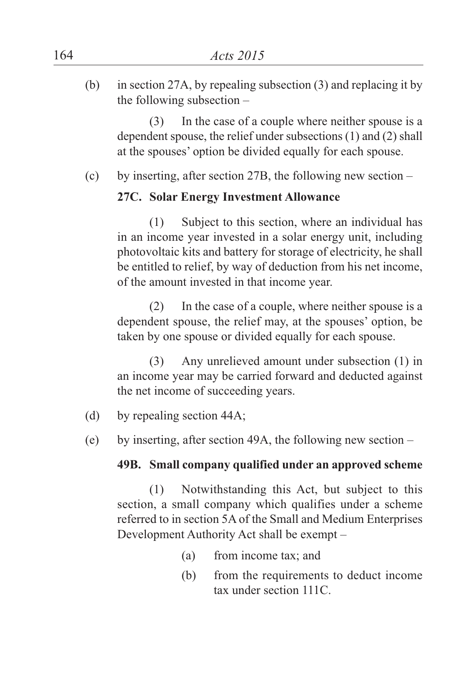(b) in section 27A, by repealing subsection (3) and replacing it by the following subsection –

(3) In the case of a couple where neither spouse is a dependent spouse, the relief under subsections (1) and (2) shall at the spouses' option be divided equally for each spouse.

(c) by inserting, after section 27B, the following new section –

### **27C. Solar Energy Investment Allowance**

(1) Subject to this section, where an individual has in an income year invested in a solar energy unit, including photovoltaic kits and battery for storage of electricity, he shall be entitled to relief, by way of deduction from his net income, of the amount invested in that income year.

(2) In the case of a couple, where neither spouse is a dependent spouse, the relief may, at the spouses' option, be taken by one spouse or divided equally for each spouse.

(3) Any unrelieved amount under subsection (1) in an income year may be carried forward and deducted against the net income of succeeding years.

- (d) by repealing section 44A;
- (e) by inserting, after section 49A, the following new section –

#### **49B. Small company qualified under an approved scheme**

(1) Notwithstanding this Act, but subject to this section, a small company which qualifies under a scheme referred to in section 5A of the Small and Medium Enterprises Development Authority Act shall be exempt –

- (a) from income tax; and
- (b) from the requirements to deduct income tax under section 111C.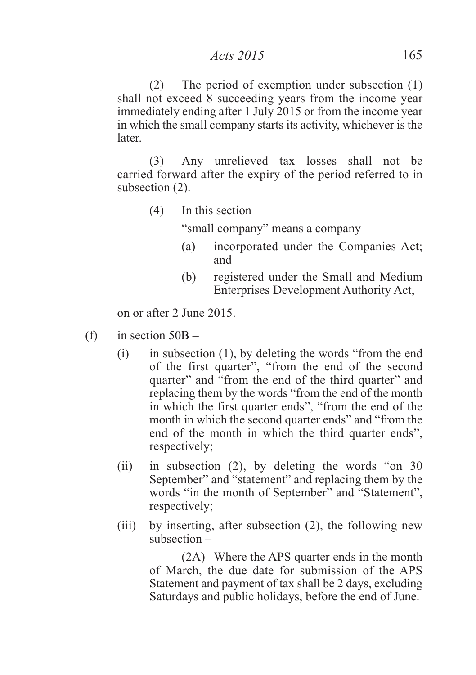(2) The period of exemption under subsection (1) shall not exceed 8 succeeding years from the income year immediately ending after 1 July 2015 or from the income year in which the small company starts its activity, whichever is the later.

(3) Any unrelieved tax losses shall not be carried forward after the expiry of the period referred to in subsection (2).

 $(4)$  In this section –

"small company" means a company –

- (a) incorporated under the Companies Act; and
- (b) registered under the Small and Medium Enterprises Development Authority Act,

on or after 2 June 2015.

- (f) in section  $50B -$ 
	- (i) in subsection (1), by deleting the words "from the end of the first quarter", "from the end of the second quarter" and "from the end of the third quarter" and replacing them by the words "from the end of the month in which the first quarter ends", "from the end of the month in which the second quarter ends" and "from the end of the month in which the third quarter ends", respectively;
	- (ii) in subsection (2), by deleting the words "on 30 September" and "statement" and replacing them by the words "in the month of September" and "Statement", respectively;
	- (iii) by inserting, after subsection (2), the following new subsection –

(2A) Where the APS quarter ends in the month of March, the due date for submission of the APS Statement and payment of tax shall be 2 days, excluding Saturdays and public holidays, before the end of June.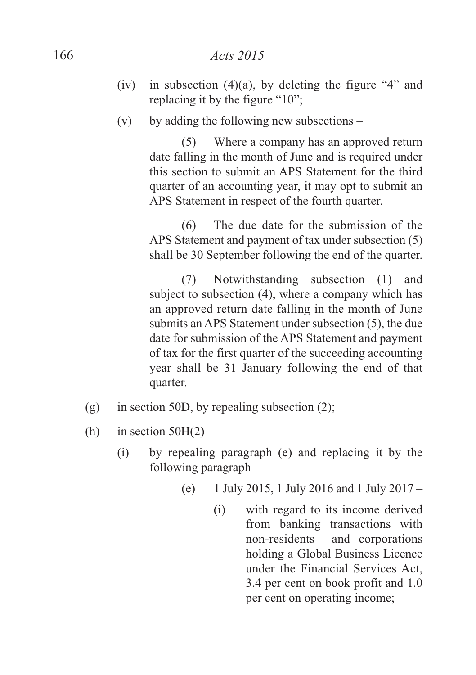- (iv) in subsection  $(4)(a)$ , by deleting the figure "4" and replacing it by the figure "10";
- $(v)$  by adding the following new subsections –

(5) Where a company has an approved return date falling in the month of June and is required under this section to submit an APS Statement for the third quarter of an accounting year, it may opt to submit an APS Statement in respect of the fourth quarter.

(6) The due date for the submission of the APS Statement and payment of tax under subsection (5) shall be 30 September following the end of the quarter.

(7) Notwithstanding subsection (1) and subject to subsection (4), where a company which has an approved return date falling in the month of June submits an APS Statement under subsection (5), the due date for submission of the APS Statement and payment of tax for the first quarter of the succeeding accounting year shall be 31 January following the end of that quarter.

- (g) in section 50D, by repealing subsection  $(2)$ ;
- (h) in section  $50H(2)$ 
	- (i) by repealing paragraph (e) and replacing it by the following paragraph –
		- (e) 1 July 2015, 1 July 2016 and 1 July 2017
			- (i) with regard to its income derived from banking transactions with non-residents and corporations holding a Global Business Licence under the Financial Services Act, 3.4 per cent on book profit and 1.0 per cent on operating income;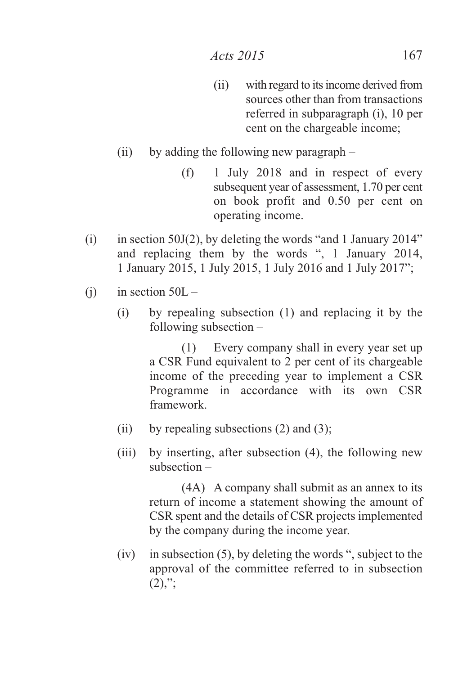- (ii) with regard to itsincome derived from sources other than from transactions referred in subparagraph (i), 10 per cent on the chargeable income;
- (ii) by adding the following new paragraph
	- (f) 1 July 2018 and in respect of every subsequent year of assessment, 1.70 per cent on book profit and 0.50 per cent on operating income.
- (i) in section 50J(2), by deleting the words "and 1 January 2014" and replacing them by the words ", 1 January 2014, 1 January 2015, 1 July 2015, 1 July 2016 and 1 July 2017";
- (i) in section  $50L -$ 
	- (i) by repealing subsection (1) and replacing it by the following subsection –

(1) Every company shall in every year set up a CSR Fund equivalent to 2 per cent of its chargeable income of the preceding year to implement a CSR Programme in accordance with its own CSR framework.

- (ii) by repealing subsections  $(2)$  and  $(3)$ ;
- (iii) by inserting, after subsection (4), the following new subsection –

(4A) A company shall submit as an annex to its return of income a statement showing the amount of CSR spent and the details of CSR projects implemented by the company during the income year.

 $(iv)$  in subsection  $(5)$ , by deleting the words ", subject to the approval of the committee referred to in subsection  $(2),$ ";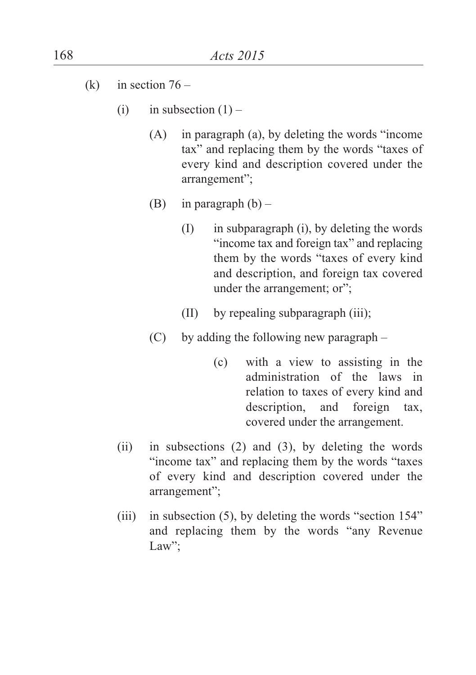- (k) in section  $76 -$ 
	- (i) in subsection  $(1)$ 
		- (A) in paragraph (a), by deleting the words "income tax" and replacing them by the words "taxes of every kind and description covered under the arrangement";
		- (B) in paragraph  $(b)$ 
			- (I) in subparagraph (i), by deleting the words "income tax and foreign tax" and replacing them by the words "taxes of every kind and description, and foreign tax covered under the arrangement; or";
			- (II) by repealing subparagraph (iii);
		- (C) by adding the following new paragraph
			- (c) with a view to assisting in the administration of the laws in relation to taxes of every kind and description, and foreign tax, covered under the arrangement.
	- (ii) in subsections (2) and (3), by deleting the words "income tax" and replacing them by the words "taxes of every kind and description covered under the arrangement";
	- (iii) in subsection (5), by deleting the words "section 154" and replacing them by the words "any Revenue Law":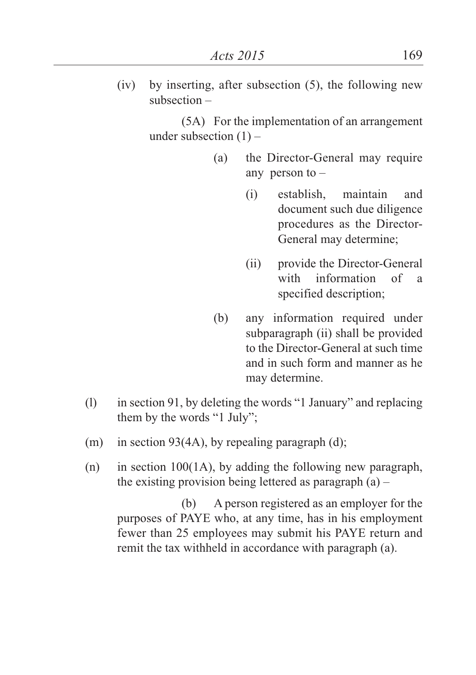(iv) by inserting, after subsection (5), the following new subsection –

> (5A) For the implementation of an arrangement under subsection  $(1)$  –

- (a) the Director-General may require any person to –
	- (i) establish, maintain and document such due diligence procedures as the Director-General may determine;
	- (ii) provide the Director-General with information of a specified description;
- (b) any information required under subparagraph (ii) shall be provided to the Director-General at such time and in such form and manner as he may determine.
- (l) in section 91, by deleting the words "1 January" and replacing them by the words "1 July";
- (m) in section 93(4A), by repealing paragraph (d);
- (n) in section 100(1A), by adding the following new paragraph, the existing provision being lettered as paragraph  $(a)$  –

(b) A person registered as an employer for the purposes of PAYE who, at any time, has in his employment fewer than 25 employees may submit his PAYE return and remit the tax withheld in accordance with paragraph (a).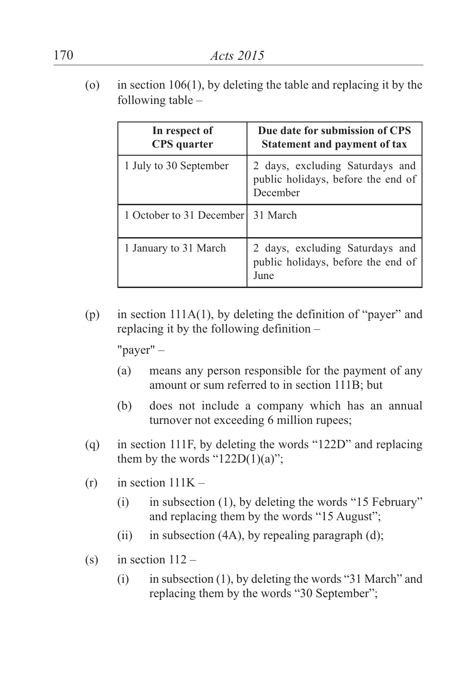(o) in section 106(1), by deleting the table and replacing it by the following table –

| In respect of<br><b>CPS</b> quarter | Due date for submission of CPS<br><b>Statement and payment of tax</b>             |
|-------------------------------------|-----------------------------------------------------------------------------------|
| 1 July to 30 September              | 2 days, excluding Saturdays and<br>public holidays, before the end of<br>December |
| 1 October to 31 December            | 31 March                                                                          |
| 1 January to 31 March               | 2 days, excluding Saturdays and<br>public holidays, before the end of<br>June     |

(p) in section 111A(1), by deleting the definition of "payer" and replacing it by the following definition –

"payer" –

- (a) means any person responsible for the payment of any amount or sum referred to in section 111B; but
- (b) does not include a company which has an annual turnover not exceeding 6 million rupees;
- (q) in section 111F, by deleting the words "122D" and replacing them by the words " $122D(1)(a)$ ";
- $(r)$  in section  $111K -$ 
	- (i) in subsection (1), by deleting the words "15 February" and replacing them by the words "15 August";
	- (ii) in subsection  $(4A)$ , by repealing paragraph  $(d)$ ;
- (s) in section  $112 -$ 
	- (i) in subsection (1), by deleting the words "31 March" and replacing them by the words "30 September";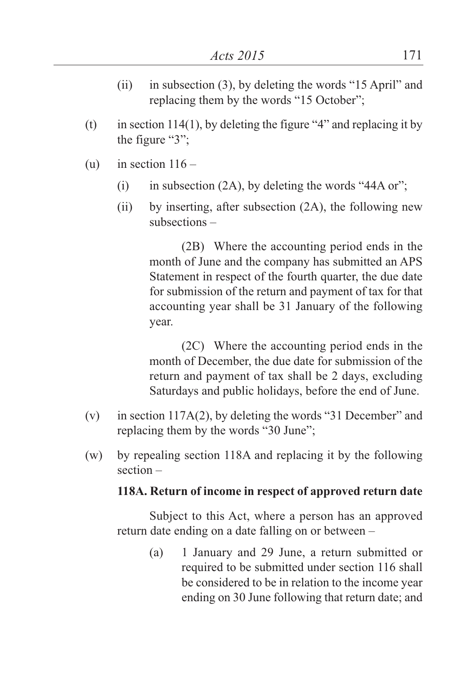- (ii) in subsection (3), by deleting the words "15 April" and replacing them by the words "15 October";
- (t) in section 114(1), by deleting the figure "4" and replacing it by the figure "3";
- (u) in section  $116 -$ 
	- (i) in subsection  $(2A)$ , by deleting the words "44A or";
	- (ii) by inserting, after subsection (2A), the following new subsections –

(2B) Where the accounting period ends in the month of June and the company has submitted an APS Statement in respect of the fourth quarter, the due date for submission of the return and payment of tax for that accounting year shall be 31 January of the following year.

(2C) Where the accounting period ends in the month of December, the due date for submission of the return and payment of tax shall be 2 days, excluding Saturdays and public holidays, before the end of June.

- (v) in section 117A(2), by deleting the words "31 December" and replacing them by the words "30 June";
- (w) by repealing section 118A and replacing it by the following section –

#### **118A. Return of income in respect of approved return date**

Subject to this Act, where a person has an approved return date ending on a date falling on or between –

> (a) 1 January and 29 June, a return submitted or required to be submitted under section 116 shall be considered to be in relation to the income year ending on 30 June following that return date; and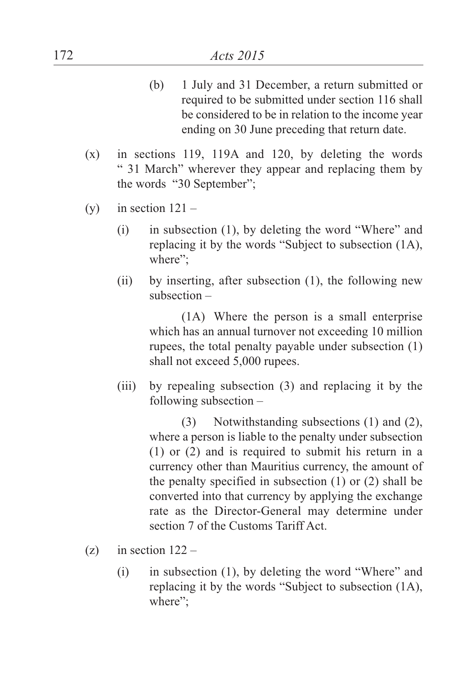- (b) 1 July and 31 December, a return submitted or required to be submitted under section 116 shall be considered to be in relation to the income year ending on 30 June preceding that return date.
- (x) in sections 119, 119A and 120, by deleting the words " 31 March" wherever they appear and replacing them by the words "30 September";
- (y) in section  $121 -$ 
	- (i) in subsection (1), by deleting the word "Where" and replacing it by the words "Subject to subsection (1A), where";
	- (ii) by inserting, after subsection (1), the following new subsection –

(1A) Where the person is a small enterprise which has an annual turnover not exceeding 10 million rupees, the total penalty payable under subsection (1) shall not exceed 5,000 rupees.

(iii) by repealing subsection (3) and replacing it by the following subsection –

> (3) Notwithstanding subsections (1) and (2), where a person is liable to the penalty under subsection (1) or (2) and is required to submit his return in a currency other than Mauritius currency, the amount of the penalty specified in subsection (1) or (2) shall be converted into that currency by applying the exchange rate as the Director-General may determine under section 7 of the Customs Tariff Act.

- (z) in section  $122 -$ 
	- (i) in subsection (1), by deleting the word "Where" and replacing it by the words "Subject to subsection (1A), where":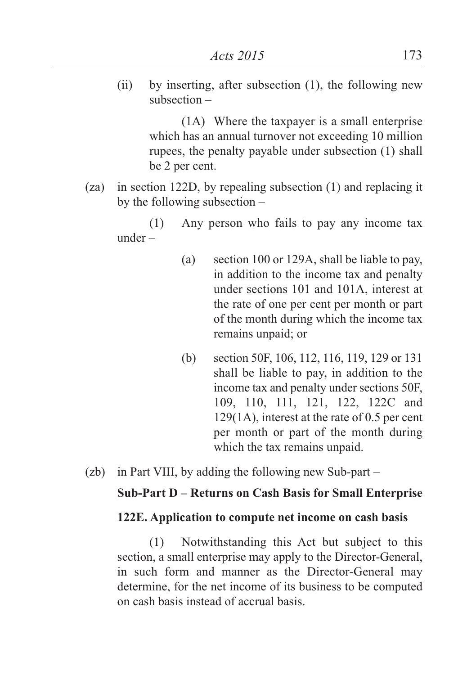(ii) by inserting, after subsection (1), the following new subsection –

> (1A) Where the taxpayer is a small enterprise which has an annual turnover not exceeding 10 million rupees, the penalty payable under subsection (1) shall be 2 per cent.

(za) in section 122D, by repealing subsection (1) and replacing it by the following subsection –

(1) Any person who fails to pay any income tax under –

- (a) section 100 or 129A, shall be liable to pay, in addition to the income tax and penalty under sections 101 and 101A, interest at the rate of one per cent per month or part of the month during which the income tax remains unpaid; or
- (b) section 50F, 106, 112, 116, 119, 129 or 131 shall be liable to pay, in addition to the income tax and penalty under sections 50F, 109, 110, 111, 121, 122, 122C and 129(1A), interest at the rate of 0.5 per cent per month or part of the month during which the tax remains unpaid.
- (zb) in Part VIII, by adding the following new Sub-part –

#### **Sub-Part D – Returns on Cash Basis for Small Enterprise**

#### **122E. Application to compute net income on cash basis**

(1) Notwithstanding this Act but subject to this section, a small enterprise may apply to the Director-General, in such form and manner as the Director-General may determine, for the net income of its business to be computed on cash basis instead of accrual basis.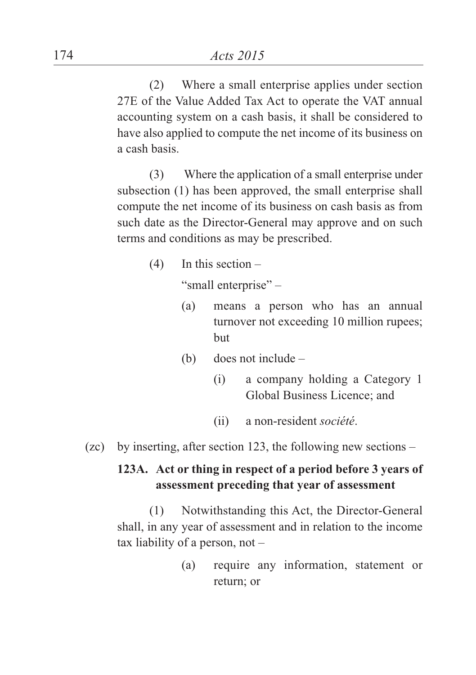(2) Where a small enterprise applies under section 27E of the Value Added Tax Act to operate the VAT annual accounting system on a cash basis, it shall be considered to have also applied to compute the net income of its business on a cash basis.

(3) Where the application of a small enterprise under subsection (1) has been approved, the small enterprise shall compute the net income of its business on cash basis as from such date as the Director-General may approve and on such terms and conditions as may be prescribed.

 $(4)$  In this section –

"small enterprise" –

- (a) means a person who has an annual turnover not exceeding 10 million rupees; but
- (b) does not include
	- (i) a company holding a Category 1 Global Business Licence; and
	- (ii) a non-resident *société*.

(zc) by inserting, after section 123, the following new sections –

## **123A. Act or thing in respect of a period before 3 years of assessment preceding that year of assessment**

(1) Notwithstanding this Act, the Director-General shall, in any year of assessment and in relation to the income tax liability of a person, not –

> (a) require any information, statement or return; or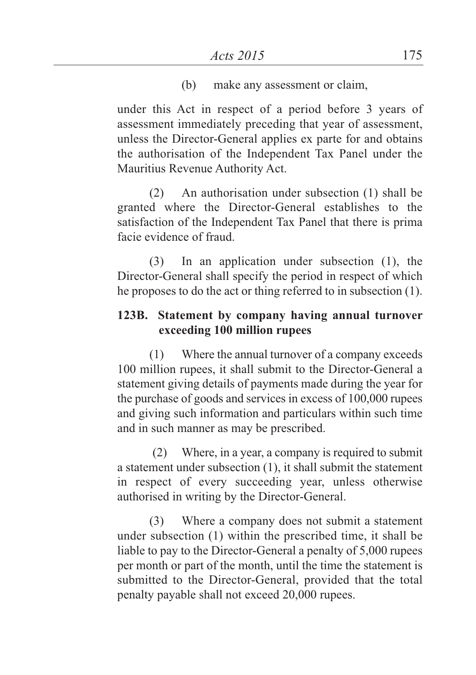(b) make any assessment or claim,

under this Act in respect of a period before 3 years of assessment immediately preceding that year of assessment, unless the Director-General applies ex parte for and obtains the authorisation of the Independent Tax Panel under the Mauritius Revenue Authority Act.

(2) An authorisation under subsection (1) shall be granted where the Director-General establishes to the satisfaction of the Independent Tax Panel that there is prima facie evidence of fraud.

(3) In an application under subsection (1), the Director-General shall specify the period in respect of which he proposes to do the act or thing referred to in subsection (1).

## **123B. Statement by company having annual turnover exceeding 100 million rupees**

(1) Where the annual turnover of a company exceeds 100 million rupees, it shall submit to the Director-General a statement giving details of payments made during the year for the purchase of goods and services in excess of 100,000 rupees and giving such information and particulars within such time and in such manner as may be prescribed.

(2) Where, in a year, a company is required to submit a statement under subsection (1), it shall submit the statement in respect of every succeeding year, unless otherwise authorised in writing by the Director-General.

(3) Where a company does not submit a statement under subsection (1) within the prescribed time, it shall be liable to pay to the Director-General a penalty of 5,000 rupees per month or part of the month, until the time the statement is submitted to the Director-General, provided that the total penalty payable shall not exceed 20,000 rupees.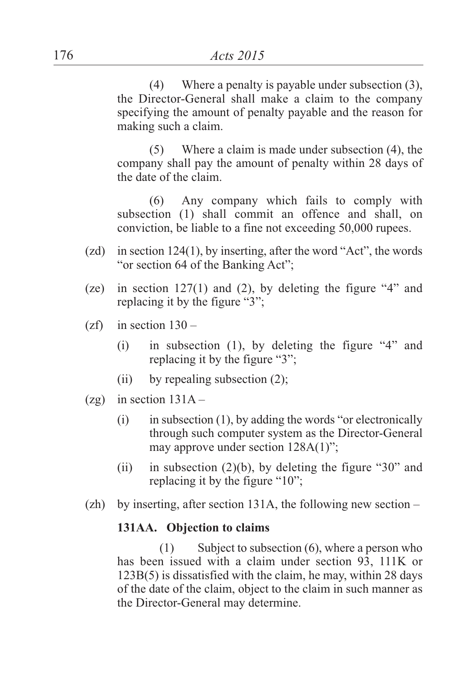(4) Where a penalty is payable under subsection (3), the Director-General shall make a claim to the company specifying the amount of penalty payable and the reason for making such a claim.

(5) Where a claim is made under subsection (4), the company shall pay the amount of penalty within 28 days of the date of the claim.

(6) Any company which fails to comply with subsection (1) shall commit an offence and shall, on conviction, be liable to a fine not exceeding 50,000 rupees.

- (zd) in section 124(1), by inserting, after the word "Act", the words "or section 64 of the Banking Act";
- (ze) in section 127(1) and (2), by deleting the figure "4" and replacing it by the figure "3";
- $(zf)$  in section  $130 -$ 
	- (i) in subsection (1), by deleting the figure "4" and replacing it by the figure "3";
	- (ii) by repealing subsection (2);
- (zg) in section  $131A -$ 
	- $(i)$  in subsection (1), by adding the words "or electronically through such computer system as the Director-General may approve under section 128A(1)";
	- (ii) in subsection  $(2)(b)$ , by deleting the figure "30" and replacing it by the figure "10";
- (zh) by inserting, after section 131A, the following new section –

#### **131AA. Objection to claims**

(1) Subject to subsection (6), where a person who has been issued with a claim under section 93, 111K or 123B(5) is dissatisfied with the claim, he may, within 28 days of the date of the claim, object to the claim in such manner as the Director-General may determine.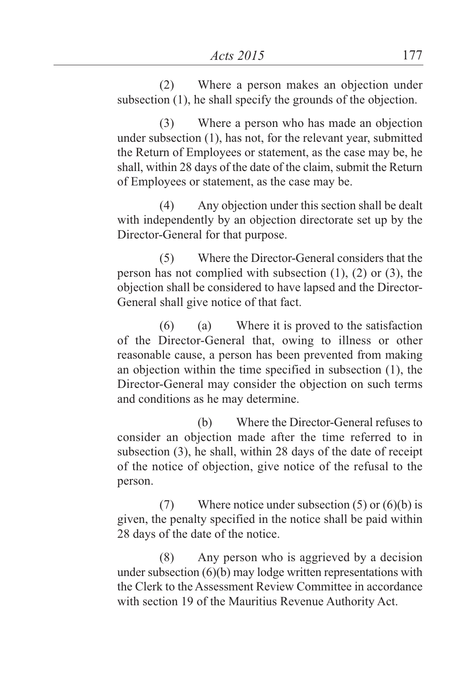(2) Where a person makes an objection under subsection (1), he shall specify the grounds of the objection.

(3) Where a person who has made an objection under subsection (1), has not, for the relevant year, submitted the Return of Employees or statement, as the case may be, he shall, within 28 days of the date of the claim, submit the Return of Employees or statement, as the case may be.

(4) Any objection under this section shall be dealt with independently by an objection directorate set up by the Director-General for that purpose.

(5) Where the Director-General considers that the person has not complied with subsection (1), (2) or (3), the objection shall be considered to have lapsed and the Director-General shall give notice of that fact.

(6) (a) Where it is proved to the satisfaction of the Director-General that, owing to illness or other reasonable cause, a person has been prevented from making an objection within the time specified in subsection (1), the Director-General may consider the objection on such terms and conditions as he may determine.

(b) Where the Director-General refuses to consider an objection made after the time referred to in subsection (3), he shall, within 28 days of the date of receipt of the notice of objection, give notice of the refusal to the person.

(7) Where notice under subsection  $(5)$  or  $(6)(b)$  is given, the penalty specified in the notice shall be paid within 28 days of the date of the notice.

(8) Any person who is aggrieved by a decision under subsection (6)(b) may lodge written representations with the Clerk to the Assessment Review Committee in accordance with section 19 of the Mauritius Revenue Authority Act.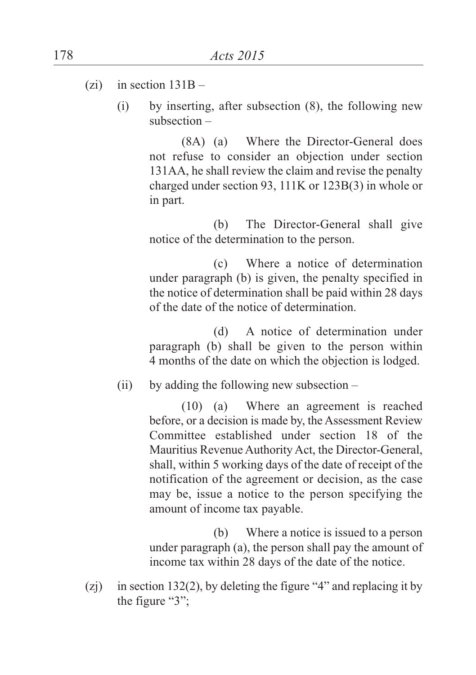- (zi) in section  $131B -$ 
	- (i) by inserting, after subsection (8), the following new subsection –

(8A) (a) Where the Director-General does not refuse to consider an objection under section 131AA, he shall review the claim and revise the penalty charged under section 93, 111K or 123B(3) in whole or in part.

(b) The Director-General shall give notice of the determination to the person.

(c) Where a notice of determination under paragraph (b) is given, the penalty specified in the notice of determination shall be paid within 28 days of the date of the notice of determination.

(d) A notice of determination under paragraph (b) shall be given to the person within 4 months of the date on which the objection is lodged.

(ii) by adding the following new subsection –

(10) (a) Where an agreement is reached before, or a decision is made by, the Assessment Review Committee established under section 18 of the Mauritius Revenue Authority Act, the Director-General, shall, within 5 working days of the date of receipt of the notification of the agreement or decision, as the case may be, issue a notice to the person specifying the amount of income tax payable.

(b) Where a notice is issued to a person under paragraph (a), the person shall pay the amount of income tax within 28 days of the date of the notice.

(zj) in section 132(2), by deleting the figure "4" and replacing it by the figure "3";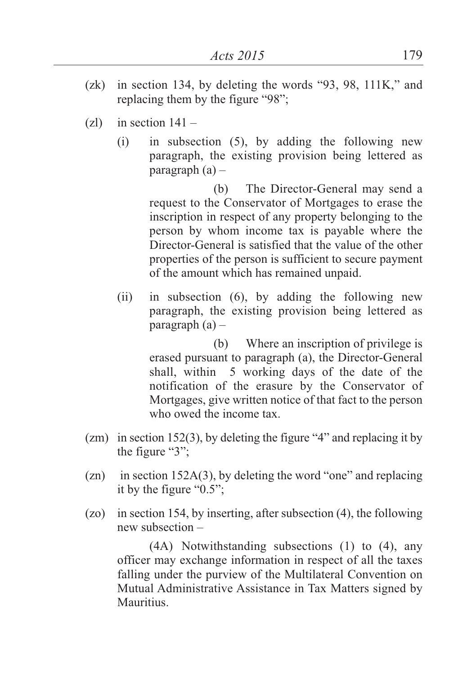- (zk) in section 134, by deleting the words "93, 98, 111K," and replacing them by the figure "98";
- $(z)$  in section  $141 -$ 
	- (i) in subsection (5), by adding the following new paragraph, the existing provision being lettered as paragraph  $(a)$  –

(b) The Director-General may send a request to the Conservator of Mortgages to erase the inscription in respect of any property belonging to the person by whom income tax is payable where the Director-General is satisfied that the value of the other properties of the person is sufficient to secure payment of the amount which has remained unpaid.

(ii) in subsection (6), by adding the following new paragraph, the existing provision being lettered as paragraph  $(a)$  –

> (b) Where an inscription of privilege is erased pursuant to paragraph (a), the Director-General shall, within 5 working days of the date of the notification of the erasure by the Conservator of Mortgages, give written notice of that fact to the person who owed the income tax.

- (zm) in section 152(3), by deleting the figure "4" and replacing it by the figure "3";
- (zn) in section 152A(3), by deleting the word "one" and replacing it by the figure "0.5";
- (zo) in section 154, by inserting, after subsection (4), the following new subsection –

(4A) Notwithstanding subsections (1) to (4), any officer may exchange information in respect of all the taxes falling under the purview of the Multilateral Convention on Mutual Administrative Assistance in Tax Matters signed by Mauritius.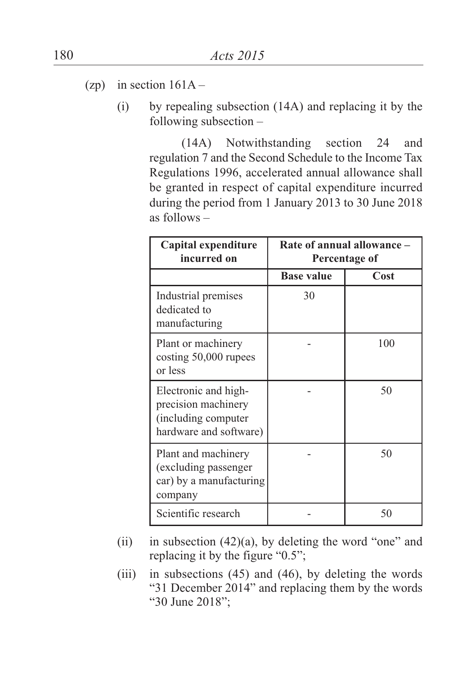- (zp) in section  $161A -$ 
	- (i) by repealing subsection (14A) and replacing it by the following subsection –

(14A) Notwithstanding section 24 and regulation 7 and the Second Schedule to the Income Tax Regulations 1996, accelerated annual allowance shall be granted in respect of capital expenditure incurred during the period from 1 January 2013 to 30 June 2018 as follows –

| Capital expenditure<br>incurred on                                                           | Rate of annual allowance -<br>Percentage of |      |
|----------------------------------------------------------------------------------------------|---------------------------------------------|------|
|                                                                                              | <b>Base value</b>                           | Cost |
| Industrial premises<br>dedicated to<br>manufacturing                                         | 30                                          |      |
| Plant or machinery<br>costing 50,000 rupees<br>or less                                       |                                             | 100  |
| Electronic and high-<br>precision machinery<br>(including computer<br>hardware and software) |                                             | 50   |
| Plant and machinery<br>(excluding passenger<br>car) by a manufacturing<br>company            |                                             | 50   |
| Scientific research                                                                          |                                             | 50   |

- (ii) in subsection  $(42)(a)$ , by deleting the word "one" and replacing it by the figure "0.5";
- (iii) in subsections  $(45)$  and  $(46)$ , by deleting the words "31 December 2014" and replacing them by the words "30 June 2018";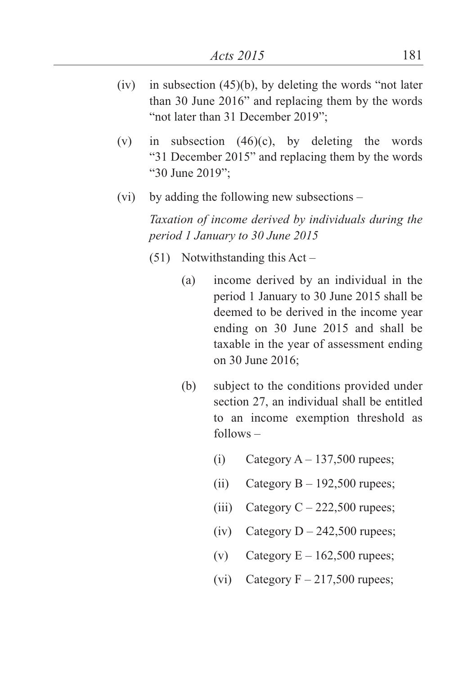- $(iv)$  in subsection  $(45)(b)$ , by deleting the words "not later than 30 June 2016" and replacing them by the words "not later than 31 December 2019";
- (v) in subsection  $(46)(c)$ , by deleting the words "31 December 2015" and replacing them by the words "30 June 2019";
- (vi) by adding the following new subsections –

*Taxation of income derived by individuals during the period 1 January to 30 June 2015*

- (51) Notwithstanding this Act
	- (a) income derived by an individual in the period 1 January to 30 June 2015 shall be deemed to be derived in the income year ending on 30 June 2015 and shall be taxable in the year of assessment ending on 30 June 2016;
	- (b) subject to the conditions provided under section 27, an individual shall be entitled to an income exemption threshold as follows –
		- (i) Category  $A 137,500$  rupees;
		- (ii) Category  $B 192,500$  rupees:
		- (iii) Category  $C 222,500$  rupees;
		- (iv) Category  $D 242,500$  rupees;
		- (v) Category  $E 162,500$  rupees;
		- (vi) Category  $F 217,500$  rupees;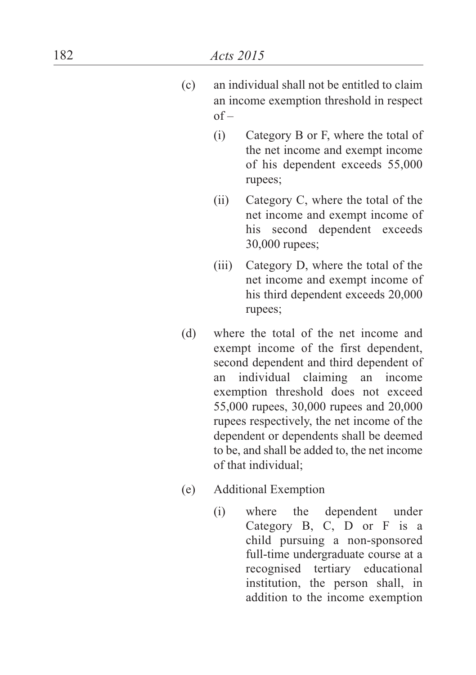- ( c ) an individual shall not be entitled to claim an income exemption threshold in respect o f –
	- (i ) Category B or F, where the total of the net income and exempt income of his dependent exceeds 55,000 rupees;
	- ( i i ) Category C, where the total of the net income and exempt income of his second dependent exceeds 30,000 rupees;
	- (iii) Category D, where the total of the net income and exempt income of his third dependent exceeds 20,000 rupees;
- ( d ) where the total of the net income and exempt income of the first dependent, second dependent and third dependent of a n individual claiming an income exemption threshold does not exceed 55,000 rupees, 30,000 rupees and 20,000 rupees respectively, the net income of the dependent or dependents shall be deemed to be, and shall be added to, the net income of that individual;
- ( e ) Additional Exemption
	- (i) where t h e dependent under Category B, C, D or F is a child pursuing a non-sponsored full-time undergraduate course at a recognised tertiary educational institution, the person shall, in addition to the income exemption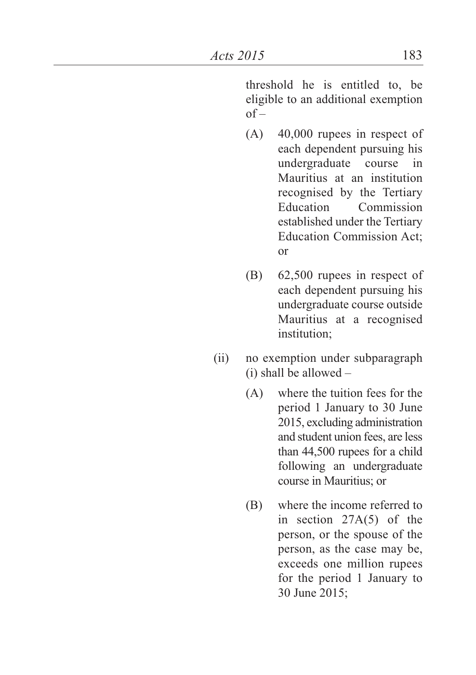threshold he is entitled to, be eligible to an additional exemption  $of -$ 

- (A) 40,000 rupees in respect of each dependent pursuing his undergraduate course in Mauritius at an institution recognised by the Tertiary<br>Education Commission Commission established under the Tertiary Education Commission Act; or
- (B) 62,500 rupees in respect of each dependent pursuing his undergraduate course outside Mauritius at a recognised institution;
- (ii) no exemption under subparagraph (i) shall be allowed –
	- (A) where the tuition fees for the period 1 January to 30 June 2015, excluding administration and student union fees, are less than 44,500 rupees for a child following an undergraduate course in Mauritius; or
	- (B) where the income referred to in section 27A(5) of the person, or the spouse of the person, as the case may be, exceeds one million rupees for the period 1 January to 30 June 2015;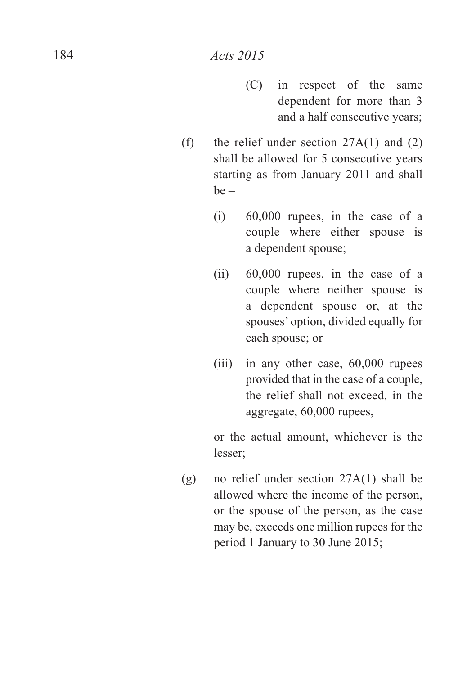- (C) in respect of the same dependent for more than 3 and a half consecutive years;
- (f) the relief under section  $27A(1)$  and  $(2)$ shall be allowed for 5 consecutive years starting as from January 2011 and shall  $be -$ 
	- (i) 60,000 rupees, in the case of a couple where either spouse is a dependent spouse;
	- (ii) 60,000 rupees, in the case of a couple where neither spouse is a dependent spouse or, at the spouses' option, divided equally for each spouse; or
	- (iii) in any other case, 60,000 rupees provided that in the case of a couple, the relief shall not exceed, in the aggregate, 60,000 rupees,

or the actual amount, whichever is the lesser;

(g) no relief under section 27A(1) shall be allowed where the income of the person, or the spouse of the person, as the case may be, exceeds one million rupees for the period 1 January to 30 June 2015;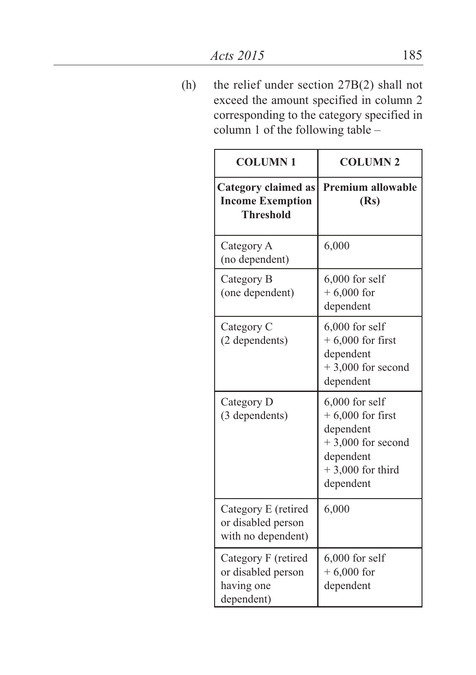(h) the relief under section 27B(2) shall not exceed the amount specified in column 2 corresponding to the category specified in column 1 of the following table –

| <b>COLUMN1</b>                                                            | <b>COLUMN 2</b>                                                                                                            |
|---------------------------------------------------------------------------|----------------------------------------------------------------------------------------------------------------------------|
| <b>Category claimed as</b><br><b>Income Exemption</b><br><b>Threshold</b> | <b>Premium allowable</b><br>(Rs)                                                                                           |
| Category A<br>(no dependent)                                              | 6,000                                                                                                                      |
| Category B<br>(one dependent)                                             | $6,000$ for self<br>$+6,000$ for<br>dependent                                                                              |
| Category C<br>(2 dependents)                                              | $6,000$ for self<br>$+6,000$ for first<br>dependent<br>$+3,000$ for second<br>dependent                                    |
| Category D<br>(3 dependents)                                              | $6,000$ for self<br>$+6,000$ for first<br>dependent<br>$+3,000$ for second<br>dependent<br>$+3,000$ for third<br>dependent |
| Category E (retired<br>or disabled person<br>with no dependent)           | 6,000                                                                                                                      |
| Category F (retired<br>or disabled person<br>having one<br>dependent)     | $6,000$ for self<br>$+6,000$ for<br>dependent                                                                              |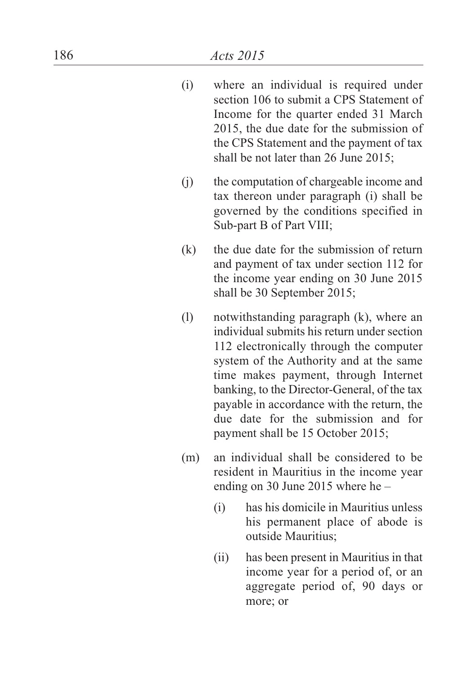| (i) | where an individual is required under    |
|-----|------------------------------------------|
|     | section 106 to submit a CPS Statement of |
|     | Income for the quarter ended 31 March    |
|     | 2015, the due date for the submission of |
|     | the CPS Statement and the payment of tax |
|     | shall be not later than 26 June 2015;    |

- (j ) the computation of chargeable income and tax thereon under paragraph (i) shall be governed by the conditions specified in Sub-part B of Part VIII;
- ( k ) the due date for the submission of return and payment of tax under section 112 for the income year ending on 30 June 2015 shall be 30 September 2015;
- ( l ) notwithstanding paragraph (k), where an individual submits his return under section 112 electronically through the computer system of the Authority and at the same time makes payment, through Internet banking, to the Director-General, of the tax payable in accordance with the return, the due date for the submission and for payment shall be 15 October 2015;
- (m ) an individual shall be considered to be resident in Mauritius in the income year ending on 30 June 2015 where he -
	- (i ) has his domicile in Mauritius unless his permanent place of abode is outside Mauritius;
	- ( i i ) has been present in Mauritius in that income year for a period of, or an aggregate period of, 90 days or more; or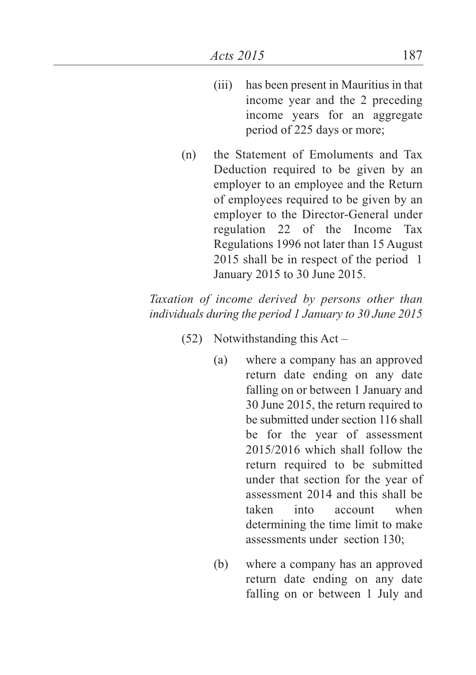- (iii) has been present in Mauritius in that income year and the 2 preceding income years for an aggregate period of 225 days or more;
- (n) the Statement of Emoluments and Tax Deduction required to be given by an employer to an employee and the Return of employees required to be given by an employer to the Director-General under regulation 22 of the Income Tax Regulations 1996 not later than 15 August 2015 shall be in respect of the period 1 January 2015 to 30 June 2015.

*Taxation of income derived by persons other than individuals during the period 1 January to 30 June 2015*

- (52) Notwithstanding this Act
	- (a) where a company has an approved return date ending on any date falling on or between 1 January and 30 June 2015, the return required to be submitted under section 116 shall be for the year of assessment 2015/2016 which shall follow the return required to be submitted under that section for the year of assessment 2014 and this shall be taken into account when determining the time limit to make assessments under section 130;
	- (b) where a company has an approved return date ending on any date falling on or between 1 July and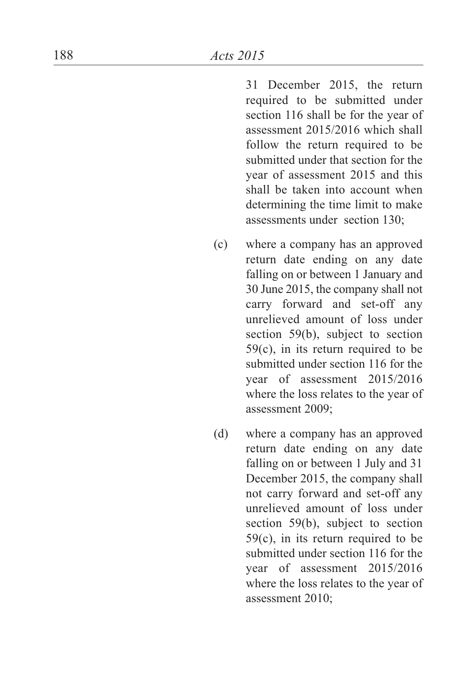31 December 2015, the return required to be submitted under section 116 shall be for the year of assessment 2015/2016 which shall follow the return required to be submitted under that section for the year of assessment 2015 and this shall be taken into account when determining the time limit to make assessments under section 130;

- ( c ) where a company has an approved return date ending on any date falling on or between 1 January and 30 June 2015, the company shall not carry forward and set-off any unrelieved amount of loss under section  $59(b)$ , subject to section  $59(c)$ , in its return required to be submitted under section 116 for the year of assessment 2015/2016 where the loss relates to the year of assessment 2009;
- ( d ) where a company has an approved return date ending on any date falling on or between 1 July and 31 December 2015, the company shall not carry forward and set-off any unrelieved amount of loss under section 59(b), subject to section  $59(c)$ , in its return required to be submitted under section 116 for the year of assessment 2015/2016 where the loss relates to the year of assessment 2010;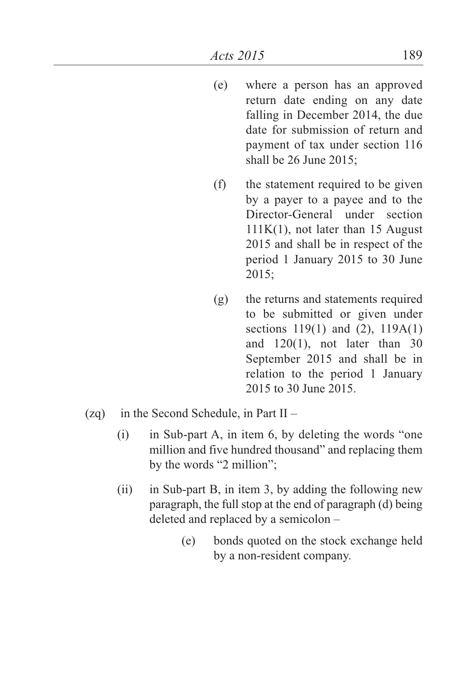- (e) where a person has an approved return date ending on any date falling in December 2014, the due date for submission of return and payment of tax under section 116 shall be 26 June 2015;
- (f) the statement required to be given by a payer to a payee and to the Director-General under section 111K(1), not later than 15 August 2015 and shall be in respect of the period 1 January 2015 to 30 June 2015;
- (g) the returns and statements required to be submitted or given under sections 119(1) and (2), 119A(1) and 120(1), not later than 30 September 2015 and shall be in relation to the period 1 January 2015 to 30 June 2015.
- (zq) in the Second Schedule, in Part II
	- (i) in Sub-part A, in item 6, by deleting the words "one million and five hundred thousand" and replacing them by the words "2 million";
	- (ii) in Sub-part B, in item 3, by adding the following new paragraph, the full stop at the end of paragraph (d) being deleted and replaced by a semicolon –
		- (e) bonds quoted on the stock exchange held by a non-resident company.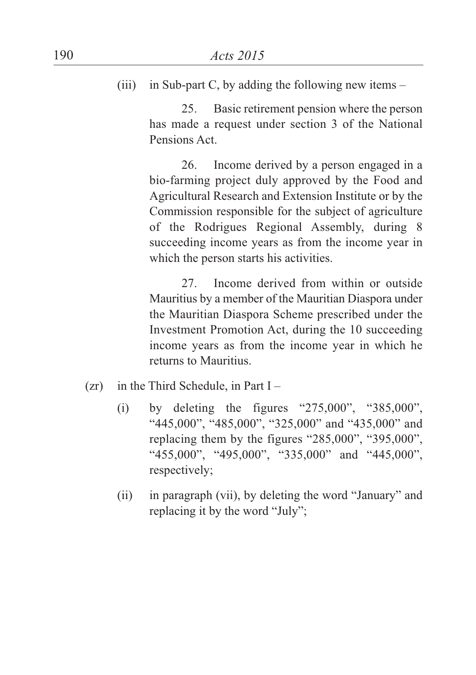(iii) in Sub-part C, by adding the following new items  $-$ 

25. Basic retirement pension where the person has made a request under section 3 of the National Pensions Act.

26. Income derived by a person engaged in a bio-farming project duly approved by the Food and Agricultural Research and Extension Institute or by the Commission responsible for the subject of agriculture of the Rodrigues Regional Assembly, during 8 succeeding income years as from the income year in which the person starts his activities.

27. Income derived from within or outside Mauritius by a member of the Mauritian Diaspora under the Mauritian Diaspora Scheme prescribed under the Investment Promotion Act, during the 10 succeeding income years as from the income year in which he returns to Mauritius.

- $(zr)$  in the Third Schedule, in Part I
	- (i) by deleting the figures "275,000", "385,000", "445,000", "485,000", "325,000" and "435,000" and replacing them by the figures "285,000", "395,000", "455,000", "495,000", "335,000" and "445,000", respectively;
	- (ii) in paragraph (vii), by deleting the word "January" and replacing it by the word "July";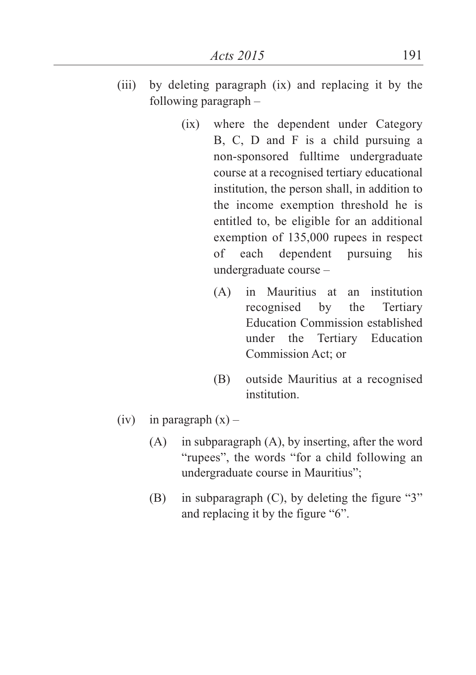- (iii) by deleting paragraph (ix) and replacing it by the following paragraph –
	- (ix) where the dependent under Category B, C, D and F is a child pursuing a non-sponsored fulltime undergraduate course at a recognised tertiary educational institution, the person shall, in addition to the income exemption threshold he is entitled to, be eligible for an additional exemption of 135,000 rupees in respect of each dependent pursuing his undergraduate course –
		- (A) in Mauritius at an institution recognised by the Tertiary Education Commission established under the Tertiary Education Commission Act; or
		- (B) outside Mauritius at a recognised institution.
- (iv) in paragraph  $(x)$ 
	- (A) in subparagraph (A), by inserting, after the word "rupees", the words "for a child following an undergraduate course in Mauritius";
	- (B) in subparagraph (C), by deleting the figure "3" and replacing it by the figure "6".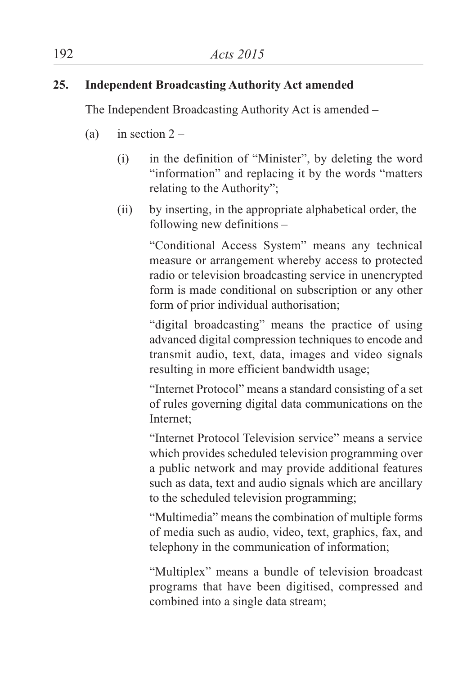## **25. Independent Broadcasting Authority Act amended**

The Independent Broadcasting Authority Act is amended –

- (a) in section  $2 -$ 
	- (i) in the definition of "Minister", by deleting the word "information" and replacing it by the words "matters relating to the Authority";
	- (ii) by inserting, in the appropriate alphabetical order, the following new definitions –

"Conditional Access System" means any technical measure or arrangement whereby access to protected radio or television broadcasting service in unencrypted form is made conditional on subscription or any other form of prior individual authorisation;

"digital broadcasting" means the practice of using advanced digital compression techniques to encode and transmit audio, text, data, images and video signals resulting in more efficient bandwidth usage;

"Internet Protocol" means a standard consisting of a set of rules governing digital data communications on the Internet;

"Internet Protocol Television service" means a service which provides scheduled television programming over a public network and may provide additional features such as data, text and audio signals which are ancillary to the scheduled television programming;

"Multimedia" means the combination of multiple forms of media such as audio, video, text, graphics, fax, and telephony in the communication of information;

"Multiplex" means a bundle of television broadcast programs that have been digitised, compressed and combined into a single data stream;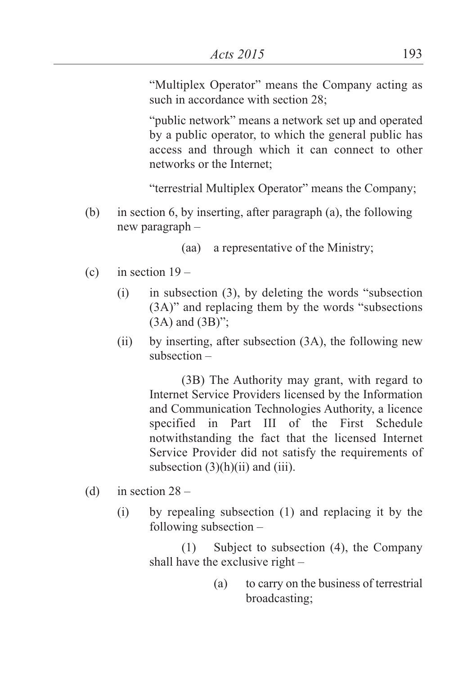"Multiplex Operator" means the Company acting as such in accordance with section 28:

"public network" means a network set up and operated by a public operator, to which the general public has access and through which it can connect to other networks or the Internet;

"terrestrial Multiplex Operator" means the Company;

(b) in section 6, by inserting, after paragraph (a), the following new paragraph –

(aa) a representative of the Ministry;

- (c) in section  $19 -$ 
	- (i) in subsection (3), by deleting the words "subsection (3A)" and replacing them by the words "subsections (3A) and (3B)";
	- (ii) by inserting, after subsection (3A), the following new subsection –

(3B) The Authority may grant, with regard to Internet Service Providers licensed by the Information and Communication Technologies Authority, a licence specified in Part III of the First Schedule notwithstanding the fact that the licensed Internet Service Provider did not satisfy the requirements of subsection  $(3)(h)(ii)$  and  $(iii)$ .

- (d) in section  $28 -$ 
	- (i) by repealing subsection (1) and replacing it by the following subsection –

(1) Subject to subsection (4), the Company shall have the exclusive right –

> (a) to carry on the business of terrestrial broadcasting;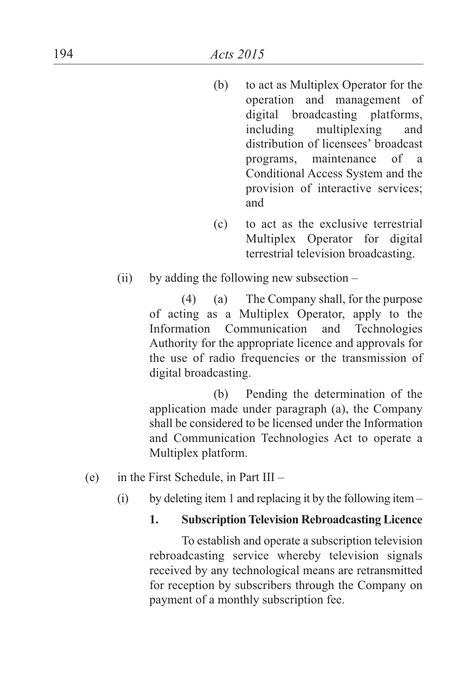- (b) to act as Multiplex Operator for the operation and management of digital broadcasting platforms, including multiplexing and distribution of licensees' broadcast programs, maintenance of a Conditional Access System and the provision of interactive services; and
- (c) to act as the exclusive terrestrial Multiplex Operator for digital terrestrial television broadcasting.
- (ii) by adding the following new subsection  $-$

(4) (a) The Company shall, for the purpose of acting as a Multiplex Operator, apply to the Information Communication and Technologies Authority for the appropriate licence and approvals for the use of radio frequencies or the transmission of digital broadcasting.

(b) Pending the determination of the application made under paragraph (a), the Company shall be considered to be licensed under the Information and Communication Technologies Act to operate a Multiplex platform.

- (e) in the First Schedule, in Part III
	- (i) by deleting item 1 and replacing it by the following item  $-$

#### **1. SubscriptionTelevision Rebroadcasting Licence**

To establish and operate a subscription television rebroadcasting service whereby television signals received by any technological means are retransmitted for reception by subscribers through the Company on payment of a monthly subscription fee.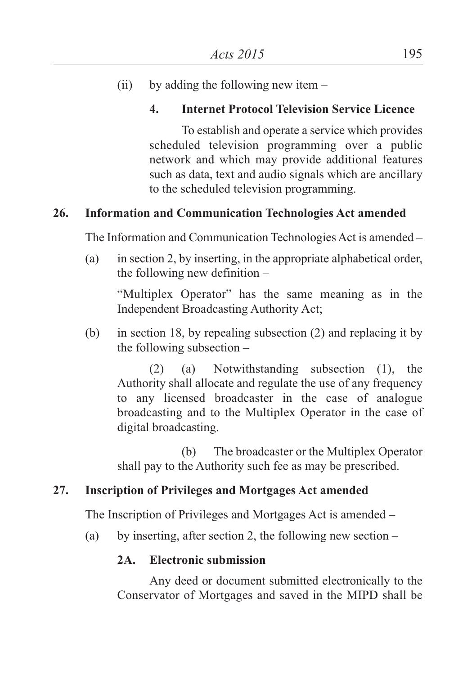(ii) by adding the following new item  $-$ 

# **4. Internet Protocol Television Service Licence**

To establish and operate a service which provides scheduled television programming over a public network and which may provide additional features such as data, text and audio signals which are ancillary to the scheduled television programming.

# **26. Information and Communication Technologies Act amended**

The Information and Communication Technologies Act is amended –

(a) in section 2, by inserting, in the appropriate alphabetical order, the following new definition –

"Multiplex Operator" has the same meaning as in the Independent Broadcasting Authority Act;

(b) in section 18, by repealing subsection (2) and replacing it by the following subsection –

(2) (a) Notwithstanding subsection (1), the Authority shall allocate and regulate the use of any frequency to any licensed broadcaster in the case of analogue broadcasting and to the Multiplex Operator in the case of digital broadcasting.

(b) The broadcaster or the Multiplex Operator shall pay to the Authority such fee as may be prescribed.

# **27. Inscription of Privileges and Mortgages Act amended**

The Inscription of Privileges and Mortgages Act is amended –

(a) by inserting, after section 2, the following new section –

# **2A. Electronic submission**

Any deed or document submitted electronically to the Conservator of Mortgages and saved in the MIPD shall be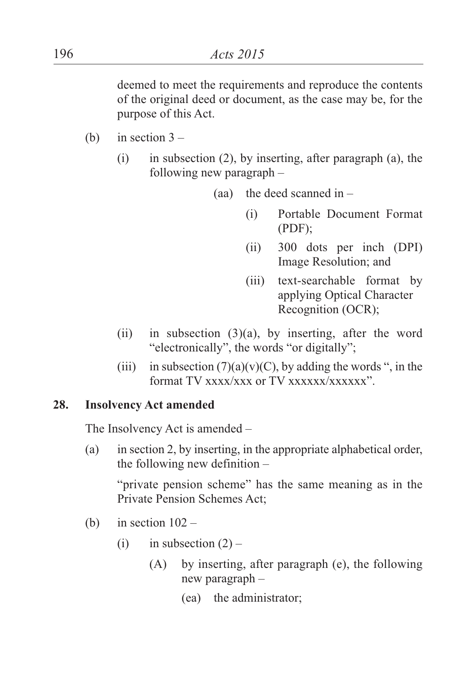deemed to meet the requirements and reproduce the contents of the original deed or document, as the case may be, for the purpose of this Act.

- (b) in section  $3 -$ 
	- $(i)$  in subsection  $(2)$ , by inserting, after paragraph  $(a)$ , the following new paragraph –

(aa) the deed scanned in  $-$ 

- (i) Portable Document Format (PDF);
- (ii) 300 dots per inch (DPI) Image Resolution; and
- (iii) text-searchable format by applying Optical Character Recognition (OCR);
- (ii) in subsection  $(3)(a)$ , by inserting, after the word "electronically", the words "or digitally";
- (iii) in subsection  $(7)(a)(v)(C)$ , by adding the words ", in the format TV xxxx/xxx or TV xxxxxx/xxxxxx<sup>3</sup>

## **28. Insolvency Act amended**

The Insolvency Act is amended –

(a) in section 2, by inserting, in the appropriate alphabetical order, the following new definition –

"private pension scheme" has the same meaning as in the Private Pension Schemes Act;

- (b) in section  $102 -$ 
	- (i) in subsection  $(2)$ 
		- (A) by inserting, after paragraph (e), the following new paragraph –
			- (ea) the administrator;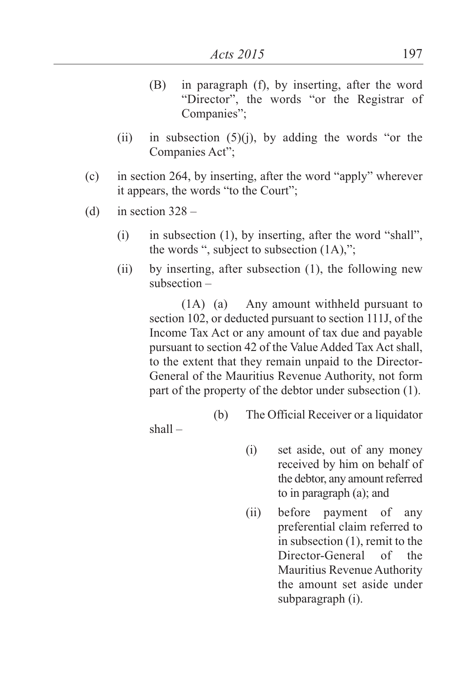- (B) in paragraph (f), by inserting, after the word "Director", the words "or the Registrar of Companies";
- (ii) in subsection  $(5)(j)$ , by adding the words "or the Companies Act";
- (c) in section 264, by inserting, after the word "apply" wherever it appears, the words "to the Court";
- (d) in section  $328 -$ 
	- (i) in subsection (1), by inserting, after the word "shall", the words ", subject to subsection (1A),";
	- (ii) by inserting, after subsection (1), the following new subsection –

(1A) (a) Any amount withheld pursuant to section 102, or deducted pursuant to section 111J, of the Income Tax Act or any amount of tax due and payable pursuant to section 42 of the Value Added Tax Act shall, to the extent that they remain unpaid to the Director-General of the Mauritius Revenue Authority, not form part of the property of the debtor under subsection (1).

(b) The Official Receiver or a liquidator

shall –

- (i) set aside, out of any money received by him on behalf of the debtor, any amount referred to in paragraph (a); and
- (ii) before payment of any preferential claim referred to in subsection (1), remit to the Director-General of the Mauritius Revenue Authority the amount set aside under subparagraph (i).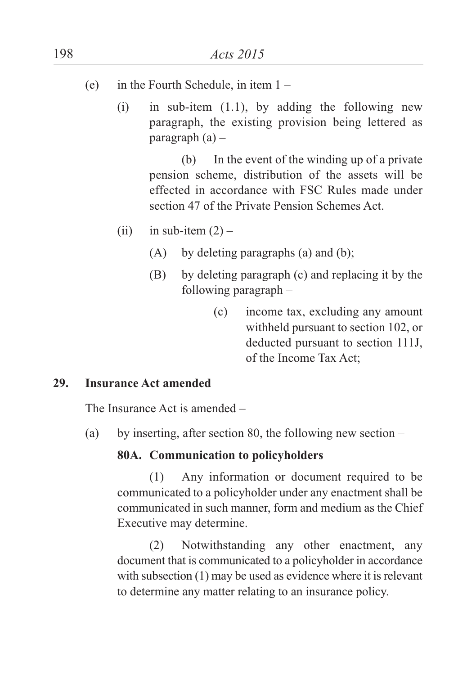- (e) in the Fourth Schedule, in item  $1 -$ 
	- (i) in sub-item  $(1.1)$ , by adding the following new paragraph, the existing provision being lettered as paragraph  $(a)$  –

(b) In the event of the winding up of a private pension scheme, distribution of the assets will be effected in accordance with FSC Rules made under section 47 of the Private Pension Schemes Act.

- (ii) in sub-item  $(2)$ 
	- (A) by deleting paragraphs (a) and (b);
	- (B) by deleting paragraph (c) and replacing it by the following paragraph –
		- (c) income tax, excluding any amount withheld pursuant to section 102, or deducted pursuant to section 111J, of the Income Tax Act;

#### **29. Insurance Act amended**

The Insurance Act is amended –

(a) by inserting, after section 80, the following new section –

### **80A. Communication to policyholders**

(1) Any information or document required to be communicated to a policyholder under any enactment shall be communicated in such manner, form and medium as the Chief Executive may determine.

(2) Notwithstanding any other enactment, any document that is communicated to a policyholder in accordance with subsection  $(1)$  may be used as evidence where it is relevant to determine any matter relating to an insurance policy.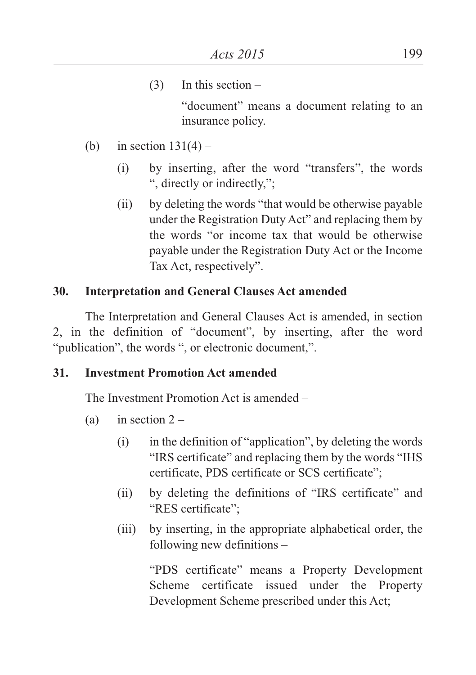$(3)$  In this section –

"document" means a document relating to an insurance policy.

- (b) in section  $131(4)$ 
	- (i) by inserting, after the word "transfers", the words ", directly or indirectly,";
	- (ii) by deleting the words "that would be otherwise payable under the Registration Duty Act" and replacing them by the words "or income tax that would be otherwise payable under the Registration Duty Act or the Income Tax Act, respectively".

### **30. Interpretation and General Clauses Act amended**

The Interpretation and General Clauses Act is amended, in section 2, in the definition of "document", by inserting, after the word "publication", the words ", or electronic document,".

#### **31. Investment Promotion Act amended**

The Investment Promotion Act is amended –

- (a) in section  $2 -$ 
	- (i) in the definition of "application", by deleting the words "IRS certificate" and replacing them by the words "IHS certificate, PDS certificate or SCS certificate";
	- (ii) by deleting the definitions of "IRS certificate" and "RES certificate";
	- (iii) by inserting, in the appropriate alphabetical order, the following new definitions –

"PDS certificate" means a Property Development Scheme certificate issued under the Property Development Scheme prescribed under this Act;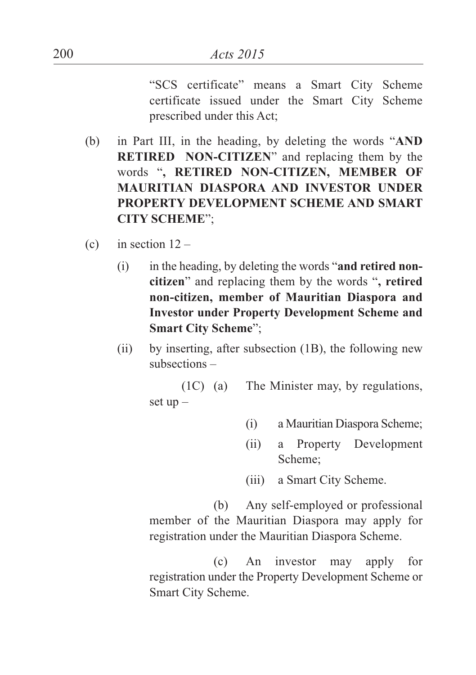"SCS certificate" means a Smart City Scheme certificate issued under the Smart City Scheme prescribed under this Act;

- (b) in Part III, in the heading, by deleting the words "**AND RETIRED NON-CITIZEN**" and replacing them by the words "**, RETIRED NON-CITIZEN, MEMBER OF MAURITIAN DIASPORA AND INVESTOR UNDER PROPERTY DEVELOPMENT SCHEME AND SMART CITY SCHEME**";
- (c) in section  $12 -$ 
	- (i) in the heading, by deleting the words "**and retired noncitizen**" and replacing them by the words "**, retired non-citizen, member of Mauritian Diaspora and Investor under Property Development Scheme and Smart City Scheme**";
	- (ii) by inserting, after subsection (1B), the following new subsections –

(1C) (a) The Minister may, by regulations, set  $up -$ 

- (i) a Mauritian Diaspora Scheme;
- (ii) a Property Development Scheme;
- (iii) a Smart City Scheme.

(b) Any self-employed or professional member of the Mauritian Diaspora may apply for registration under the Mauritian Diaspora Scheme.

(c) An investor may apply for registration under the Property Development Scheme or Smart City Scheme.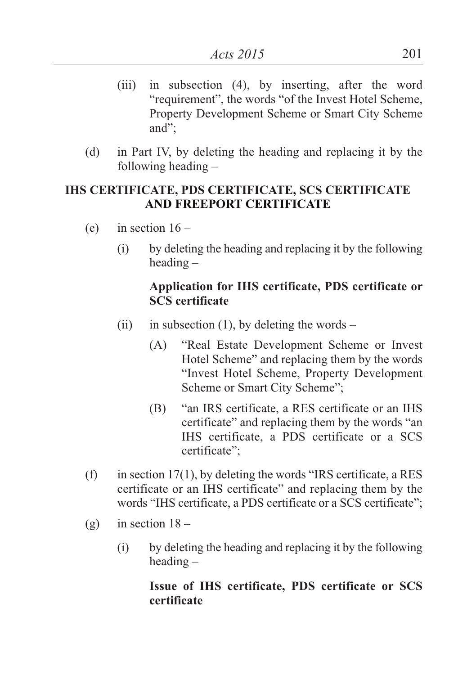- (iii) in subsection (4), by inserting, after the word "requirement", the words "of the Invest Hotel Scheme, Property Development Scheme or Smart City Scheme and";
- (d) in Part IV, by deleting the heading and replacing it by the following heading –

## **IHS CERTIFICATE, PDS CERTIFICATE, SCS CERTIFICATE AND FREEPORT CERTIFICATE**

- (e) in section  $16 -$ 
	- (i) by deleting the heading and replacing it by the following heading –

## **Application for IHS certificate, PDS certificate or SCS certificate**

- (ii) in subsection (1), by deleting the words
	- (A) "Real Estate Development Scheme or Invest Hotel Scheme" and replacing them by the words "Invest Hotel Scheme, Property Development Scheme or Smart City Scheme";
	- (B) "an IRS certificate, a RES certificate or an IHS certificate" and replacing them by the words "an IHS certificate, a PDS certificate or a SCS certificate";
- (f) in section  $17(1)$ , by deleting the words "IRS certificate, a RES certificate or an IHS certificate" and replacing them by the words "IHS certificate, a PDS certificate or a SCS certificate";
- (g) in section  $18 -$ 
	- (i) by deleting the heading and replacing it by the following heading –

## **Issue of IHS certificate, PDS certificate or SCS certificate**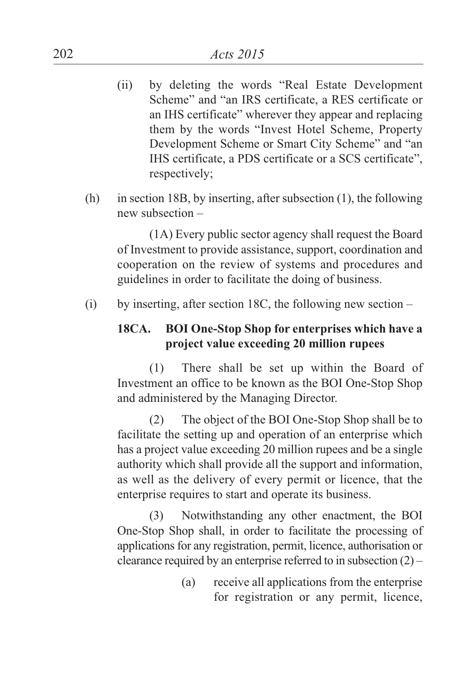- (ii) by deleting the words "Real Estate Development Scheme" and "an IRS certificate, a RES certificate or an IHS certificate" wherever they appear and replacing them by the words "Invest Hotel Scheme, Property Development Scheme or Smart City Scheme" and "an IHS certificate, a PDS certificate or a SCS certificate", respectively;
- (h) in section 18B, by inserting, after subsection (1), the following new subsection –

(1A) Every public sector agency shall request the Board of Investment to provide assistance, support, coordination and cooperation on the review of systems and procedures and guidelines in order to facilitate the doing of business.

(i) by inserting, after section 18C, the following new section –

## **18CA. BOI One-Stop Shop for enterprises which have a project value exceeding 20 million rupees**

(1) There shall be set up within the Board of Investment an office to be known as the BOI One-Stop Shop and administered by the Managing Director.

(2) The object of the BOI One-Stop Shop shall be to facilitate the setting up and operation of an enterprise which has a project value exceeding 20 million rupees and be a single authority which shall provide all the support and information, as well as the delivery of every permit or licence, that the enterprise requires to start and operate its business.

(3) Notwithstanding any other enactment, the BOI One-Stop Shop shall, in order to facilitate the processing of applications for any registration, permit, licence, authorisation or clearance required by an enterprise referred to in subsection  $(2)$  –

> (a) receive all applications from the enterprise for registration or any permit, licence,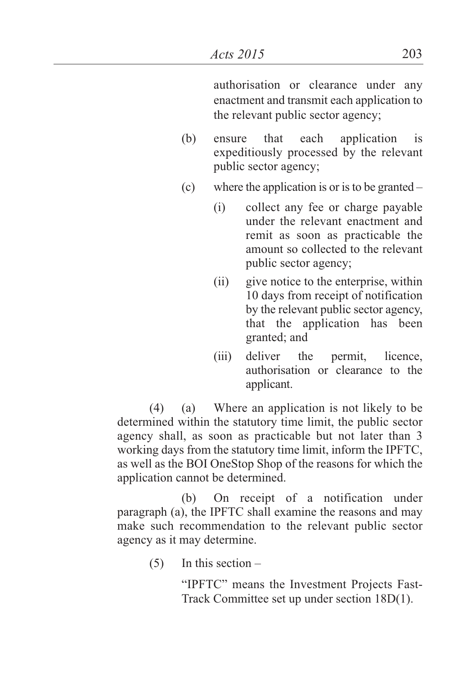authorisation or clearance under any enactment and transmit each application to the relevant public sector agency;

- (b) ensure that each application is expeditiously processed by the relevant public sector agency;
- (c) where the application is or is to be granted  $-$ 
	- (i) collect any fee or charge payable under the relevant enactment and remit as soon as practicable the amount so collected to the relevant public sector agency;
	- (ii) give notice to the enterprise, within 10 days from receipt of notification by the relevant public sector agency, that the application has been granted; and
	- (iii) deliver the permit, licence, authorisation or clearance to the applicant.

(4) (a) Where an application is not likely to be determined within the statutory time limit, the public sector agency shall, as soon as practicable but not later than 3 working days from the statutory time limit, inform the IPFTC, as well as the BOI OneStop Shop of the reasons for which the application cannot be determined.

(b) On receipt of a notification under paragraph (a), the IPFTC shall examine the reasons and may make such recommendation to the relevant public sector agency as it may determine.

 $(5)$  In this section –

"IPFTC" means the Investment Projects Fast-Track Committee set up under section 18D(1).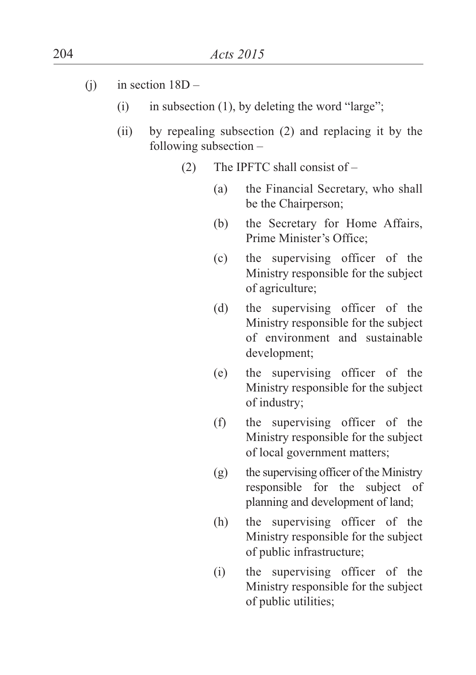- (i) in section  $18D -$ 
	- (i) in subsection  $(1)$ , by deleting the word "large";
	- (ii) by repealing subsection (2) and replacing it by the following subsection –
		- (2) The IPFTC shall consist of
			- (a) the Financial Secretary, who shall be the Chairperson;
			- (b) the Secretary for Home Affairs, Prime Minister's Office;
			- (c) the supervising officer of the Ministry responsible for the subject of agriculture;
			- (d) the supervising officer of the Ministry responsible for the subject of environment and sustainable development;
			- (e) the supervising officer of the Ministry responsible for the subject of industry;
			- (f) the supervising officer of the Ministry responsible for the subject of local government matters;
			- (g) the supervising officer of the Ministry responsible for the subject of planning and development of land;
			- (h) the supervising officer of the Ministry responsible for the subject of public infrastructure;
			- (i) the supervising officer of the Ministry responsible for the subject of public utilities;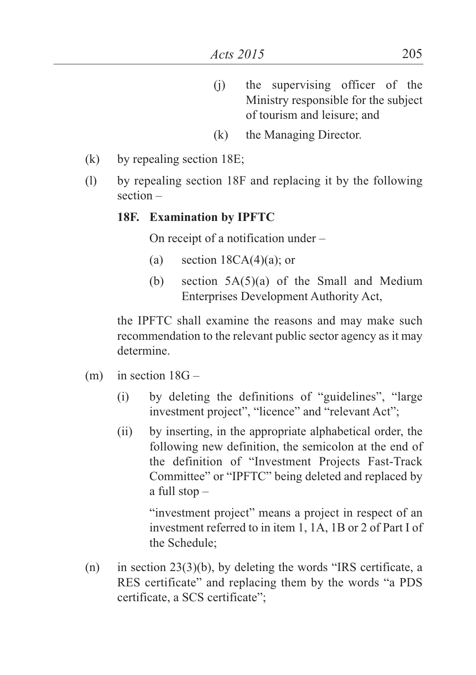- (j) the supervising officer of the Ministry responsible for the subject of tourism and leisure; and
- (k) the Managing Director.
- (k) by repealing section 18E;
- (l) by repealing section 18F and replacing it by the following section –

#### **18F. Examination by IPFTC**

On receipt of a notification under –

- (a) section  $18CA(4)(a)$ ; or
- (b) section  $5A(5)(a)$  of the Small and Medium Enterprises Development Authority Act,

the IPFTC shall examine the reasons and may make such recommendation to the relevant public sector agency as it may determine.

- $(m)$  in section  $18G -$ 
	- (i) by deleting the definitions of "guidelines", "large investment project", "licence" and "relevant Act";
	- (ii) by inserting, in the appropriate alphabetical order, the following new definition, the semicolon at the end of the definition of "Investment Projects Fast-Track Committee" or "IPFTC" being deleted and replaced by a full stop –

"investment project" means a project in respect of an investment referred to in item 1, 1A, 1B or 2 of Part I of the Schedule;

(n) in section 23(3)(b), by deleting the words "IRS certificate, a RES certificate" and replacing them by the words "a PDS certificate, a SCS certificate";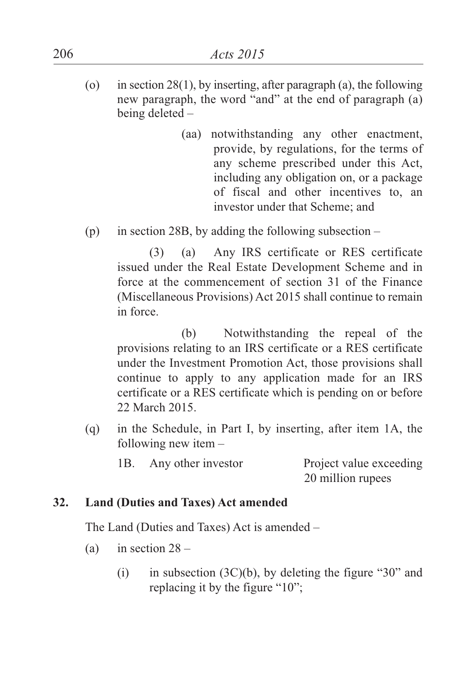- (o) in section 28(1), by inserting, after paragraph (a), the following new paragraph, the word "and" at the end of paragraph (a) being deleted –
	- (aa) notwithstanding any other enactment, provide, by regulations, for the terms of any scheme prescribed under this Act, including any obligation on, or a package of fiscal and other incentives to, an investor under that Scheme; and
- (p) in section 28B, by adding the following subsection –

(3) (a) Any IRS certificate or RES certificate issued under the Real Estate Development Scheme and in force at the commencement of section 31 of the Finance (Miscellaneous Provisions) Act 2015 shall continue to remain in force.

(b) Notwithstanding the repeal of the provisions relating to an IRS certificate or a RES certificate under the Investment Promotion Act, those provisions shall continue to apply to any application made for an IRS certificate or a RES certificate which is pending on or before 22 March 2015.

(q) in the Schedule, in Part I, by inserting, after item 1A, the following new item –

| 1B. | Any other investor | Project value exceeding |
|-----|--------------------|-------------------------|
|     |                    | 20 million rupees       |

#### **32. Land (Duties and Taxes) Act amended**

The Land (Duties and Taxes) Act is amended –

- (a) in section  $28 -$ 
	- (i) in subsection  $(3C)(b)$ , by deleting the figure "30" and replacing it by the figure "10";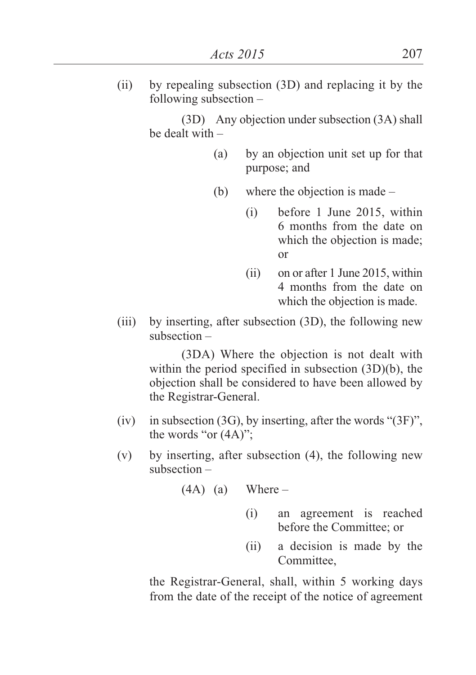(ii) by repealing subsection (3D) and replacing it by the following subsection –

> (3D) Any objection under subsection (3A) shall be dealt with –

- (a) by an objection unit set up for that purpose; and
- (b) where the objection is made
	- (i) before 1 June 2015, within 6 months from the date on which the objection is made; or
	- (ii) on or after 1 June 2015, within 4 months from the date on which the objection is made.
- (iii) by inserting, after subsection (3D), the following new subsection –

(3DA) Where the objection is not dealt with within the period specified in subsection (3D)(b), the objection shall be considered to have been allowed by the Registrar-General.

- (iv) in subsection (3G), by inserting, after the words " $(3F)$ ". the words "or (4A)";
- (v) by inserting, after subsection (4), the following new subsection –

$$
(4A) (a) \tWhere -
$$

- (i) an agreement is reached before the Committee; or
- (ii) a decision is made by the Committee,

the Registrar-General, shall, within 5 working days from the date of the receipt of the notice of agreement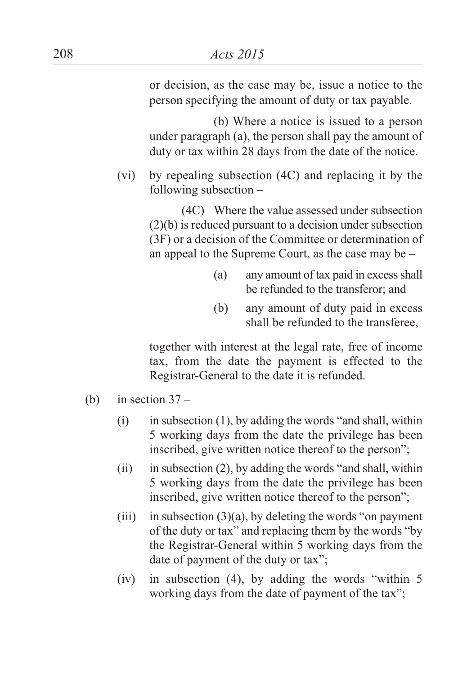or decision, as the case may be, issue a notice to the person specifying the amount of duty or tax payable.

(b) Where a notice is issued to a person under paragraph (a), the person shall pay the amount of duty or tax within 28 days from the date of the notice.

(vi) by repealing subsection (4C) and replacing it by the following subsection –

> (4C) Where the value assessed under subsection (2)(b) is reduced pursuant to a decision under subsection (3F) or a decision of the Committee or determination of an appeal to the Supreme Court, as the case may be –

- (a) any amount of tax paid in excess shall be refunded to the transferor; and
- (b) any amount of duty paid in excess shall be refunded to the transferee,

together with interest at the legal rate, free of income tax, from the date the payment is effected to the Registrar-General to the date it is refunded.

- (b) in section  $37 -$ 
	- $(i)$  in subsection  $(1)$ , by adding the words "and shall, within 5 working days from the date the privilege has been inscribed, give written notice thereof to the person";
	- (ii) in subsection (2), by adding the words "and shall, within 5 working days from the date the privilege has been inscribed, give written notice thereof to the person";
	- (iii) in subsection  $(3)(a)$ , by deleting the words "on payment" of the duty or tax" and replacing them by the words "by the Registrar-General within 5 working days from the date of payment of the duty or tax";
	- (iv) in subsection (4), by adding the words "within 5 working days from the date of payment of the tax";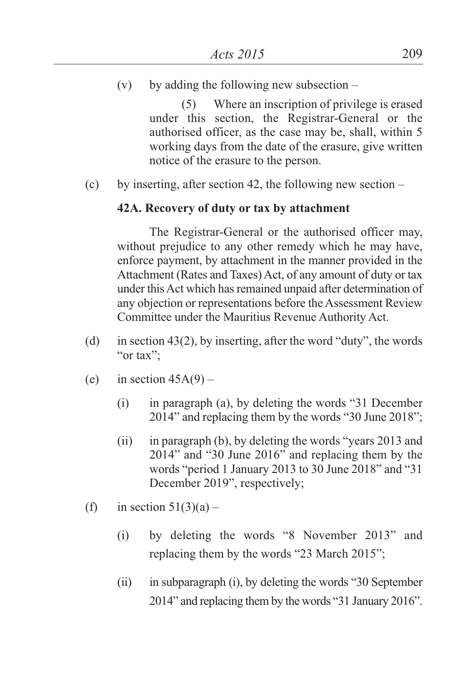(v) by adding the following new subsection  $-$ 

(5) Where an inscription of privilege is erased under this section, the Registrar-General or the authorised officer, as the case may be, shall, within 5 working days from the date of the erasure, give written notice of the erasure to the person.

(c) by inserting, after section 42, the following new section –

#### **42A. Recovery of duty or tax by attachment**

The Registrar-General or the authorised officer may, without prejudice to any other remedy which he may have. enforce payment, by attachment in the manner provided in the Attachment (Rates and Taxes) Act, of any amount of duty or tax under this Act which has remained unpaid after determination of any objection or representations before the Assessment Review Committee under the Mauritius Revenue Authority Act.

- (d) in section 43(2), by inserting, after the word "duty", the words "or tax";
- (e) in section  $45A(9)$ 
	- (i) in paragraph (a), by deleting the words "31 December 2014" and replacing them by the words "30 June 2018";
	- (ii) in paragraph (b), by deleting the words "years 2013 and 2014" and "30 June 2016" and replacing them by the words "period 1 January 2013 to 30 June 2018" and "31 December 2019", respectively;
- (f) in section  $51(3)(a)$ 
	- (i) by deleting the words "8 November 2013" and replacing them by the words "23 March 2015";
	- (ii) in subparagraph (i), by deleting the words "30 September 2014" and replacing them by the words "31 January 2016".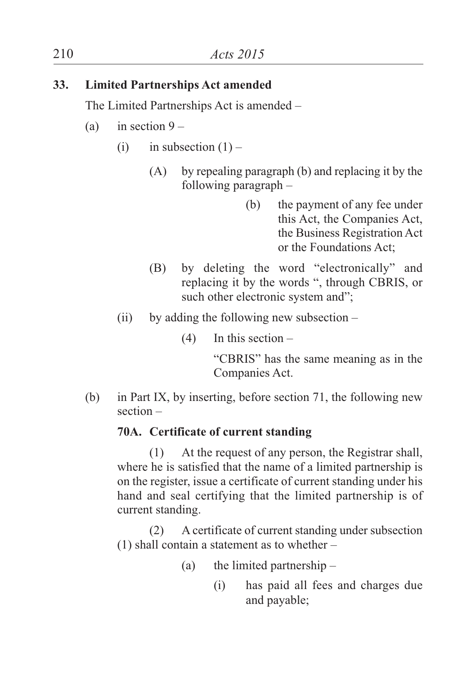## **33. Limited Partnerships Act amended**

The Limited Partnerships Act is amended –

- (a) in section  $9 -$ 
	- (i) in subsection  $(1)$ 
		- (A) by repealing paragraph (b) and replacing it by the following paragraph –
			- (b) the payment of any fee under this Act, the Companies Act, the Business Registration Act or the Foundations Act;
		- (B) by deleting the word "electronically" and replacing it by the words ", through CBRIS, or such other electronic system and";
	- (ii) by adding the following new subsection  $-$ 
		- $(4)$  In this section –

"CBRIS" has the same meaning as in the Companies Act.

(b) in Part IX, by inserting, before section 71, the following new section –

## **70A. Certificate of current standing**

(1) At the request of any person, the Registrar shall, where he is satisfied that the name of a limited partnership is on the register, issue a certificate of current standing under his hand and seal certifying that the limited partnership is of current standing.

(2) A certificate of current standing under subsection (1) shall contain a statement as to whether –

- (a) the limited partnership
	- (i) has paid all fees and charges due and payable;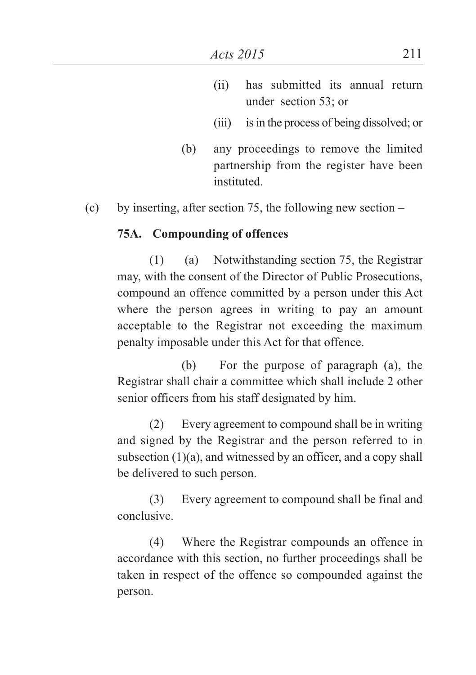- (ii) has submitted its annual return under section 53; or
- (iii) is in the process of being dissolved: or
- (b) any proceedings to remove the limited partnership from the register have been instituted.
- (c) by inserting, after section 75, the following new section –

#### **75A. Compounding of offences**

(1) (a) Notwithstanding section 75, the Registrar may, with the consent of the Director of Public Prosecutions, compound an offence committed by a person under this Act where the person agrees in writing to pay an amount acceptable to the Registrar not exceeding the maximum penalty imposable under this Act for that offence.

(b) For the purpose of paragraph (a), the Registrar shall chair a committee which shall include 2 other senior officers from his staff designated by him.

(2) Every agreement to compound shall be in writing and signed by the Registrar and the person referred to in subsection (1)(a), and witnessed by an officer, and a copy shall be delivered to such person.

(3) Every agreement to compound shall be final and conclusive.

(4) Where the Registrar compounds an offence in accordance with this section, no further proceedings shall be taken in respect of the offence so compounded against the person.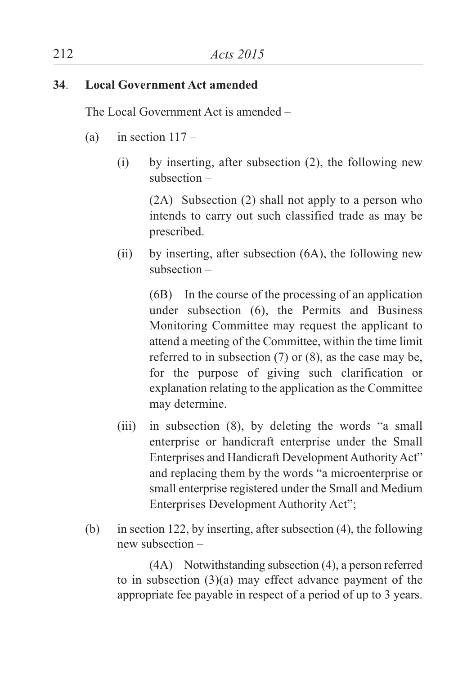### **34**. **Local Government Act amended**

The Local Government Act is amended –

- (a) in section  $117 -$ 
	- (i) by inserting, after subsection (2), the following new subsection –

(2A) Subsection (2) shall not apply to a person who intends to carry out such classified trade as may be prescribed.

(ii) by inserting, after subsection (6A), the following new subsection –

(6B) In the course of the processing of an application under subsection (6), the Permits and Business Monitoring Committee may request the applicant to attend a meeting of the Committee, within the time limit referred to in subsection (7) or (8), as the case may be, for the purpose of giving such clarification or explanation relating to the application as the Committee may determine.

- (iii) in subsection (8), by deleting the words "a small enterprise or handicraft enterprise under the Small Enterprises and Handicraft Development Authority Act" and replacing them by the words "a microenterprise or small enterprise registered under the Small and Medium Enterprises Development Authority Act";
- (b) in section 122, by inserting, after subsection (4), the following new subsection –

(4A) Notwithstanding subsection (4), a person referred to in subsection (3)(a) may effect advance payment of the appropriate fee payable in respect of a period of up to 3 years.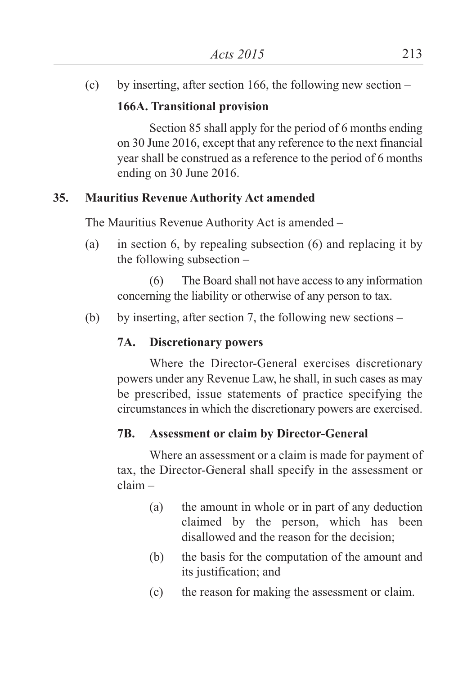(c) by inserting, after section 166, the following new section –

## **166A. Transitional provision**

Section 85 shall apply for the period of 6 months ending on 30 June 2016, except that any reference to the next financial year shall be construed as a reference to the period of 6 months ending on 30 June 2016.

## **35. Mauritius Revenue Authority Act amended**

The Mauritius Revenue Authority Act is amended –

(a) in section 6, by repealing subsection (6) and replacing it by the following subsection –

(6) The Board shall not have accessto any information concerning the liability or otherwise of any person to tax.

(b) by inserting, after section 7, the following new sections –

## **7A. Discretionary powers**

Where the Director-General exercises discretionary powers under any Revenue Law, he shall, in such cases as may be prescribed, issue statements of practice specifying the circumstances in which the discretionary powers are exercised.

## **7B. Assessment or claim by Director-General**

Where an assessment or a claim is made for payment of tax, the Director-General shall specify in the assessment or claim –

- (a) the amount in whole or in part of any deduction claimed by the person, which has been disallowed and the reason for the decision;
- (b) the basis for the computation of the amount and its justification; and
- (c) the reason for making the assessment or claim.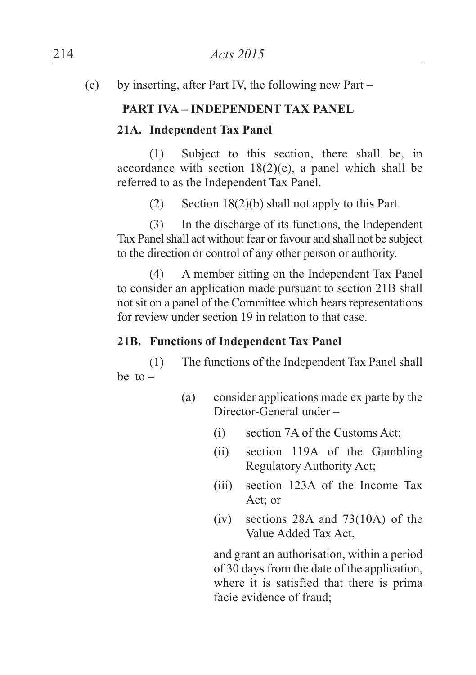(c) by inserting, after Part IV, the following new Part –

## **PART IVA – INDEPENDENT TAX PANEL**

## **21A. Independent Tax Panel**

(1) Subject to this section, there shall be, in accordance with section  $18(2)(c)$ , a panel which shall be referred to as the Independent Tax Panel.

 $(2)$  Section 18(2)(b) shall not apply to this Part.

(3) In the discharge of its functions, the Independent Tax Panel shall act without fear or favour and shall not be subject to the direction or control of any other person or authority.

(4) A member sitting on the Independent Tax Panel to consider an application made pursuant to section 21B shall not sit on a panel of the Committee which hears representations for review under section 19 in relation to that case.

## **21B. Functions of Independent Tax Panel**

(1) The functions of the Independent Tax Panel shall be to  $-$ 

- (a) consider applications made ex parte by the Director-General under –
	- (i) section 7A of the Customs Act;
	- (ii) section 119A of the Gambling Regulatory Authority Act;
	- (iii) section 123A of the Income Tax Act; or
	- (iv) sections 28A and 73(10A) of the Value Added Tax Act,

and grant an authorisation, within a period of 30 days from the date of the application, where it is satisfied that there is prima facie evidence of fraud;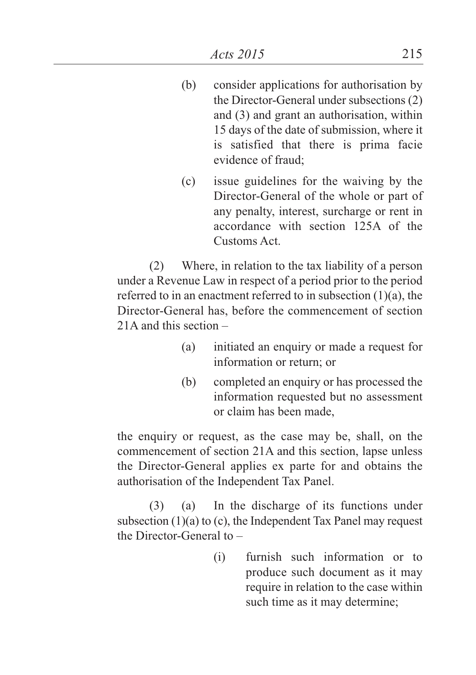- (b) consider applications for authorisation by the Director-General under subsections (2) and (3) and grant an authorisation, within 15 days of the date of submission, where it is satisfied that there is prima facie evidence of fraud;
- (c) issue guidelines for the waiving by the Director-General of the whole or part of any penalty, interest, surcharge or rent in accordance with section 125A of the Customs Act.

(2) Where, in relation to the tax liability of a person under a Revenue Law in respect of a period prior to the period referred to in an enactment referred to in subsection (1)(a), the Director-General has, before the commencement of section 21A and this section –

- (a) initiated an enquiry or made a request for information or return; or
- (b) completed an enquiry or has processed the information requested but no assessment or claim has been made,

the enquiry or request, as the case may be, shall, on the commencement of section 21A and this section, lapse unless the Director-General applies ex parte for and obtains the authorisation of the Independent Tax Panel.

(3) (a) In the discharge of its functions under subsection (1)(a) to (c), the Independent Tax Panel may request the Director-General to –

> (i) furnish such information or to produce such document as it may require in relation to the case within such time as it may determine;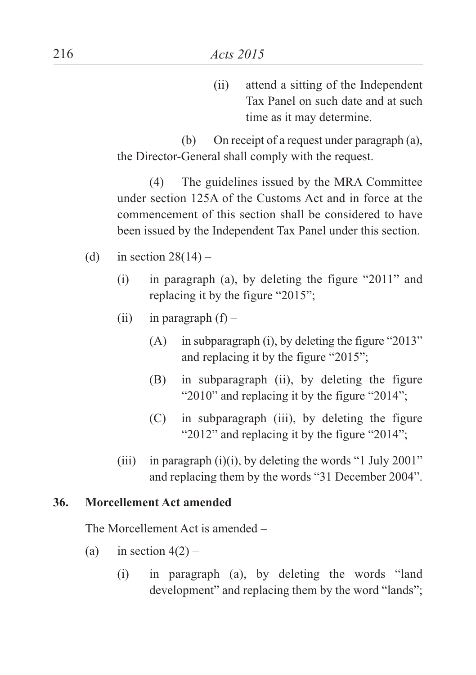(ii) attend a sitting of the Independent Tax Panel on such date and at such time as it may determine.

(b) On receipt of a request under paragraph (a), the Director-General shall comply with the request.

(4) The guidelines issued by the MRA Committee under section 125A of the Customs Act and in force at the commencement of this section shall be considered to have been issued by the Independent Tax Panel under this section.

- (d) in section  $28(14)$ 
	- (i) in paragraph (a), by deleting the figure "2011" and replacing it by the figure "2015";
	- (ii) in paragraph  $(f)$ 
		- (A) in subparagraph (i), by deleting the figure "2013" and replacing it by the figure "2015";
		- (B) in subparagraph (ii), by deleting the figure "2010" and replacing it by the figure "2014";
		- (C) in subparagraph (iii), by deleting the figure "2012" and replacing it by the figure "2014";
	- (iii) in paragraph  $(i)(i)$ , by deleting the words "1 July 2001" and replacing them by the words "31 December 2004".

#### **36. Morcellement Act amended**

The Morcellement Act is amended –

- (a) in section  $4(2)$ 
	- (i) in paragraph (a), by deleting the words "land development" and replacing them by the word "lands";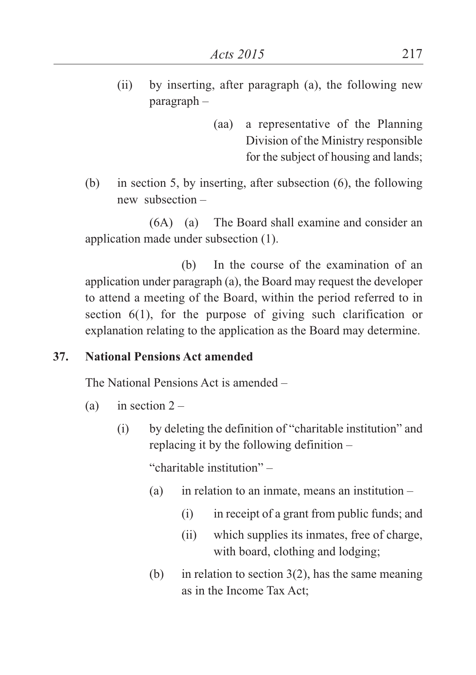- (ii) by inserting, after paragraph (a), the following new paragraph –
	- (aa) a representative of the Planning Division of the Ministry responsible for the subject of housing and lands;
- (b) in section 5, by inserting, after subsection (6), the following new subsection –

(6A) (a) The Board shall examine and consider an application made under subsection (1).

(b) In the course of the examination of an application under paragraph (a), the Board may request the developer to attend a meeting of the Board, within the period referred to in section 6(1), for the purpose of giving such clarification or explanation relating to the application as the Board may determine.

#### **37. National Pensions Act amended**

The National Pensions Act is amended –

- (a) in section  $2 -$ 
	- (i) by deleting the definition of "charitable institution" and replacing it by the following definition –

"charitable institution" –

- (a) in relation to an inmate, means an institution  $-$ 
	- (i) in receipt of a grant from public funds; and
	- (ii) which supplies its inmates, free of charge, with board, clothing and lodging;
- (b) in relation to section  $3(2)$ , has the same meaning as in the Income Tax Act;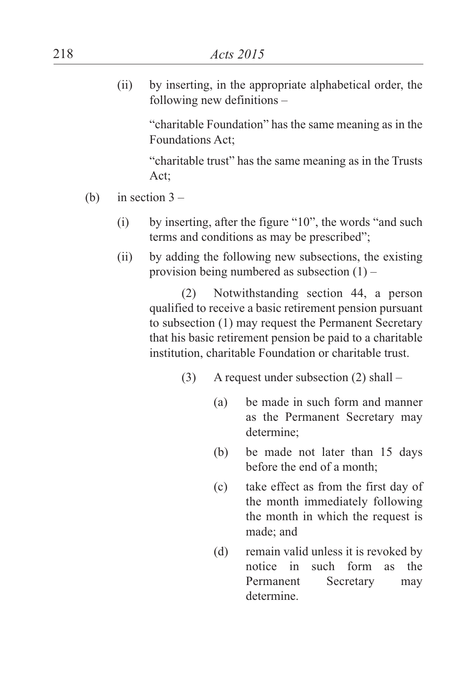(ii) by inserting, in the appropriate alphabetical order, the following new definitions –

> "charitable Foundation" has the same meaning as in the Foundations Act;

> "charitable trust" has the same meaning as in the Trusts Act;

- (b) in section  $3 -$ 
	- (i) by inserting, after the figure "10", the words "and such terms and conditions as may be prescribed";
	- (ii) by adding the following new subsections, the existing provision being numbered as subsection (1) –

(2) Notwithstanding section 44, a person qualified to receive a basic retirement pension pursuant to subsection (1) may request the Permanent Secretary that his basic retirement pension be paid to a charitable institution, charitable Foundation or charitable trust.

- (3) A request under subsection (2) shall
	- (a) be made in such form and manner as the Permanent Secretary may determine;
	- (b) be made not later than 15 days before the end of a month;
	- (c) take effect as from the first day of the month immediately following the month in which the request is made; and
	- (d) remain valid unless it is revoked by notice in such form as the Permanent Secretary may determine.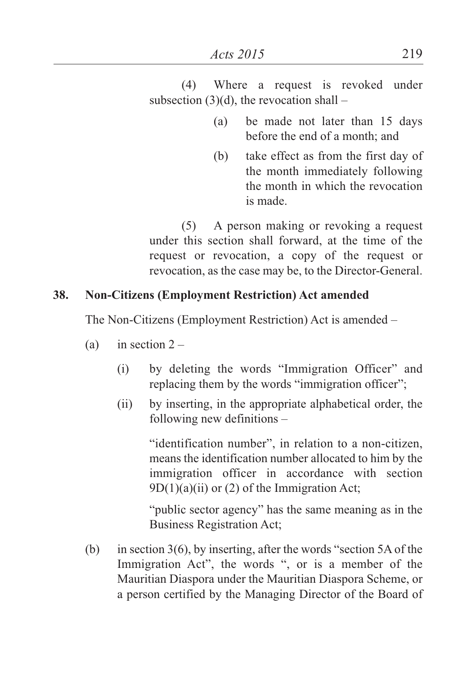(4) Where a request is revoked under subsection  $(3)(d)$ , the revocation shall –

- (a) be made not later than 15 days before the end of a month; and
- (b) take effect as from the first day of the month immediately following the month in which the revocation is made.

(5) A person making or revoking a request under this section shall forward, at the time of the request or revocation, a copy of the request or revocation, as the case may be, to the Director-General.

## **38. Non-Citizens (Employment Restriction) Act amended**

The Non-Citizens (Employment Restriction) Act is amended –

- (a) in section  $2 -$ 
	- (i) by deleting the words "Immigration Officer" and replacing them by the words "immigration officer";
	- (ii) by inserting, in the appropriate alphabetical order, the following new definitions –

"identification number", in relation to a non-citizen, means the identification number allocated to him by the immigration officer in accordance with section  $9D(1)(a)(ii)$  or (2) of the Immigration Act;

"public sector agency" has the same meaning as in the Business Registration Act;

(b) in section 3(6), by inserting, after the words "section 5A of the Immigration Act", the words ", or is a member of the Mauritian Diaspora under the Mauritian Diaspora Scheme, or a person certified by the Managing Director of the Board of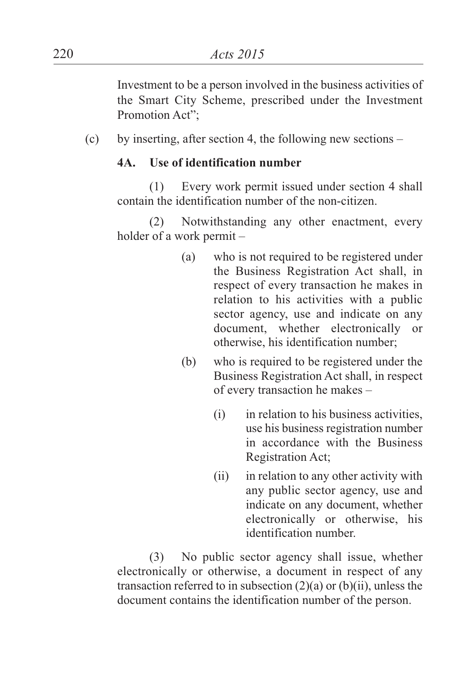Investment to be a person involved in the business activities of the Smart City Scheme, prescribed under the Investment Promotion Act";

(c) by inserting, after section 4, the following new sections –

#### **4A. Use of identification number**

(1) Every work permit issued under section 4 shall contain the identification number of the non-citizen.

(2) Notwithstanding any other enactment, every holder of a work permit –

- (a) who is not required to be registered under the Business Registration Act shall, in respect of every transaction he makes in relation to his activities with a public sector agency, use and indicate on any document, whether electronically or otherwise, his identification number;
- (b) who is required to be registered under the Business Registration Act shall, in respect of every transaction he makes –
	- (i) in relation to his business activities, use his business registration number in accordance with the Business Registration Act;
	- (ii) in relation to any other activity with any public sector agency, use and indicate on any document, whether electronically or otherwise, his identification number.

(3) No public sector agency shall issue, whether electronically or otherwise, a document in respect of any transaction referred to in subsection  $(2)(a)$  or  $(b)(ii)$ , unless the document contains the identification number of the person.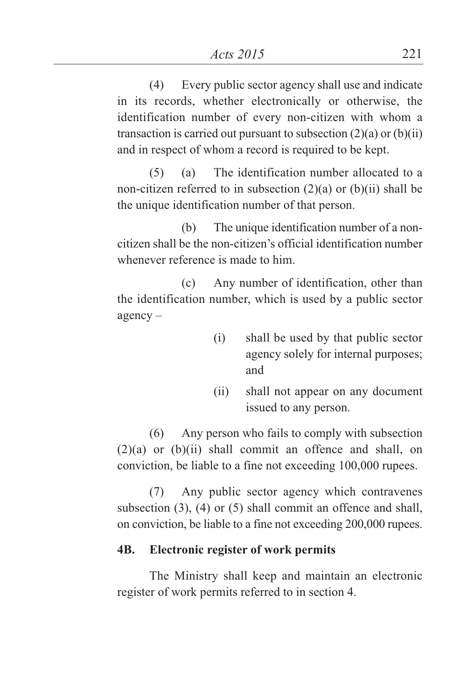(4) Every public sector agency shall use and indicate in its records, whether electronically or otherwise, the identification number of every non-citizen with whom a transaction is carried out pursuant to subsection  $(2)(a)$  or  $(b)(ii)$ and in respect of whom a record is required to be kept.

(5) (a) The identification number allocated to a non-citizen referred to in subsection (2)(a) or (b)(ii) shall be the unique identification number of that person.

(b) The unique identification number of a noncitizen shall be the non-citizen's official identification number whenever reference is made to him.

(c) Any number of identification, other than the identification number, which is used by a public sector agency –

- (i) shall be used by that public sector agency solely for internal purposes; and
- (ii) shall not appear on any document issued to any person.

(6) Any person who fails to comply with subsection (2)(a) or (b)(ii) shall commit an offence and shall, on conviction, be liable to a fine not exceeding 100,000 rupees.

(7) Any public sector agency which contravenes subsection (3), (4) or (5) shall commit an offence and shall, on conviction, be liable to a fine not exceeding 200,000 rupees.

## **4B. Electronic register of work permits**

The Ministry shall keep and maintain an electronic register of work permits referred to in section 4.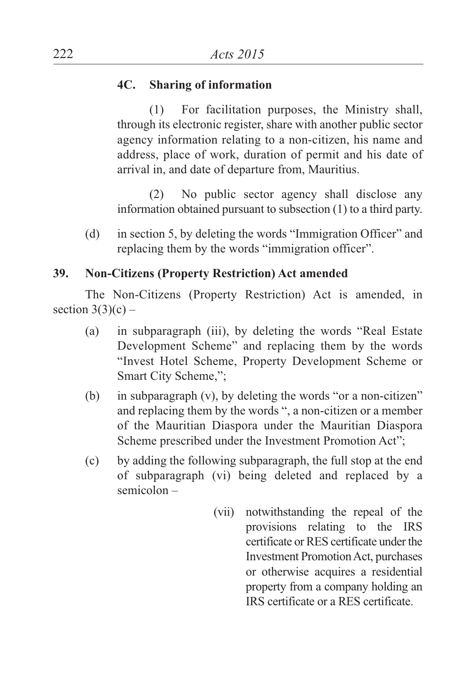### **4C. Sharing of information**

(1) For facilitation purposes, the Ministry shall, through its electronic register, share with another public sector agency information relating to a non-citizen, his name and address, place of work, duration of permit and his date of arrival in, and date of departure from, Mauritius.

(2) No public sector agency shall disclose any information obtained pursuant to subsection (1) to a third party.

(d) in section 5, by deleting the words "Immigration Officer" and replacing them by the words "immigration officer".

### **39. Non-Citizens (Property Restriction) Act amended**

The Non-Citizens (Property Restriction) Act is amended, in section  $3(3)(c)$  –

- (a) in subparagraph (iii), by deleting the words "Real Estate Development Scheme" and replacing them by the words "Invest Hotel Scheme, Property Development Scheme or Smart City Scheme,";
- (b) in subparagraph (v), by deleting the words "or a non-citizen" and replacing them by the words ", a non-citizen or a member of the Mauritian Diaspora under the Mauritian Diaspora Scheme prescribed under the Investment Promotion Act";
- (c) by adding the following subparagraph, the full stop at the end of subparagraph (vi) being deleted and replaced by a semicolon –
	- (vii) notwithstanding the repeal of the provisions relating to the IRS certificate or RES certificate under the Investment PromotionAct, purchases or otherwise acquires a residential property from a company holding an IRS certificate or a RES certificate.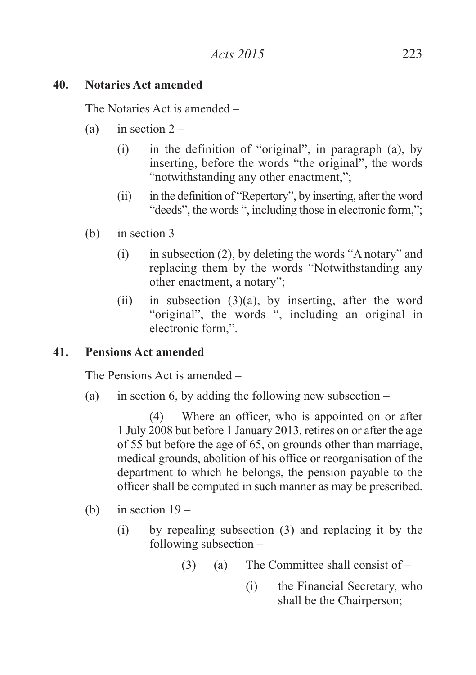#### **40. Notaries Act amended**

The Notaries Act is amended –

- (a) in section  $2 -$ 
	- (i) in the definition of "original", in paragraph (a), by inserting, before the words "the original", the words "notwithstanding any other enactment,";
	- $(iii)$  in the definition of "Repertory", by inserting, after the word "deeds", the words ", including those in electronic form,";
- (b) in section  $3 -$ 
	- (i) in subsection (2), by deleting the words "A notary" and replacing them by the words "Notwithstanding any other enactment, a notary";
	- (ii) in subsection (3)(a), by inserting, after the word "original", the words ", including an original in electronic form,".

#### **41. Pensions Act amended**

The Pensions Act is amended –

(a) in section 6, by adding the following new subsection –

(4) Where an officer, who is appointed on or after 1 July 2008 but before 1 January 2013, retires on or after the age of 55 but before the age of 65, on grounds other than marriage, medical grounds, abolition of his office or reorganisation of the department to which he belongs, the pension payable to the officer shall be computed in such manner as may be prescribed.

- (b) in section  $19 -$ 
	- (i) by repealing subsection (3) and replacing it by the following subsection –
		- $(3)$  (a) The Committee shall consist of
			- (i) the Financial Secretary, who shall be the Chairperson;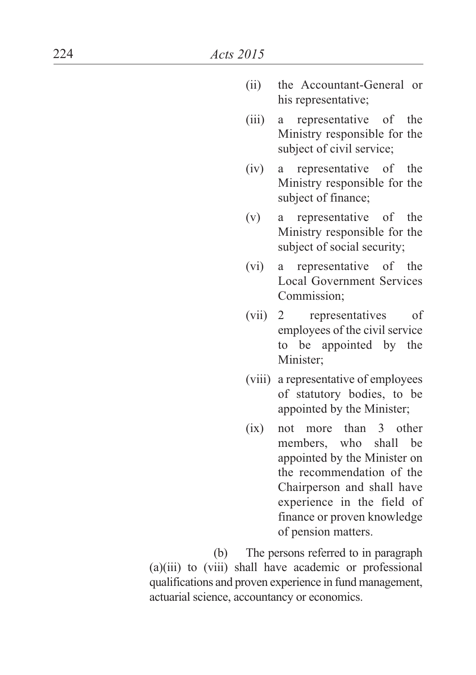- (ii) the Accountant-General or his representative;
- (iii) a representative of the Ministry responsible for the subject of civil service;
- (iv) a representative of the Ministry responsible for the subject of finance;
- (v) a representative of the Ministry responsible for the subject of social security;
- (vi) a representative of the Local Government Services Commission;
- (vii) 2 representatives of employees of the civil service to be appointed by the Minister;
- (viii) a representative of employees of statutory bodies, to be appointed by the Minister;
- (ix) not more than 3 other members, who shall be appointed by the Minister on the recommendation of the Chairperson and shall have experience in the field of finance or proven knowledge of pension matters.

(b) The persons referred to in paragraph (a)(iii) to (viii) shall have academic or professional qualifications and proven experience in fund management, actuarial science, accountancy or economics.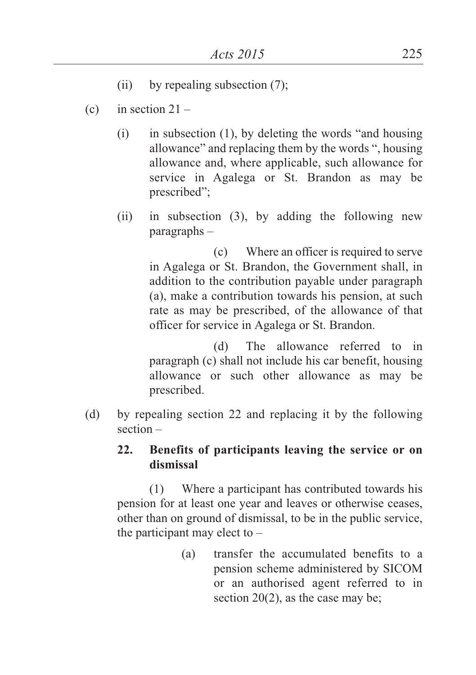- (ii) by repealing subsection (7);
- (c) in section  $21 -$ 
	- (i) in subsection (1), by deleting the words "and housing allowance" and replacing them by the words ", housing allowance and, where applicable, such allowance for service in Agalega or St. Brandon as may be prescribed";
	- (ii) in subsection (3), by adding the following new paragraphs –

(c) Where an officer is required to serve in Agalega or St. Brandon, the Government shall, in addition to the contribution payable under paragraph (a), make a contribution towards his pension, at such rate as may be prescribed, of the allowance of that officer for service in Agalega or St. Brandon.

(d) The allowance referred to in paragraph (c) shall not include his car benefit, housing allowance or such other allowance as may be prescribed.

(d) by repealing section 22 and replacing it by the following section –

### **22. Benefits of participants leaving the service or on dismissal**

(1) Where a participant has contributed towards his pension for at least one year and leaves or otherwise ceases, other than on ground of dismissal, to be in the public service, the participant may elect to  $-$ 

> (a) transfer the accumulated benefits to a pension scheme administered by SICOM or an authorised agent referred to in section 20(2), as the case may be;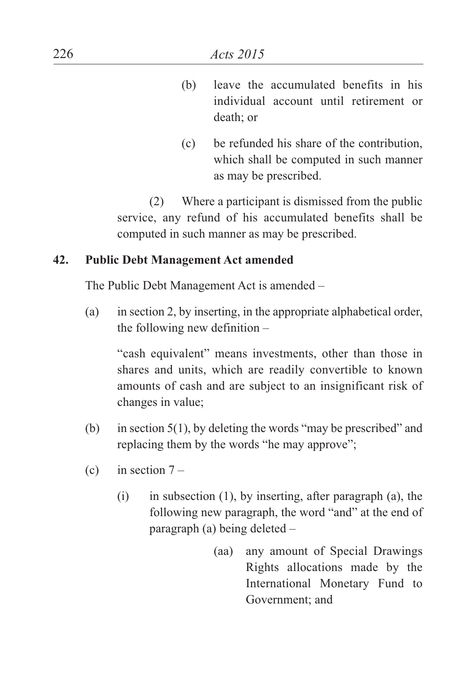- (b) leave the accumulated benefits in his individual account until retirement or death; or
- (c) be refunded his share of the contribution, which shall be computed in such manner as may be prescribed.

(2) Where a participant is dismissed from the public service, any refund of his accumulated benefits shall be computed in such manner as may be prescribed.

### **42. Public Debt Management Act amended**

The Public Debt Management Act is amended –

(a) in section 2, by inserting, in the appropriate alphabetical order, the following new definition –

"cash equivalent" means investments, other than those in shares and units, which are readily convertible to known amounts of cash and are subject to an insignificant risk of changes in value;

- (b) in section 5(1), by deleting the words "may be prescribed" and replacing them by the words "he may approve";
- (c) in section  $7 -$ 
	- (i) in subsection (1), by inserting, after paragraph (a), the following new paragraph, the word "and" at the end of paragraph (a) being deleted –
		- (aa) any amount of Special Drawings Rights allocations made by the International Monetary Fund to Government; and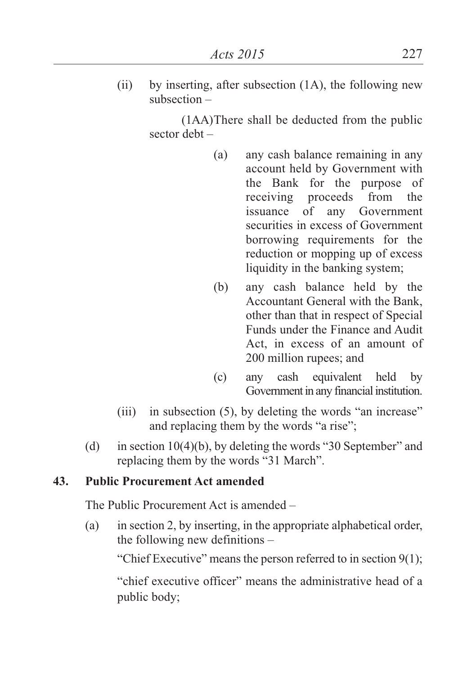(ii) by inserting, after subsection (1A), the following new subsection –

> (1AA)There shall be deducted from the public sector debt –

- (a) any cash balance remaining in any account held by Government with the Bank for the purpose of receiving proceeds from the issuance of any Government securities in excess of Government borrowing requirements for the reduction or mopping up of excess liquidity in the banking system;
- (b) any cash balance held by the Accountant General with the Bank, other than that in respect of Special Funds under the Finance and Audit Act, in excess of an amount of 200 million rupees; and
- (c) any cash equivalent held by Government in any financial institution.
- (iii) in subsection (5), by deleting the words "an increase" and replacing them by the words "a rise";
- (d) in section 10(4)(b), by deleting the words "30 September" and replacing them by the words "31 March".

## **43. Public Procurement Act amended**

The Public Procurement Act is amended –

(a) in section 2, by inserting, in the appropriate alphabetical order, the following new definitions –

"Chief Executive" means the person referred to in section 9(1);

"chief executive officer" means the administrative head of a public body;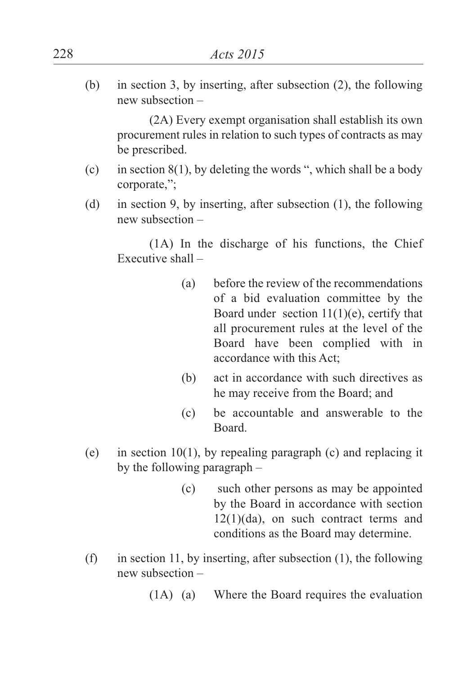(b) in section 3, by inserting, after subsection (2), the following new subsection –

(2A) Every exempt organisation shall establish its own procurement rules in relation to such types of contracts as may be prescribed.

- (c) in section  $8(1)$ , by deleting the words ", which shall be a body corporate,";
- (d) in section 9, by inserting, after subsection (1), the following new subsection –

(1A) In the discharge of his functions, the Chief Executive shall –

- (a) before the review of the recommendations of a bid evaluation committee by the Board under section  $11(1)(e)$ , certify that all procurement rules at the level of the Board have been complied with in accordance with this Act;
- (b) act in accordance with such directives as he may receive from the Board; and
- (c) be accountable and answerable to the Board.
- (e) in section 10(1), by repealing paragraph (c) and replacing it by the following paragraph –
	- (c) such other persons as may be appointed by the Board in accordance with section 12(1)(da), on such contract terms and conditions as the Board may determine.
- (f) in section 11, by inserting, after subsection (1), the following new subsection –
	- (1A) (a) Where the Board requires the evaluation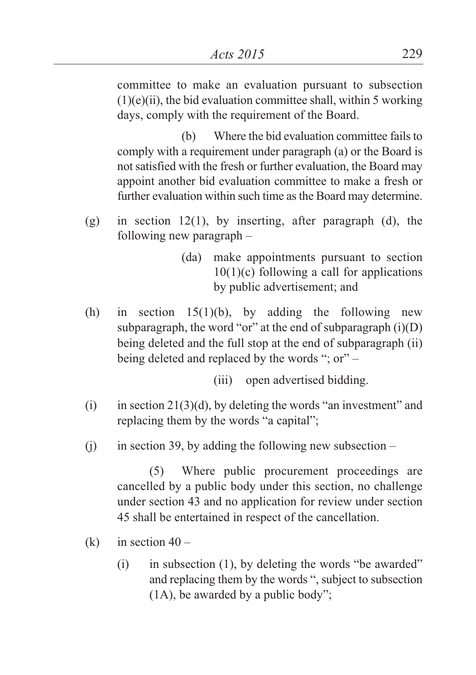committee to make an evaluation pursuant to subsection  $(1)(e)(ii)$ , the bid evaluation committee shall, within 5 working days, comply with the requirement of the Board.

(b) Where the bid evaluation committee fails to comply with a requirement under paragraph (a) or the Board is not satisfied with the fresh or further evaluation, the Board may appoint another bid evaluation committee to make a fresh or further evaluation within such time as the Board may determine.

- (g) in section 12(1), by inserting, after paragraph (d), the following new paragraph –
	- (da) make appointments pursuant to section  $10(1)(c)$  following a call for applications by public advertisement; and
- (h) in section  $15(1)(b)$ , by adding the following new subparagraph, the word "or" at the end of subparagraph  $(i)(D)$ being deleted and the full stop at the end of subparagraph (ii) being deleted and replaced by the words "; or" –
	- (iii) open advertised bidding.
- (i) in section  $21(3)(d)$ , by deleting the words "an investment" and replacing them by the words "a capital";
- (i) in section 39, by adding the following new subsection –

(5) Where public procurement proceedings are cancelled by a public body under this section, no challenge under section 43 and no application for review under section 45 shall be entertained in respect of the cancellation.

- (k) in section  $40 -$ 
	- (i) in subsection (1), by deleting the words "be awarded" and replacing them by the words ", subject to subsection (1A), be awarded by a public body";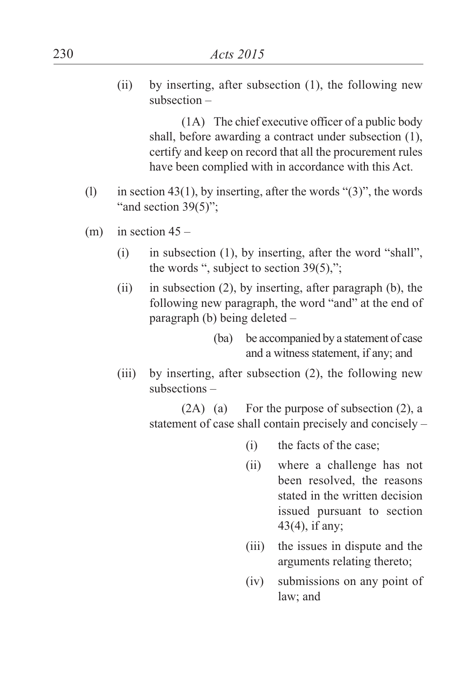(ii) by inserting, after subsection (1), the following new subsection –

> (1A) The chief executive officer of a public body shall, before awarding a contract under subsection (1), certify and keep on record that all the procurement rules have been complied with in accordance with this Act.

- (1) in section 43(1), by inserting, after the words " $(3)$ ", the words "and section  $39(5)$ ";
- (m) in section  $45 -$ 
	- (i) in subsection (1), by inserting, after the word "shall", the words ", subject to section 39(5),";
	- (ii) in subsection (2), by inserting, after paragraph (b), the following new paragraph, the word "and" at the end of paragraph (b) being deleted –

(ba) be accompanied by a statement of case and a witness statement, if any; and

(iii) by inserting, after subsection (2), the following new subsections –

> (2A) (a) For the purpose of subsection (2), a statement of case shall contain precisely and concisely –

- (i) the facts of the case;
- (ii) where a challenge has not been resolved, the reasons stated in the written decision issued pursuant to section 43(4), if any;
- (iii) the issues in dispute and the arguments relating thereto;
- (iv) submissions on any point of law; and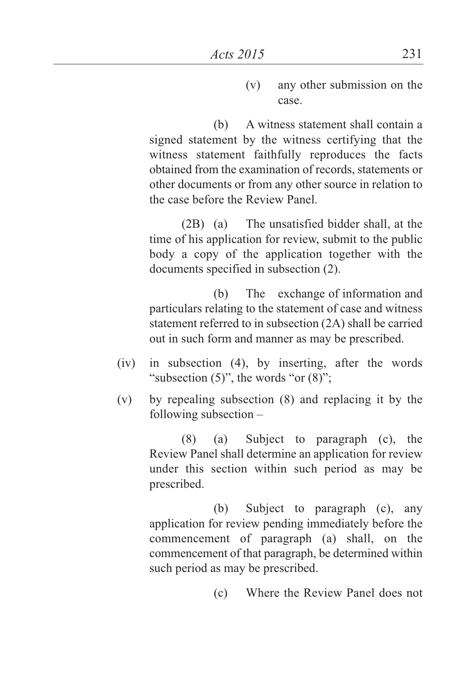(v) any other submission on the case.

(b) A witness statement shall contain a signed statement by the witness certifying that the witness statement faithfully reproduces the facts obtained from the examination of records, statements or other documents or from any other source in relation to the case before the Review Panel.

(2B) (a) The unsatisfied bidder shall, at the time of his application for review, submit to the public body a copy of the application together with the documents specified in subsection (2).

(b) The exchange of information and particulars relating to the statement of case and witness statement referred to in subsection (2A) shall be carried out in such form and manner as may be prescribed.

- (iv) in subsection (4), by inserting, after the words "subsection  $(5)$ ", the words "or  $(8)$ ";
- (v) by repealing subsection (8) and replacing it by the following subsection –

(8) (a) Subject to paragraph (c), the Review Panel shall determine an application for review under this section within such period as may be prescribed.

(b) Subject to paragraph (c), any application for review pending immediately before the commencement of paragraph (a) shall, on the commencement of that paragraph, be determined within such period as may be prescribed.

(c) Where the Review Panel does not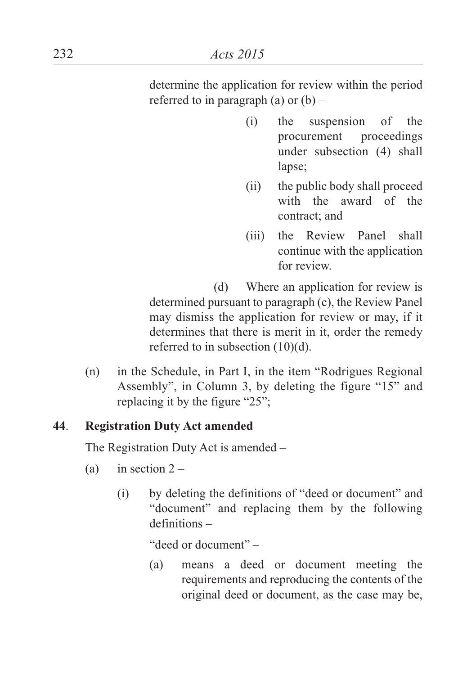determine the application for review within the period referred to in paragraph (a) or  $(b)$  –

- (i) the suspension of the procurement proceedings under subsection (4) shall lapse;
- (ii) the public body shall proceed with the award of the contract; and
- (iii) the Review Panel shall continue with the application for review.

(d) Where an application for review is determined pursuant to paragraph (c), the Review Panel may dismiss the application for review or may, if it determines that there is merit in it, order the remedy referred to in subsection (10)(d).

(n) in the Schedule, in Part I, in the item "Rodrigues Regional Assembly", in Column 3, by deleting the figure "15" and replacing it by the figure "25";

# **44**. **Registration Duty Act amended**

The Registration Duty Act is amended –

- (a) in section  $2 -$ 
	- (i) by deleting the definitions of "deed or document" and "document" and replacing them by the following definitions –

"deed or document" –

(a) means a deed or document meeting the requirements and reproducing the contents of the original deed or document, as the case may be,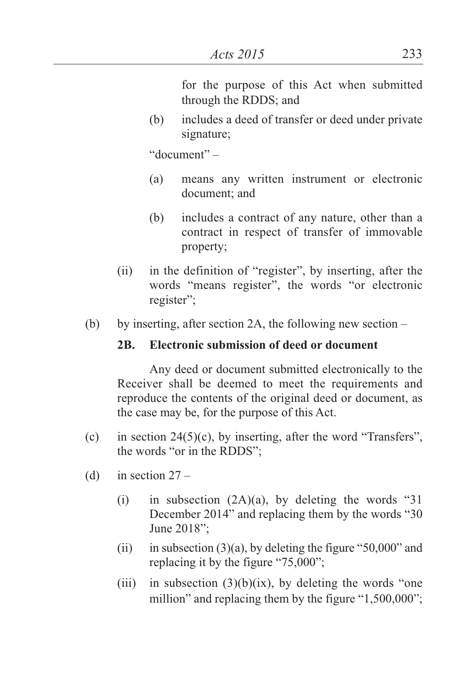for the purpose of this Act when submitted through the RDDS; and

(b) includes a deed of transfer or deed under private signature;

"document" –

- (a) means any written instrument or electronic document; and
- (b) includes a contract of any nature, other than a contract in respect of transfer of immovable property;
- (ii) in the definition of "register", by inserting, after the words "means register", the words "or electronic register";
- (b) by inserting, after section 2A, the following new section  $-$

## **2B. Electronic submission of deed or document**

Any deed or document submitted electronically to the Receiver shall be deemed to meet the requirements and reproduce the contents of the original deed or document, as the case may be, for the purpose of this Act.

- (c) in section  $24(5)(c)$ , by inserting, after the word "Transfers", the words "or in the RDDS";
- (d) in section  $27 -$ 
	- (i) in subsection  $(2A)(a)$ , by deleting the words "31 December 2014" and replacing them by the words "30 June 2018";
	- (ii) in subsection  $(3)(a)$ , by deleting the figure "50,000" and replacing it by the figure "75,000";
	- (iii) in subsection  $(3)(b)(ix)$ , by deleting the words "one million" and replacing them by the figure "1,500,000";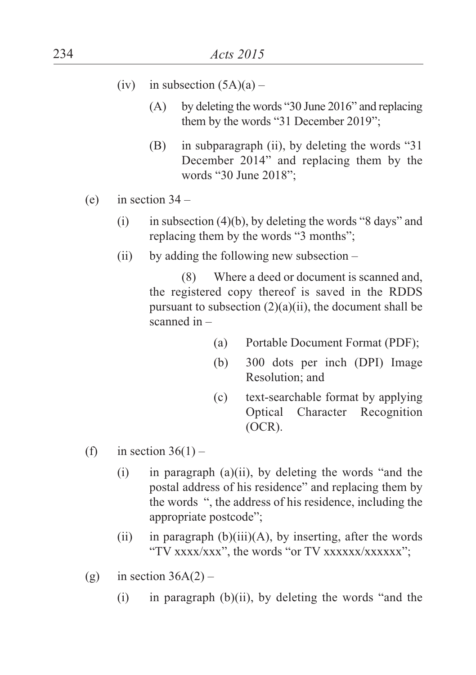- (iv) in subsection  $(5A)(a)$ 
	- (A) by deleting the words "30 June 2016" and replacing them by the words "31 December 2019";
	- (B) in subparagraph (ii), by deleting the words "31 December 2014" and replacing them by the words "30 June 2018";
- (e) in section  $34 -$ 
	- (i) in subsection (4)(b), by deleting the words "8 days" and replacing them by the words "3 months";
	- (ii) by adding the following new subsection  $-$

(8) Where a deed or document is scanned and, the registered copy thereof is saved in the RDDS pursuant to subsection  $(2)(a)(ii)$ , the document shall be scanned in –

- (a) Portable Document Format (PDF);
- (b) 300 dots per inch (DPI) Image Resolution; and
- (c) text-searchable format by applying Optical Character Recognition (OCR).
- (f) in section  $36(1)$ 
	- (i) in paragraph (a)(ii), by deleting the words "and the postal address of his residence" and replacing them by the words ", the address of his residence, including the appropriate postcode";
	- (ii) in paragraph  $(b)(iii)(A)$ , by inserting, after the words "TV xxxx/xxx", the words "or TV xxxxxx/xxxxxx";
- (g) in section  $36A(2)$ 
	- $(i)$  in paragraph  $(b)(ii)$ , by deleting the words "and the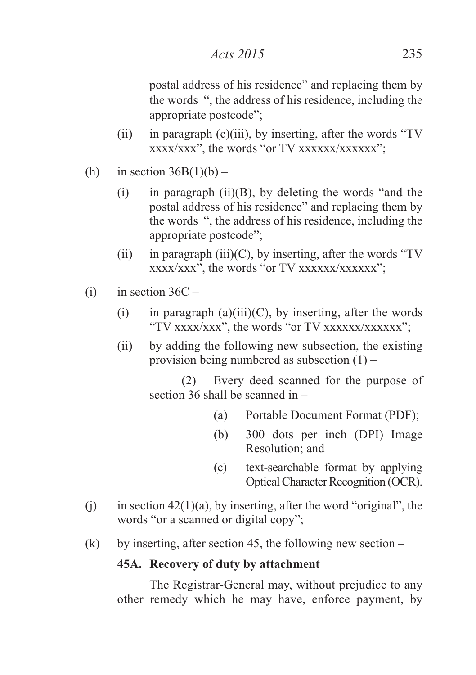postal address of his residence" and replacing them by the words ", the address of his residence, including the appropriate postcode";

- (ii) in paragraph (c)(iii), by inserting, after the words "TV xxxx/xxx", the words "or TV xxxxxx/xxxxxx";
- (h) in section  $36B(1)(b)$ 
	- (i) in paragraph (ii)(B), by deleting the words "and the postal address of his residence" and replacing them by the words ", the address of his residence, including the appropriate postcode";
	- (ii) in paragraph (iii)(C), by inserting, after the words "TV xxxx/xxx", the words "or TV xxxxxx/xxxxxx";
- (i) in section  $36C -$ 
	- (i) in paragraph (a)(iii)(C), by inserting, after the words "TV xxxx/xxx", the words "or TV xxxxxx/xxxxxx";
	- (ii) by adding the following new subsection, the existing provision being numbered as subsection (1) –

(2) Every deed scanned for the purpose of section 36 shall be scanned in –

- (a) Portable Document Format (PDF);
- (b) 300 dots per inch (DPI) Image Resolution; and
- (c) text-searchable format by applying Optical Character Recognition (OCR).
- (i) in section  $42(1)(a)$ , by inserting, after the word "original", the words "or a scanned or digital copy";
- (k) by inserting, after section 45, the following new section –

#### **45A. Recovery of duty by attachment**

The Registrar-General may, without prejudice to any other remedy which he may have, enforce payment, by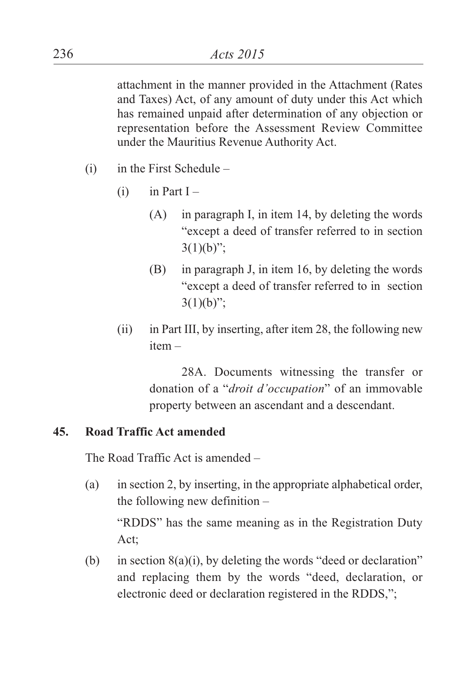attachment in the manner provided in the Attachment (Rates and Taxes) Act, of any amount of duty under this Act which has remained unpaid after determination of any objection or representation before the Assessment Review Committee under the Mauritius Revenue Authority Act.

- $(i)$  in the First Schedule
	- $(i)$  in Part I
		- (A) in paragraph I, in item 14, by deleting the words "except a deed of transfer referred to in section  $3(1)(b)$ ";
		- (B) in paragraph J, in item 16, by deleting the words "except a deed of transfer referred to in section  $3(1)(b)$ ";
	- (ii) in Part III, by inserting, after item 28, the following new item –

28A. Documents witnessing the transfer or donation of a "*droit d'occupation*" of an immovable property between an ascendant and a descendant.

#### **45. Road Traffic Act amended**

The Road Traffic Act is amended –

(a) in section 2, by inserting, in the appropriate alphabetical order, the following new definition –

"RDDS" has the same meaning as in the Registration Duty Act;

(b) in section 8(a)(i), by deleting the words "deed or declaration" and replacing them by the words "deed, declaration, or electronic deed or declaration registered in the RDDS,";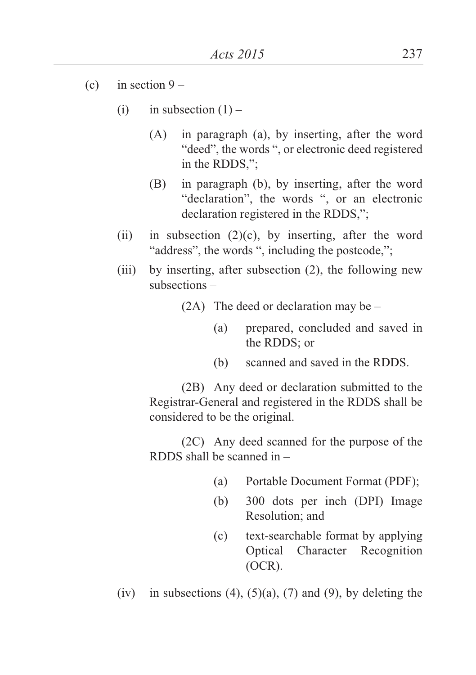- (c) in section  $9 -$ 
	- (i) in subsection  $(1)$ 
		- (A) in paragraph (a), by inserting, after the word "deed", the words ", or electronic deed registered in the RDDS,";
		- (B) in paragraph (b), by inserting, after the word "declaration", the words ", or an electronic declaration registered in the RDDS,";
	- (ii) in subsection  $(2)(c)$ , by inserting, after the word "address", the words ", including the postcode,";
	- (iii) by inserting, after subsection (2), the following new subsections –
		- $(2A)$  The deed or declaration may be
			- (a) prepared, concluded and saved in the RDDS; or
			- (b) scanned and saved in the RDDS.

(2B) Any deed or declaration submitted to the Registrar-General and registered in the RDDS shall be considered to be the original.

(2C) Any deed scanned for the purpose of the RDDS shall be scanned in –

- (a) Portable Document Format (PDF);
- (b) 300 dots per inch (DPI) Image Resolution; and
- (c) text-searchable format by applying Optical Character Recognition (OCR).

(iv) in subsections (4),  $(5)(a)$ ,  $(7)$  and  $(9)$ , by deleting the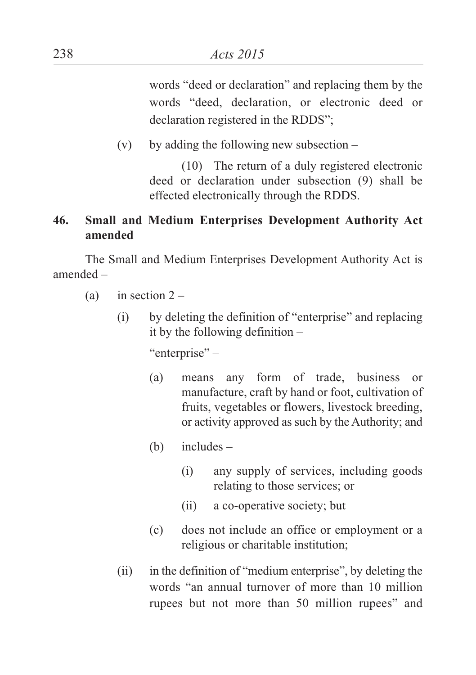words "deed or declaration" and replacing them by the words "deed, declaration, or electronic deed or declaration registered in the RDDS";

(v) by adding the following new subsection  $-$ 

(10) The return of a duly registered electronic deed or declaration under subsection (9) shall be effected electronically through the RDDS.

## **46. Small and Medium Enterprises Development Authority Act amended**

The Small and Medium Enterprises Development Authority Act is amended –

- (a) in section  $2 -$ 
	- (i) by deleting the definition of "enterprise" and replacing it by the following definition –

"enterprise" –

- (a) means any form of trade, business or manufacture, craft by hand or foot, cultivation of fruits, vegetables or flowers, livestock breeding, or activity approved as such by the Authority; and
- (b) includes
	- (i) any supply of services, including goods relating to those services; or
	- (ii) a co-operative society; but
- (c) does not include an office or employment or a religious or charitable institution;
- (ii) in the definition of "medium enterprise", by deleting the words "an annual turnover of more than 10 million rupees but not more than 50 million rupees" and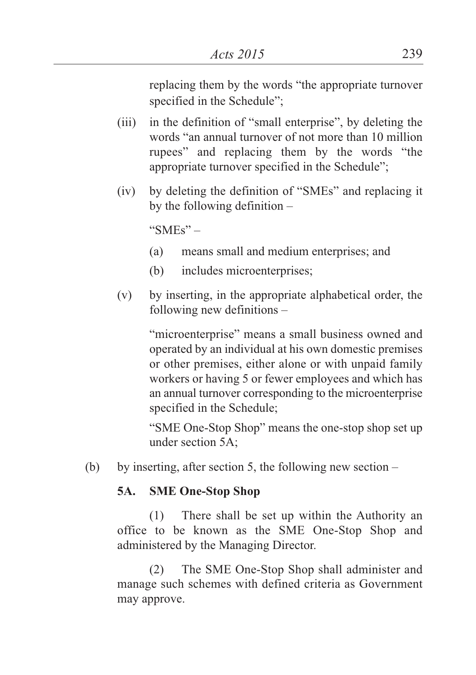replacing them by the words "the appropriate turnover specified in the Schedule";

- (iii) in the definition of "small enterprise", by deleting the words "an annual turnover of not more than 10 million rupees" and replacing them by the words "the appropriate turnover specified in the Schedule";
- (iv) by deleting the definition of "SMEs" and replacing it by the following definition –

"SMEs"  $-$ 

- (a) means small and medium enterprises; and
- (b) includes microenterprises;
- (v) by inserting, in the appropriate alphabetical order, the following new definitions –

"microenterprise" means a small business owned and operated by an individual at his own domestic premises or other premises, either alone or with unpaid family workers or having 5 or fewer employees and which has an annual turnover corresponding to the microenterprise specified in the Schedule;

"SME One-Stop Shop" means the one-stop shop set up under section 5A;

(b) by inserting, after section 5, the following new section  $-$ 

# **5A. SME One-Stop Shop**

(1) There shall be set up within the Authority an office to be known as the SME One-Stop Shop and administered by the Managing Director.

(2) The SME One-Stop Shop shall administer and manage such schemes with defined criteria as Government may approve.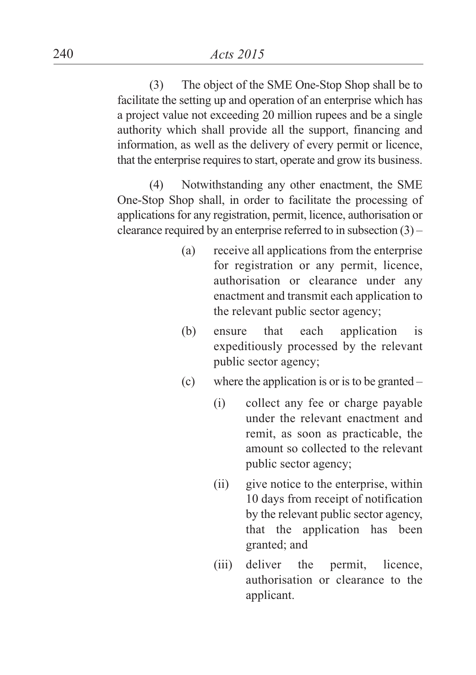(3) The object of the SME One-Stop Shop shall be to facilitate the setting up and operation of an enterprise which has a project value not exceeding 20 million rupees and be a single authority which shall provide all the support, financing and information, as well as the delivery of every permit or licence, that the enterprise requires to start, operate and grow its business.

(4) Notwithstanding any other enactment, the SME One-Stop Shop shall, in order to facilitate the processing of applications for any registration, permit, licence, authorisation or clearance required by an enterprise referred to in subsection  $(3)$  –

- (a) receive all applications from the enterprise for registration or any permit, licence, authorisation or clearance under any enactment and transmit each application to the relevant public sector agency;
- (b) ensure that each application is expeditiously processed by the relevant public sector agency;
- (c) where the application is or is to be granted  $-$ 
	- (i) collect any fee or charge payable under the relevant enactment and remit, as soon as practicable, the amount so collected to the relevant public sector agency;
	- (ii) give notice to the enterprise, within 10 days from receipt of notification by the relevant public sector agency, that the application has been granted; and
	- (iii) deliver the permit, licence, authorisation or clearance to the applicant.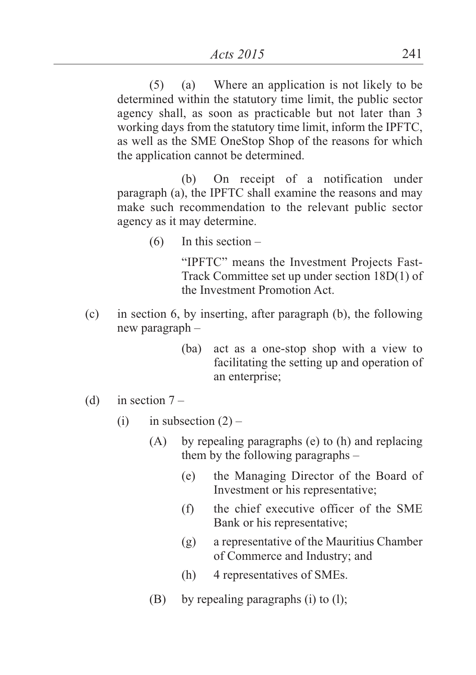(5) (a) Where an application is not likely to be determined within the statutory time limit, the public sector agency shall, as soon as practicable but not later than 3 working days from the statutory time limit, inform the IPFTC, as well as the SME OneStop Shop of the reasons for which the application cannot be determined.

(b) On receipt of a notification under paragraph (a), the IPFTC shall examine the reasons and may make such recommendation to the relevant public sector agency as it may determine.

 $(6)$  In this section –

"IPFTC" means the Investment Projects Fast-Track Committee set up under section 18D(1) of the Investment Promotion Act.

- (c) in section 6, by inserting, after paragraph (b), the following new paragraph –
	- (ba) act as a one-stop shop with a view to facilitating the setting up and operation of an enterprise;
- (d) in section  $7 -$ 
	- (i) in subsection  $(2)$ 
		- (A) by repealing paragraphs (e) to (h) and replacing them by the following paragraphs –
			- (e) the Managing Director of the Board of Investment or his representative;
			- (f) the chief executive officer of the SME Bank or his representative;
			- (g) a representative of the Mauritius Chamber of Commerce and Industry; and
			- (h) 4 representatives of SMEs.
		- (B) by repealing paragraphs (i) to (l);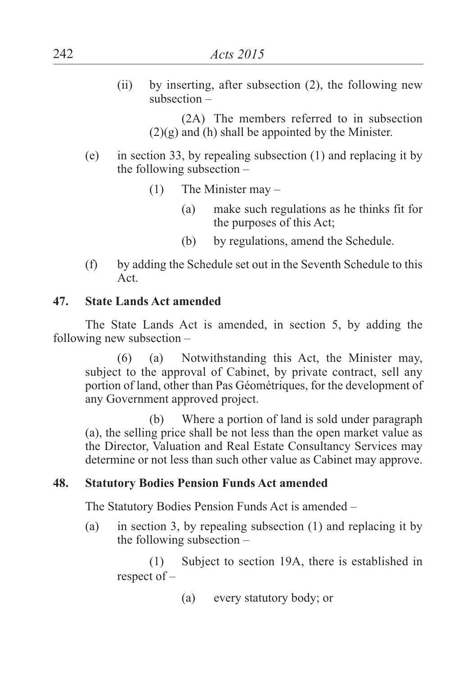(ii) by inserting, after subsection (2), the following new subsection –

> (2A) The members referred to in subsection  $(2)(g)$  and (h) shall be appointed by the Minister.

- (e) in section 33, by repealing subsection (1) and replacing it by the following subsection –
	- (1) The Minister may
		- (a) make such regulations as he thinks fit for the purposes of this Act;
		- (b) by regulations, amend the Schedule.
- (f) by adding the Schedule set out in the Seventh Schedule to this Act.

### **47. State Lands Act amended**

The State Lands Act is amended, in section 5, by adding the following new subsection –

(6) (a) Notwithstanding this Act, the Minister may, subject to the approval of Cabinet, by private contract, sell any portion of land, other than Pas Géométriques, for the development of any Government approved project.

(b) Where a portion of land is sold under paragraph (a), the selling price shall be not less than the open market value as the Director, Valuation and Real Estate Consultancy Services may determine or not less than such other value as Cabinet may approve.

## **48. Statutory Bodies Pension Funds Act amended**

The Statutory Bodies Pension Funds Act is amended –

(a) in section 3, by repealing subsection (1) and replacing it by the following subsection –

(1) Subject to section 19A, there is established in respect of –

(a) every statutory body; or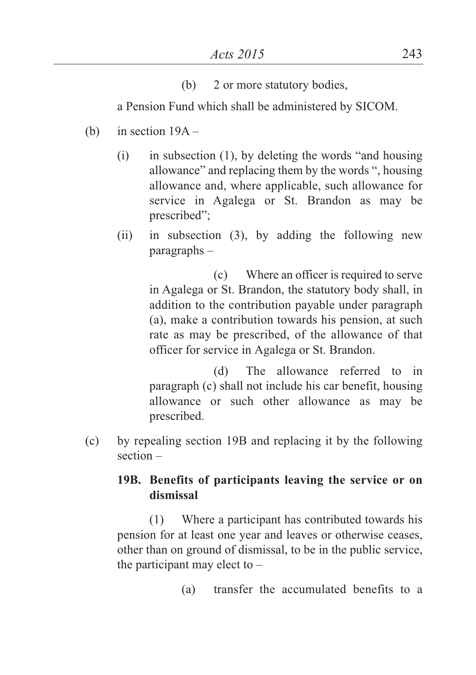(b) 2 or more statutory bodies,

a Pension Fund which shall be administered by SICOM.

- (b) in section  $19A -$ 
	- (i) in subsection (1), by deleting the words "and housing allowance" and replacing them by the words ", housing allowance and, where applicable, such allowance for service in Agalega or St. Brandon as may be prescribed";
	- (ii) in subsection (3), by adding the following new paragraphs –

(c) Where an officer is required to serve in Agalega or St. Brandon, the statutory body shall, in addition to the contribution payable under paragraph (a), make a contribution towards his pension, at such rate as may be prescribed, of the allowance of that officer for service in Agalega or St. Brandon.

(d) The allowance referred to in paragraph (c) shall not include his car benefit, housing allowance or such other allowance as may be prescribed.

(c) by repealing section 19B and replacing it by the following section –

## **19B. Benefits of participants leaving the service or on dismissal**

(1) Where a participant has contributed towards his pension for at least one year and leaves or otherwise ceases, other than on ground of dismissal, to be in the public service, the participant may elect to  $-$ 

(a) transfer the accumulated benefits to a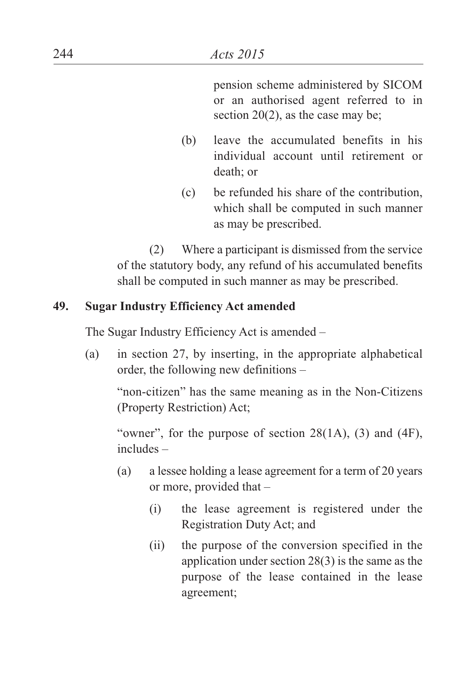pension scheme administered by SICOM or an authorised agent referred to in section 20(2), as the case may be;

- (b) leave the accumulated benefits in his individual account until retirement or death; or
- (c) be refunded his share of the contribution, which shall be computed in such manner as may be prescribed.

(2) Where a participant is dismissed from the service of the statutory body, any refund of his accumulated benefits shall be computed in such manner as may be prescribed.

### **49. Sugar Industry Efficiency Act amended**

The Sugar Industry Efficiency Act is amended –

(a) in section 27, by inserting, in the appropriate alphabetical order, the following new definitions –

"non-citizen" has the same meaning as in the Non-Citizens (Property Restriction) Act;

"owner", for the purpose of section  $28(1A)$ , (3) and (4F), includes –

- (a) a lessee holding a lease agreement for a term of 20 years or more, provided that –
	- (i) the lease agreement is registered under the Registration Duty Act; and
	- (ii) the purpose of the conversion specified in the application under section 28(3) is the same as the purpose of the lease contained in the lease agreement;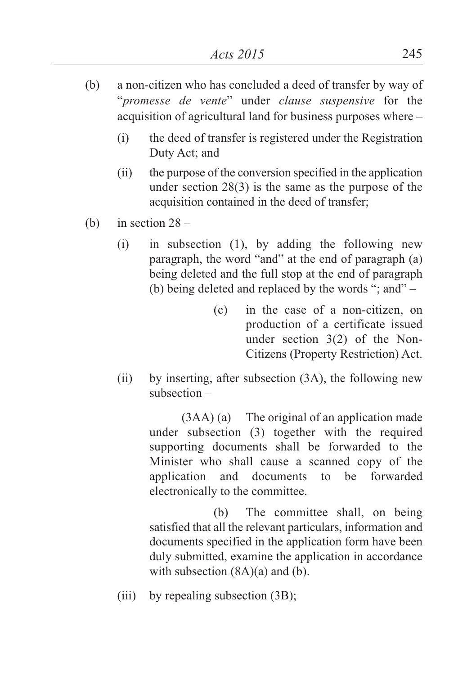- (b) a non-citizen who has concluded a deed of transfer by way of "*promesse de vente*" under *clause suspensive* for the acquisition of agricultural land for business purposes where –
	- (i) the deed of transfer is registered under the Registration Duty Act; and
	- (ii) the purpose of the conversion specified in the application under section 28(3) is the same as the purpose of the acquisition contained in the deed of transfer;
- (b) in section  $28 -$ 
	- (i) in subsection (1), by adding the following new paragraph, the word "and" at the end of paragraph (a) being deleted and the full stop at the end of paragraph (b) being deleted and replaced by the words "; and" –
		- (c) in the case of a non-citizen, on production of a certificate issued under section 3(2) of the Non-Citizens (Property Restriction) Act.
	- (ii) by inserting, after subsection (3A), the following new subsection –

(3AA) (a) The original of an application made under subsection (3) together with the required supporting documents shall be forwarded to the Minister who shall cause a scanned copy of the application and documents to be forwarded electronically to the committee.

(b) The committee shall, on being satisfied that all the relevant particulars, information and documents specified in the application form have been duly submitted, examine the application in accordance with subsection  $(8A)(a)$  and  $(b)$ .

(iii) by repealing subsection (3B);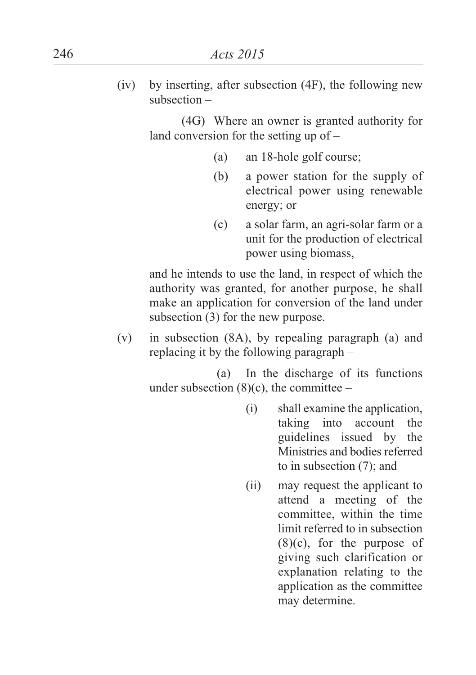(iv) by inserting, after subsection (4F), the following new subsection –

> (4G) Where an owner is granted authority for land conversion for the setting up of –

- (a) an 18-hole golf course;
- (b) a power station for the supply of electrical power using renewable energy; or
- (c) a solar farm, an agri-solar farm or a unit for the production of electrical power using biomass,

and he intends to use the land, in respect of which the authority was granted, for another purpose, he shall make an application for conversion of the land under subsection (3) for the new purpose.

(v) in subsection (8A), by repealing paragraph (a) and replacing it by the following paragraph –

> (a) In the discharge of its functions under subsection  $(8)(c)$ , the committee –

- (i) shall examine the application, taking into account the guidelines issued by the Ministries and bodies referred to in subsection (7); and
- (ii) may request the applicant to attend a meeting of the committee, within the time limit referred to in subsection (8)(c), for the purpose of giving such clarification or explanation relating to the application as the committee may determine.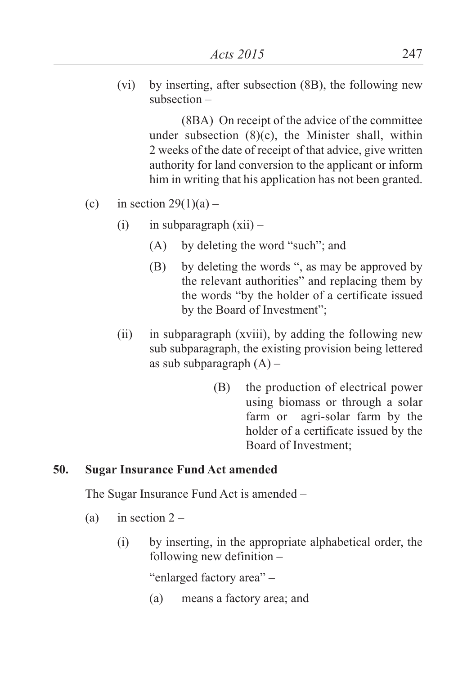(vi) by inserting, after subsection (8B), the following new subsection –

> (8BA) On receipt of the advice of the committee under subsection (8)(c), the Minister shall, within 2 weeks of the date of receipt of that advice, give written authority for land conversion to the applicant or inform him in writing that his application has not been granted.

- (c) in section  $29(1)(a)$ 
	- (i) in subparagraph  $(xii)$ 
		- (A) by deleting the word "such"; and
		- (B) by deleting the words ", as may be approved by the relevant authorities" and replacing them by the words "by the holder of a certificate issued by the Board of Investment";
	- (ii) in subparagraph (xviii), by adding the following new sub subparagraph, the existing provision being lettered as sub subparagraph  $(A)$  –
		- (B) the production of electrical power using biomass or through a solar farm or agri-solar farm by the holder of a certificate issued by the Board of Investment;

#### **50. Sugar Insurance Fund Act amended**

The Sugar Insurance Fund Act is amended –

- (a) in section  $2 -$ 
	- (i) by inserting, in the appropriate alphabetical order, the following new definition –

"enlarged factory area" –

(a) means a factory area; and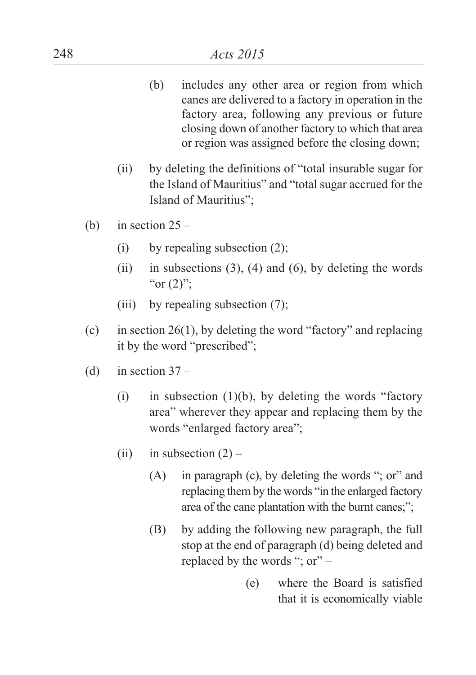- (b) includes any other area or region from which canes are delivered to a factory in operation in the factory area, following any previous or future closing down of another factory to which that area or region was assigned before the closing down;
- (ii) by deleting the definitions of "total insurable sugar for the Island of Mauritius" and "total sugar accrued for the Island of Mauritius";
- (b) in section  $25 -$ 
	- (i) by repealing subsection (2);
	- (ii) in subsections  $(3)$ ,  $(4)$  and  $(6)$ , by deleting the words "or  $(2)$ ";
	- (iii) by repealing subsection (7);
- (c) in section 26(1), by deleting the word "factory" and replacing it by the word "prescribed";
- (d) in section  $37 -$ 
	- (i) in subsection  $(1)(b)$ , by deleting the words "factory" area" wherever they appear and replacing them by the words "enlarged factory area";
	- (ii) in subsection  $(2)$ 
		- (A) in paragraph (c), by deleting the words "; or" and replacing them by the words "in the enlarged factory area of the cane plantation with the burnt canes;";
		- (B) by adding the following new paragraph, the full stop at the end of paragraph (d) being deleted and replaced by the words "; or" –
			- (e) where the Board is satisfied that it is economically viable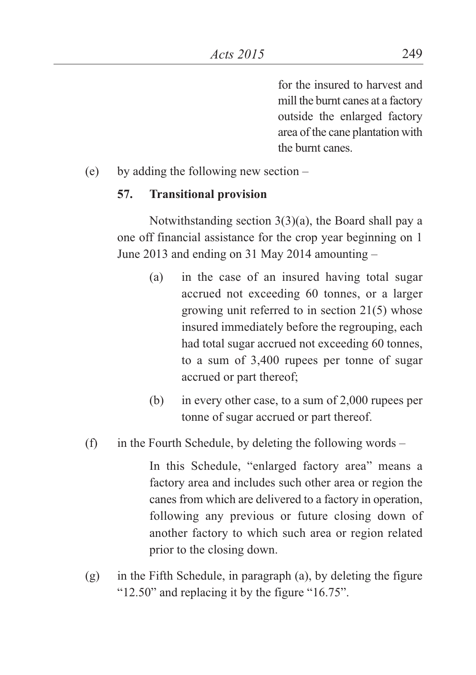for the insured to harvest and mill the burnt canes at a factory outside the enlarged factory area of the cane plantation with the burnt canes.

(e) by adding the following new section –

#### **57. Transitional provision**

Notwithstanding section 3(3)(a), the Board shall pay a one off financial assistance for the crop year beginning on 1 June 2013 and ending on 31 May 2014 amounting –

- (a) in the case of an insured having total sugar accrued not exceeding 60 tonnes, or a larger growing unit referred to in section 21(5) whose insured immediately before the regrouping, each had total sugar accrued not exceeding 60 tonnes, to a sum of 3,400 rupees per tonne of sugar accrued or part thereof;
- (b) in every other case, to a sum of 2,000 rupees per tonne of sugar accrued or part thereof.
- (f) in the Fourth Schedule, by deleting the following words –

In this Schedule, "enlarged factory area" means a factory area and includes such other area or region the canes from which are delivered to a factory in operation, following any previous or future closing down of another factory to which such area or region related prior to the closing down.

(g) in the Fifth Schedule, in paragraph (a), by deleting the figure "12.50" and replacing it by the figure "16.75".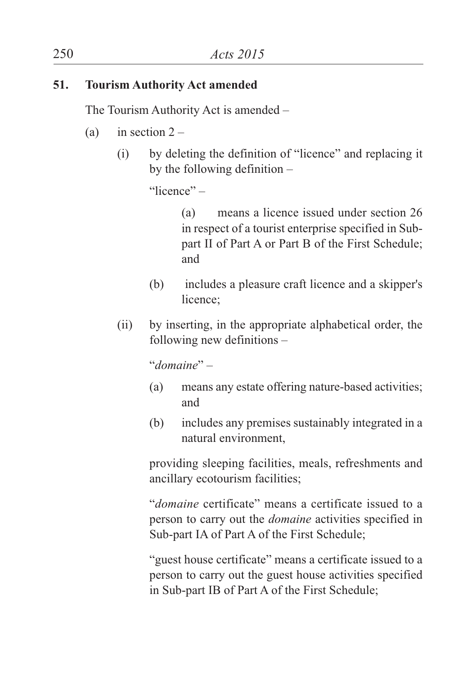#### **51. Tourism Authority Act amended**

The Tourism Authority Act is amended –

- (a) in section  $2 -$ 
	- (i) by deleting the definition of "licence" and replacing it by the following definition –

"licence" –

(a) means a licence issued under section 26 in respect of a tourist enterprise specified in Subpart II of Part A or Part B of the First Schedule; and

- (b) includes a pleasure craft licence and a skipper's licence;
- (ii) by inserting, in the appropriate alphabetical order, the following new definitions –

"*domaine*" –

- (a) means any estate offering nature-based activities; and
- (b) includes any premises sustainably integrated in a natural environment,

providing sleeping facilities, meals, refreshments and ancillary ecotourism facilities;

"*domaine* certificate" means a certificate issued to a person to carry out the *domaine* activities specified in Sub-part IA of Part A of the First Schedule;

"guest house certificate" means a certificate issued to a person to carry out the guest house activities specified in Sub-part IB of Part A of the First Schedule;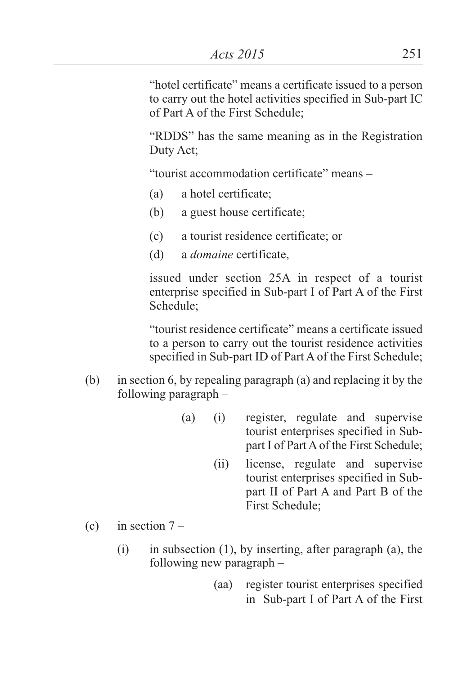"hotel certificate" means a certificate issued to a person to carry out the hotel activities specified in Sub-part IC of Part A of the First Schedule;

"RDDS" has the same meaning as in the Registration Duty Act;

"tourist accommodation certificate" means –

- (a) a hotel certificate;
- (b) a guest house certificate;
- (c) a tourist residence certificate; or
- (d) a *domaine* certificate,

issued under section 25A in respect of a tourist enterprise specified in Sub-part I of Part A of the First Schedule;

"tourist residence certificate" means a certificate issued to a person to carry out the tourist residence activities specified in Sub-part ID of Part A of the First Schedule:

- (b) in section 6, by repealing paragraph (a) and replacing it by the following paragraph –
	- (a) (i) register, regulate and supervise tourist enterprises specified in Subpart I of Part A of the First Schedule;
		- (ii) license, regulate and supervise tourist enterprises specified in Subpart II of Part A and Part B of the First Schedule;
- (c) in section  $7 -$ 
	- (i) in subsection (1), by inserting, after paragraph (a), the following new paragraph –
		- (aa) register tourist enterprises specified in Sub-part I of Part A of the First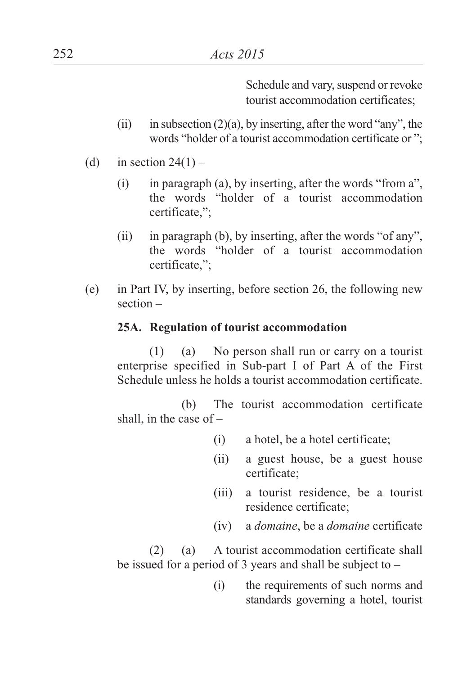Schedule and vary, suspend or revoke tourist accommodation certificates;

- (ii) in subsection  $(2)(a)$ , by inserting, after the word "any", the words "holder of a tourist accommodation certificate or ";
- (d) in section  $24(1)$ 
	- (i) in paragraph (a), by inserting, after the words "from a", the words "holder of a tourist accommodation certificate,";
	- (ii) in paragraph (b), by inserting, after the words "of any", the words "holder of a tourist accommodation certificate,";
- (e) in Part IV, by inserting, before section 26, the following new section –

#### **25A. Regulation of tourist accommodation**

(1) (a) No person shall run or carry on a tourist enterprise specified in Sub-part I of Part A of the First Schedule unless he holds a tourist accommodation certificate.

(b) The tourist accommodation certificate shall, in the case of  $-$ 

- (i) a hotel, be a hotel certificate;
- (ii) a guest house, be a guest house certificate;
- (iii) a tourist residence, be a tourist residence certificate;
- (iv) a *domaine*, be a *domaine* certificate

(2) (a) A tourist accommodation certificate shall be issued for a period of 3 years and shall be subject to –

> (i) the requirements of such norms and standards governing a hotel, tourist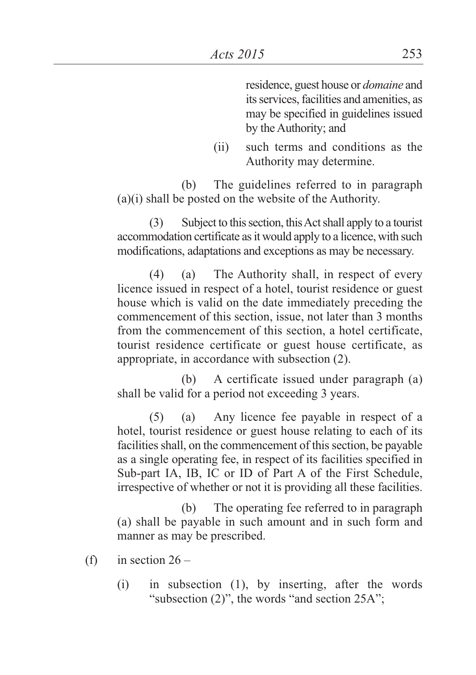residence, guest house or *domaine* and its services, facilities and amenities, as may be specified in guidelines issued by the Authority; and

(ii) such terms and conditions as the Authority may determine.

(b) The guidelines referred to in paragraph (a)(i) shall be posted on the website of the Authority.

(3) Subject to thissection, thisActshall apply to a tourist accommodation certificate as it would apply to a licence, with such modifications, adaptations and exceptions as may be necessary.

(4) (a) The Authority shall, in respect of every licence issued in respect of a hotel, tourist residence or guest house which is valid on the date immediately preceding the commencement of this section, issue, not later than 3 months from the commencement of this section, a hotel certificate, tourist residence certificate or guest house certificate, as appropriate, in accordance with subsection (2).

(b) A certificate issued under paragraph (a) shall be valid for a period not exceeding 3 years.

(5) (a) Any licence fee payable in respect of a hotel, tourist residence or guest house relating to each of its facilities shall, on the commencement of this section, be payable as a single operating fee, in respect of its facilities specified in Sub-part IA, IB, IC or ID of Part A of the First Schedule, irrespective of whether or not it is providing all these facilities.

(b) The operating fee referred to in paragraph (a) shall be payable in such amount and in such form and manner as may be prescribed.

- (f) in section  $26 -$ 
	- (i) in subsection (1), by inserting, after the words "subsection (2)", the words "and section 25A";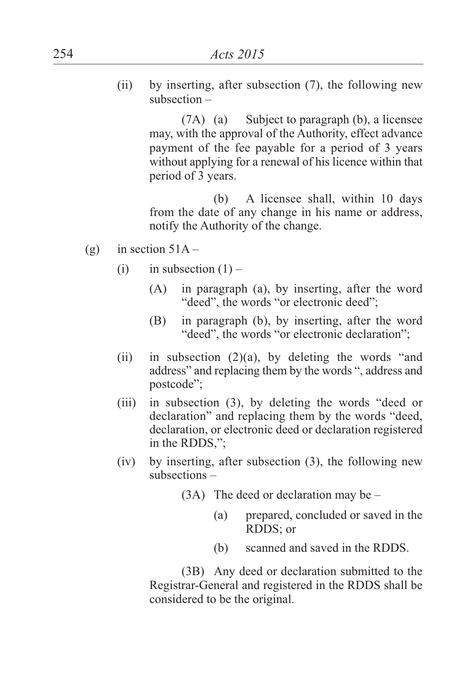(ii) by inserting, after subsection (7), the following new subsection –

> (7A) (a) Subject to paragraph (b), a licensee may, with the approval of the Authority, effect advance payment of the fee payable for a period of 3 years without applying for a renewal of his licence within that period of 3 years.

> (b) A licensee shall, within 10 days from the date of any change in his name or address, notify the Authority of the change.

- (g) in section  $51A -$ 
	- (i) in subsection  $(1)$ 
		- (A) in paragraph (a), by inserting, after the word "deed", the words "or electronic deed";
		- (B) in paragraph (b), by inserting, after the word "deed", the words "or electronic declaration";
	- (ii) in subsection  $(2)(a)$ , by deleting the words "and" address" and replacing them by the words ", address and postcode";
	- (iii) in subsection (3), by deleting the words "deed or declaration" and replacing them by the words "deed, declaration, or electronic deed or declaration registered in the RDDS,";
	- (iv) by inserting, after subsection (3), the following new subsections –
		- (3A) The deed or declaration may be
			- (a) prepared, concluded or saved in the RDDS; or
			- (b) scanned and saved in the RDDS.

(3B) Any deed or declaration submitted to the Registrar-General and registered in the RDDS shall be considered to be the original.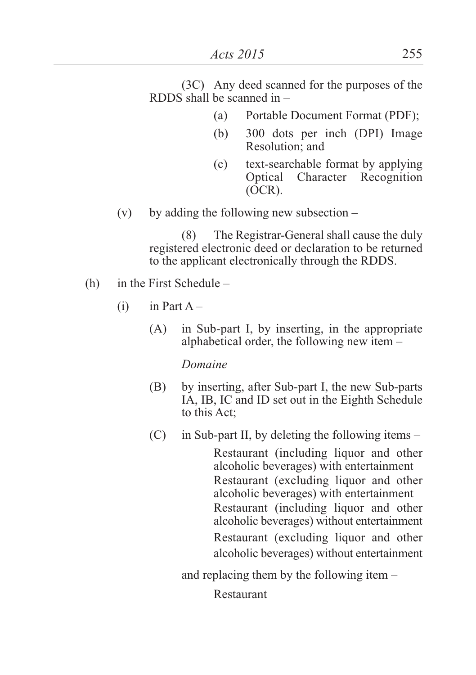(3C) Any deed scanned for the purposes of the RDDS shall be scanned in –

- (a) Portable Document Format (PDF);
- (b) 300 dots per inch (DPI) Image Resolution; and
- (c) text-searchable format by applying Optical Character Recognition (OCR).
- (v) by adding the following new subsection  $-$

(8) The Registrar-General shall cause the duly registered electronic deed or declaration to be returned to the applicant electronically through the RDDS.

- (h) in the First Schedule
	- $(i)$  in Part A
		- (A) in Sub-part I, by inserting, in the appropriate alphabetical order, the following new item –

#### *Domaine*

- (B) by inserting, after Sub-part I, the new Sub-parts IA, IB, IC and ID set out in the Eighth Schedule to this Act;
- $(C)$  in Sub-part II, by deleting the following items Restaurant (including liquor and other alcoholic beverages) with entertainment Restaurant (excluding liquor and other alcoholic beverages) with entertainment Restaurant (including liquor and other alcoholic beverages) without entertainment Restaurant (excluding liquor and other alcoholic beverages) without entertainment

and replacing them by the following item –

Restaurant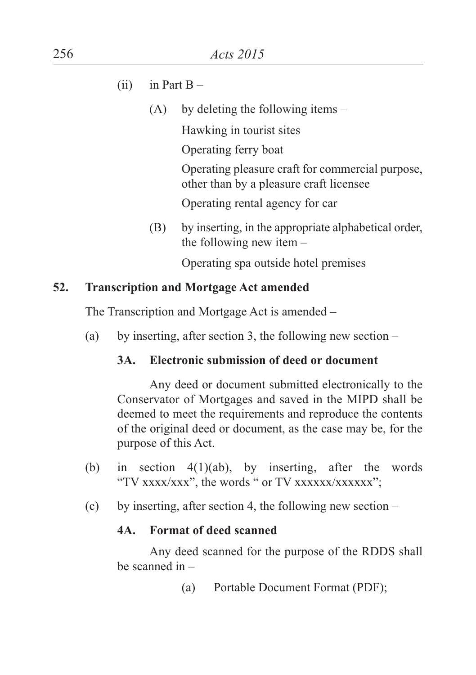- (ii) in Part  $B -$ 
	- (A) by deleting the following items –

Hawking in tourist sites

Operating ferry boat

Operating pleasure craft for commercial purpose, other than by a pleasure craft licensee

Operating rental agency for car

(B) by inserting, in the appropriate alphabetical order, the following new item –

Operating spa outside hotel premises

### **52. Transcription and Mortgage Act amended**

The Transcription and Mortgage Act is amended –

(a) by inserting, after section 3, the following new section  $-$ 

### **3A. Electronic submission of deed or document**

Any deed or document submitted electronically to the Conservator of Mortgages and saved in the MIPD shall be deemed to meet the requirements and reproduce the contents of the original deed or document, as the case may be, for the purpose of this Act.

- (b) in section 4(1)(ab), by inserting, after the words "TV xxxx/xxx", the words " or TV xxxxxx/xxxxxx";
- (c) by inserting, after section 4, the following new section –

### **4A. Format of deed scanned**

Any deed scanned for the purpose of the RDDS shall be scanned in –

(a) Portable Document Format (PDF);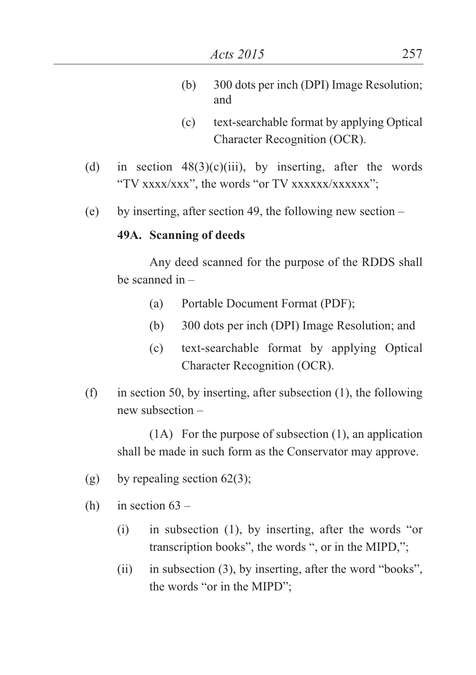- (b) 300 dots per inch (DPI) Image Resolution; and
- (c) text-searchable format by applying Optical Character Recognition (OCR).
- (d) in section  $48(3)(c)(iii)$ , by inserting, after the words "TV xxxx/xxx", the words "or TV xxxxxx/xxxxxx";
- (e) by inserting, after section 49, the following new section –

#### **49A. Scanning of deeds**

Any deed scanned for the purpose of the RDDS shall be scanned in –

- (a) Portable Document Format (PDF);
- (b) 300 dots per inch (DPI) Image Resolution; and
- (c) text-searchable format by applying Optical Character Recognition (OCR).
- (f) in section 50, by inserting, after subsection (1), the following new subsection –

(1A) For the purpose of subsection (1), an application shall be made in such form as the Conservator may approve.

- (g) by repealing section  $62(3)$ ;
- (h) in section  $63 -$ 
	- (i) in subsection (1), by inserting, after the words "or transcription books", the words ", or in the MIPD,";
	- (ii) in subsection (3), by inserting, after the word "books", the words "or in the MIPD";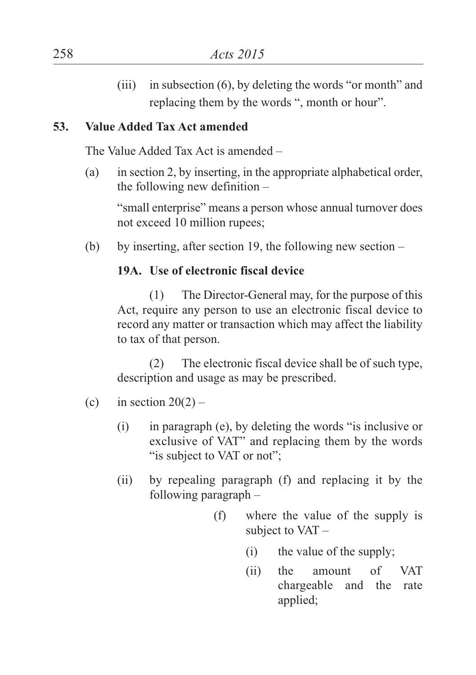(iii) in subsection (6), by deleting the words "or month" and replacing them by the words ", month or hour".

### **53. Value Added Tax Act amended**

The Value Added Tax Act is amended –

(a) in section 2, by inserting, in the appropriate alphabetical order, the following new definition –

"small enterprise" means a person whose annual turnover does not exceed 10 million rupees;

(b) by inserting, after section 19, the following new section –

### **19A. Use of electronic fiscal device**

(1) The Director-General may, for the purpose of this Act, require any person to use an electronic fiscal device to record any matter or transaction which may affect the liability to tax of that person.

(2) The electronic fiscal device shall be of such type, description and usage as may be prescribed.

### (c) in section  $20(2)$  –

- (i) in paragraph (e), by deleting the words "is inclusive or exclusive of VAT" and replacing them by the words "is subject to VAT or not":
- (ii) by repealing paragraph (f) and replacing it by the following paragraph –
	- (f) where the value of the supply is subject to VAT –
		- (i) the value of the supply;
		- (ii) the amount of VAT chargeable and the rate applied;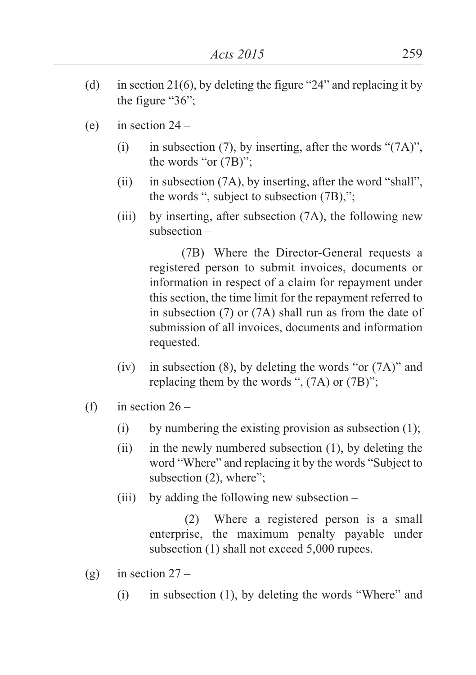- (d) in section 21(6), by deleting the figure "24" and replacing it by the figure "36";
- (e) in section  $24 -$ 
	- (i) in subsection (7), by inserting, after the words " $(7A)$ ", the words "or (7B)";
	- (ii) in subsection (7A), by inserting, after the word "shall", the words ", subject to subsection (7B),";
	- (iii) by inserting, after subsection (7A), the following new subsection –

(7B) Where the Director-General requests a registered person to submit invoices, documents or information in respect of a claim for repayment under this section, the time limit for the repayment referred to in subsection (7) or (7A) shall run as from the date of submission of all invoices, documents and information requested.

- (iv) in subsection  $(8)$ , by deleting the words "or  $(7A)$ " and replacing them by the words ", (7A) or (7B)";
- (f) in section  $26 -$ 
	- (i) by numbering the existing provision as subsection (1);
	- (ii) in the newly numbered subsection (1), by deleting the word "Where" and replacing it by the words "Subject to subsection (2), where";
	- (iii) by adding the following new subsection  $-$

(2) Where a registered person is a small enterprise, the maximum penalty payable under subsection (1) shall not exceed 5,000 rupees.

- (g) in section  $27 -$ 
	- (i) in subsection (1), by deleting the words "Where" and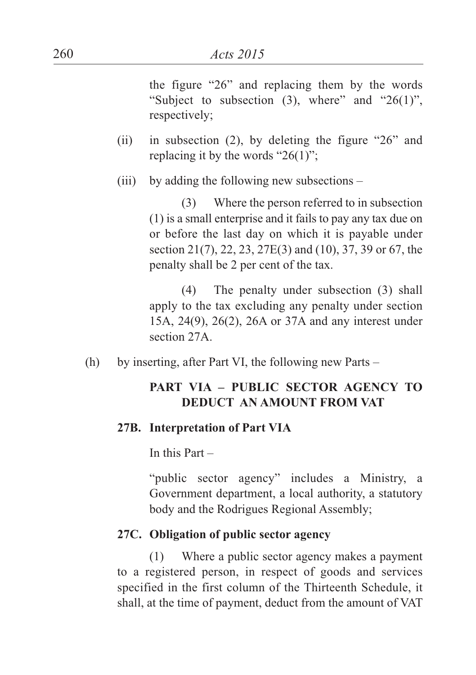the figure "26" and replacing them by the words "Subject to subsection  $(3)$ , where" and "26 $(1)$ ". respectively;

- (ii) in subsection (2), by deleting the figure "26" and replacing it by the words " $26(1)$ ";
- (iii) by adding the following new subsections –

(3) Where the person referred to in subsection (1) is a small enterprise and it fails to pay any tax due on or before the last day on which it is payable under section 21(7), 22, 23, 27E(3) and (10), 37, 39 or 67, the penalty shall be 2 per cent of the tax.

(4) The penalty under subsection (3) shall apply to the tax excluding any penalty under section 15A, 24(9), 26(2), 26A or 37A and any interest under section 27A.

(h) by inserting, after Part VI, the following new Parts –

# **PART VIA – PUBLIC SECTOR AGENCY TO DEDUCT AN AMOUNT FROM VAT**

#### **27B. Interpretation of Part VIA**

In this Part –

"public sector agency" includes a Ministry, a Government department, a local authority, a statutory body and the Rodrigues Regional Assembly;

#### **27C. Obligation of public sector agency**

(1) Where a public sector agency makes a payment to a registered person, in respect of goods and services specified in the first column of the Thirteenth Schedule, it shall, at the time of payment, deduct from the amount of VAT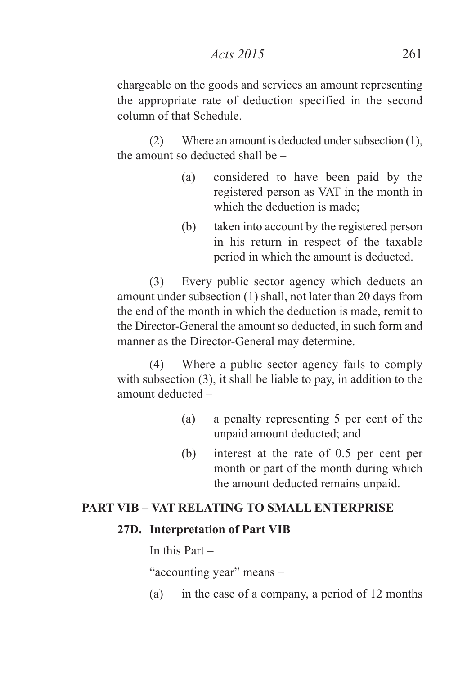chargeable on the goods and services an amount representing the appropriate rate of deduction specified in the second column of that Schedule.

 $(2)$  Where an amount is deducted under subsection  $(1)$ , the amount so deducted shall be –

- (a) considered to have been paid by the registered person as VAT in the month in which the deduction is made;
- (b) taken into account by the registered person in his return in respect of the taxable period in which the amount is deducted.

(3) Every public sector agency which deducts an amount under subsection (1) shall, not later than 20 days from the end of the month in which the deduction is made, remit to the Director-General the amount so deducted, in such form and manner as the Director-General may determine.

(4) Where a public sector agency fails to comply with subsection (3), it shall be liable to pay, in addition to the amount deducted –

- (a) a penalty representing 5 per cent of the unpaid amount deducted; and
- (b) interest at the rate of 0.5 per cent per month or part of the month during which the amount deducted remains unpaid.

#### **PART VIB – VAT RELATING TO SMALL ENTERPRISE**

#### **27D. Interpretation of Part VIB**

In this Part –

"accounting year" means –

(a) in the case of a company, a period of 12 months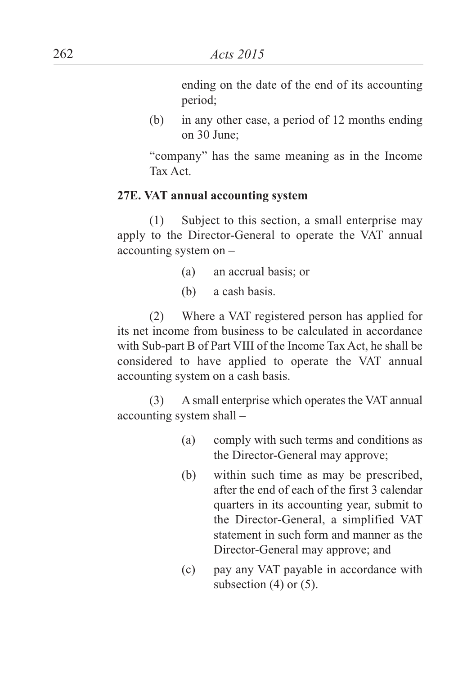ending on the date of the end of its accounting period;

(b) in any other case, a period of 12 months ending on 30 June;

"company" has the same meaning as in the Income Tax Act.

#### **27E. VAT annual accounting system**

(1) Subject to this section, a small enterprise may apply to the Director-General to operate the VAT annual accounting system on –

- (a) an accrual basis; or
- (b) a cash basis.

(2) Where a VAT registered person has applied for its net income from business to be calculated in accordance with Sub-part B of Part VIII of the Income Tax Act, he shall be considered to have applied to operate the VAT annual accounting system on a cash basis.

(3) A small enterprise which operates the VAT annual accounting system shall –

- (a) comply with such terms and conditions as the Director-General may approve;
- (b) within such time as may be prescribed, after the end of each of the first 3 calendar quarters in its accounting year, submit to the Director-General, a simplified VAT statement in such form and manner as the Director-General may approve; and
- (c) pay any VAT payable in accordance with subsection  $(4)$  or  $(5)$ .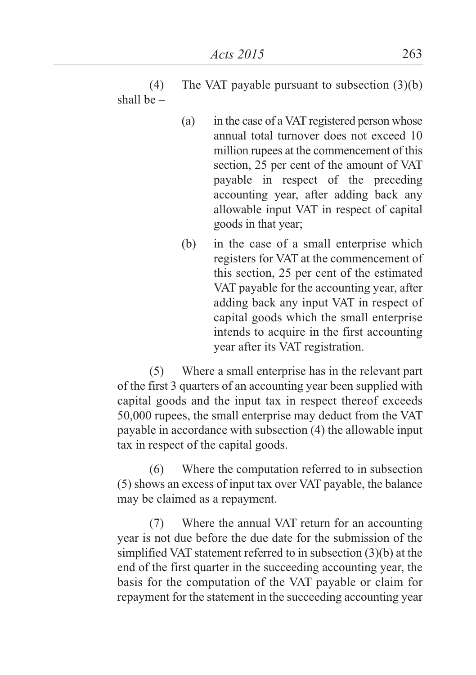(4) The VAT payable pursuant to subsection (3)(b) shall be –

- (a) in the case of a VAT registered person whose annual total turnover does not exceed 10 million rupees at the commencement of this section, 25 per cent of the amount of VAT payable in respect of the preceding accounting year, after adding back any allowable input VAT in respect of capital goods in that year;
- (b) in the case of a small enterprise which registers for VAT at the commencement of this section, 25 per cent of the estimated VAT payable for the accounting year, after adding back any input VAT in respect of capital goods which the small enterprise intends to acquire in the first accounting year after its VAT registration.

(5) Where a small enterprise has in the relevant part of the first 3 quarters of an accounting year been supplied with capital goods and the input tax in respect thereof exceeds 50,000 rupees, the small enterprise may deduct from the VAT payable in accordance with subsection (4) the allowable input tax in respect of the capital goods.

(6) Where the computation referred to in subsection (5) shows an excess of input tax over VAT payable, the balance may be claimed as a repayment.

(7) Where the annual VAT return for an accounting year is not due before the due date for the submission of the simplified VAT statement referred to in subsection (3)(b) at the end of the first quarter in the succeeding accounting year, the basis for the computation of the VAT payable or claim for repayment for the statement in the succeeding accounting year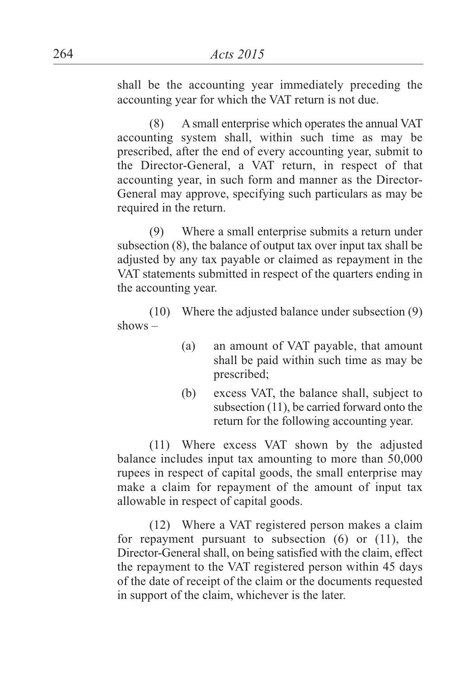shall be the accounting year immediately preceding the accounting year for which the VAT return is not due.

(8) A small enterprise which operates the annual VAT accounting system shall, within such time as may be prescribed, after the end of every accounting year, submit to the Director-General, a VAT return, in respect of that accounting year, in such form and manner as the Director-General may approve, specifying such particulars as may be required in the return.

(9) Where a small enterprise submits a return under subsection (8), the balance of output tax over input tax shall be adjusted by any tax payable or claimed as repayment in the VAT statements submitted in respect of the quarters ending in the accounting year.

(10) Where the adjusted balance under subsection (9) shows –

- (a) an amount of VAT payable, that amount shall be paid within such time as may be prescribed;
- (b) excess VAT, the balance shall, subject to subsection (11), be carried forward onto the return for the following accounting year.

(11) Where excess VAT shown by the adjusted balance includes input tax amounting to more than 50,000 rupees in respect of capital goods, the small enterprise may make a claim for repayment of the amount of input tax allowable in respect of capital goods.

(12) Where a VAT registered person makes a claim for repayment pursuant to subsection (6) or (11), the Director-General shall, on being satisfied with the claim, effect the repayment to the VAT registered person within 45 days of the date of receipt of the claim or the documents requested in support of the claim, whichever is the later.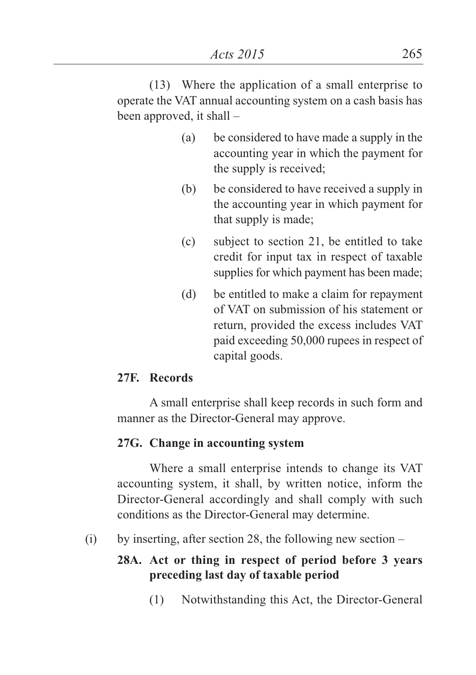(13) Where the application of a small enterprise to operate the VAT annual accounting system on a cash basis has been approved, it shall –

- (a) be considered to have made a supply in the accounting year in which the payment for the supply is received;
- (b) be considered to have received a supply in the accounting year in which payment for that supply is made;
- (c) subject to section 21, be entitled to take credit for input tax in respect of taxable supplies for which payment has been made;
- (d) be entitled to make a claim for repayment of VAT on submission of his statement or return, provided the excess includes VAT paid exceeding 50,000 rupees in respect of capital goods.

### **27F. Records**

A small enterprise shall keep records in such form and manner as the Director-General may approve.

# **27G. Change in accounting system**

Where a small enterprise intends to change its VAT accounting system, it shall, by written notice, inform the Director-General accordingly and shall comply with such conditions as the Director-General may determine.

(i) by inserting, after section 28, the following new section  $-$ 

# **28A. Act or thing in respect of period before 3 years preceding last day of taxable period**

(1) Notwithstanding this Act, the Director-General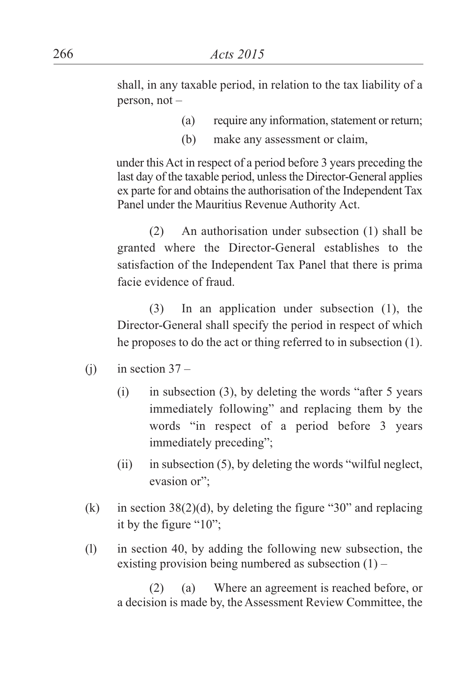shall, in any taxable period, in relation to the tax liability of a person, not –

- (a) require any information, statement or return;
- (b) make any assessment or claim,

under thisAct in respect of a period before 3 years preceding the last day of the taxable period, unless the Director-General applies ex parte for and obtains the authorisation of the Independent Tax Panel under the Mauritius Revenue Authority Act.

(2) An authorisation under subsection (1) shall be granted where the Director-General establishes to the satisfaction of the Independent Tax Panel that there is prima facie evidence of fraud.

(3) In an application under subsection (1), the Director-General shall specify the period in respect of which he proposes to do the act or thing referred to in subsection (1).

- (i) in section  $37 -$ 
	- (i) in subsection (3), by deleting the words "after 5 years immediately following" and replacing them by the words "in respect of a period before 3 years immediately preceding";
	- $(ii)$  in subsection  $(5)$ , by deleting the words "wilful neglect, evasion or";
- (k) in section  $38(2)(d)$ , by deleting the figure "30" and replacing it by the figure "10";
- (l) in section 40, by adding the following new subsection, the existing provision being numbered as subsection  $(1)$  –

(2) (a) Where an agreement is reached before, or a decision is made by, the Assessment Review Committee, the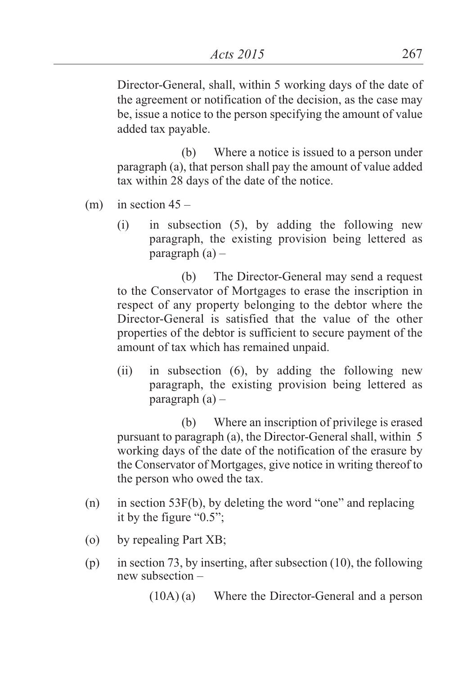Director-General, shall, within 5 working days of the date of the agreement or notification of the decision, as the case may be, issue a notice to the person specifying the amount of value added tax payable.

(b) Where a notice is issued to a person under paragraph (a), that person shall pay the amount of value added tax within 28 days of the date of the notice.

- (m) in section  $45 -$ 
	- (i) in subsection (5), by adding the following new paragraph, the existing provision being lettered as paragraph  $(a)$  –

(b) The Director-General may send a request to the Conservator of Mortgages to erase the inscription in respect of any property belonging to the debtor where the Director-General is satisfied that the value of the other properties of the debtor is sufficient to secure payment of the amount of tax which has remained unpaid.

(ii) in subsection (6), by adding the following new paragraph, the existing provision being lettered as paragraph  $(a)$  –

(b) Where an inscription of privilege is erased pursuant to paragraph (a), the Director-General shall, within 5 working days of the date of the notification of the erasure by the Conservator of Mortgages, give notice in writing thereof to the person who owed the tax.

- (n) in section 53F(b), by deleting the word "one" and replacing it by the figure "0.5";
- (o) by repealing Part XB;
- (p) in section 73, by inserting, after subsection (10), the following new subsection –

(10A) (a) Where the Director-General and a person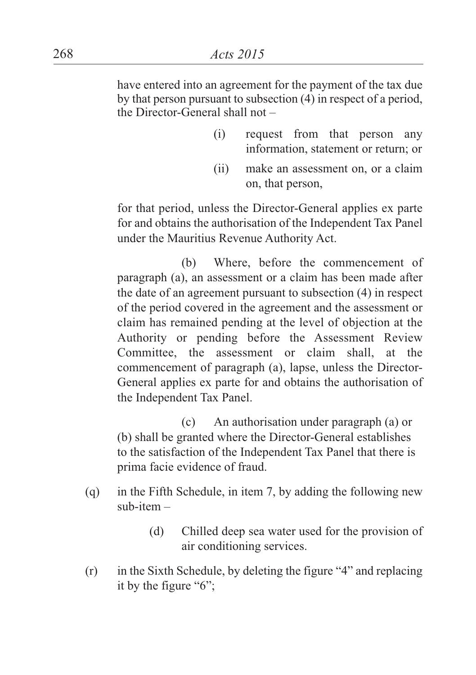have entered into an agreement for the payment of the tax due by that person pursuant to subsection (4) in respect of a period, the Director-General shall not –

- (i) request from that person any information, statement or return; or
- (ii) make an assessment on, or a claim on, that person,

for that period, unless the Director-General applies ex parte for and obtains the authorisation of the Independent Tax Panel under the Mauritius Revenue Authority Act.

(b) Where, before the commencement of paragraph (a), an assessment or a claim has been made after the date of an agreement pursuant to subsection (4) in respect of the period covered in the agreement and the assessment or claim has remained pending at the level of objection at the Authority or pending before the Assessment Review Committee, the assessment or claim shall, at the commencement of paragraph (a), lapse, unless the Director-General applies ex parte for and obtains the authorisation of the Independent Tax Panel.

(c) An authorisation under paragraph (a) or (b) shall be granted where the Director-General establishes to the satisfaction of the Independent Tax Panel that there is prima facie evidence of fraud.

- (q) in the Fifth Schedule, in item 7, by adding the following new  $sub-item -$ 
	- (d) Chilled deep sea water used for the provision of air conditioning services.
- (r) in the Sixth Schedule, by deleting the figure "4" and replacing it by the figure "6";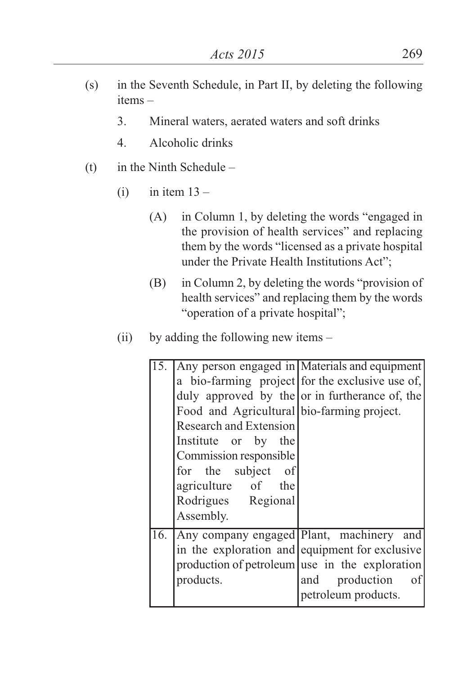- (s) in the Seventh Schedule, in Part II, by deleting the following items –
	- 3. Mineral waters, aerated waters and soft drinks
	- 4. Alcoholic drinks
- (t) in the Ninth Schedule
	- $(i)$  in item  $13 -$ 
		- (A) in Column 1, by deleting the words "engaged in the provision of health services" and replacing them by the words "licensed as a private hospital under the Private Health Institutions Act";
		- (B) in Column 2, by deleting the words "provision of health services" and replacing them by the words "operation of a private hospital";
	- (ii) by adding the following new items –

| $\overline{15}$ . |                                            | Any person engaged in Materials and equipment   |
|-------------------|--------------------------------------------|-------------------------------------------------|
|                   |                                            | a bio-farming project for the exclusive use of, |
|                   |                                            | duly approved by the or in furtherance of, the  |
|                   | Food and Agricultural bio-farming project. |                                                 |
|                   | Research and Extension                     |                                                 |
|                   | Institute or by the                        |                                                 |
|                   | Commission responsible                     |                                                 |
|                   | for the subject of                         |                                                 |
|                   | agriculture of the                         |                                                 |
|                   | Rodrigues Regional                         |                                                 |
|                   | Assembly.                                  |                                                 |
| 16.               |                                            | Any company engaged Plant, machinery and        |
|                   |                                            | in the exploration and equipment for exclusive  |
|                   |                                            | production of petroleum use in the exploration  |
|                   | products.                                  | production<br>and<br>of                         |
|                   |                                            | petroleum products.                             |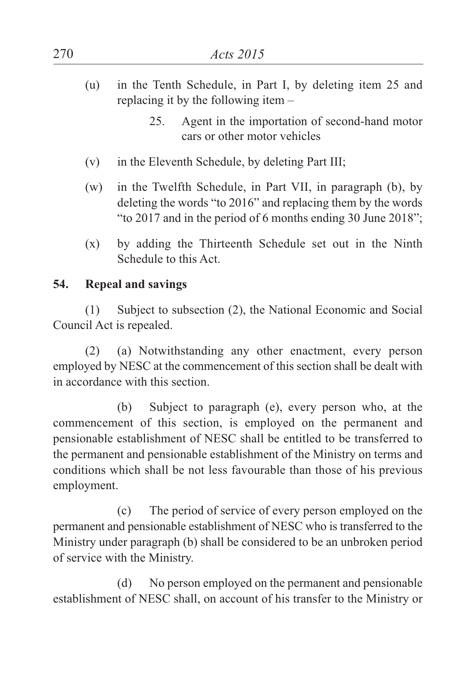- (u) in the Tenth Schedule, in Part I, by deleting item 25 and replacing it by the following item –
	- 25. Agent in the importation of second-hand motor cars or other motor vehicles
- (v) in the Eleventh Schedule, by deleting Part III;
- (w) in the Twelfth Schedule, in Part VII, in paragraph (b), by deleting the words "to 2016" and replacing them by the words "to 2017 and in the period of 6 months ending 30 June 2018";
- (x) by adding the Thirteenth Schedule set out in the Ninth Schedule to this Act.

## **54. Repeal and savings**

(1) Subject to subsection (2), the National Economic and Social Council Act is repealed.

(2) (a) Notwithstanding any other enactment, every person employed by NESC at the commencement of this section shall be dealt with in accordance with this section.

(b) Subject to paragraph (e), every person who, at the commencement of this section, is employed on the permanent and pensionable establishment of NESC shall be entitled to be transferred to the permanent and pensionable establishment of the Ministry on terms and conditions which shall be not less favourable than those of his previous employment.

(c) The period of service of every person employed on the permanent and pensionable establishment of NESC who is transferred to the Ministry under paragraph (b) shall be considered to be an unbroken period of service with the Ministry.

(d) No person employed on the permanent and pensionable establishment of NESC shall, on account of his transfer to the Ministry or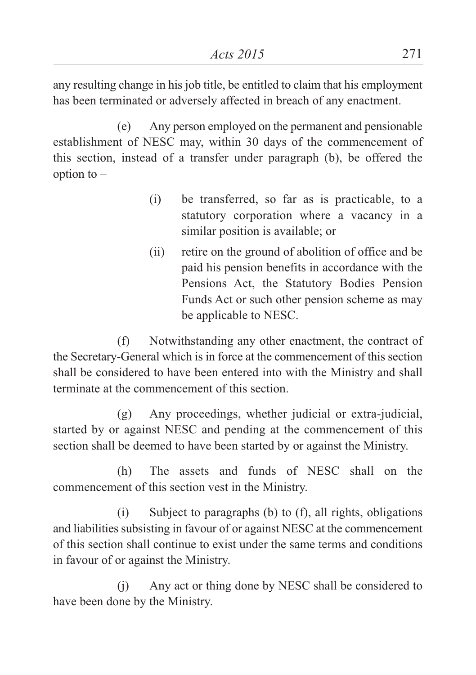any resulting change in his job title, be entitled to claim that his employment has been terminated or adversely affected in breach of any enactment.

(e) Any person employed on the permanent and pensionable establishment of NESC may, within 30 days of the commencement of this section, instead of a transfer under paragraph (b), be offered the option to  $-$ 

- (i) be transferred, so far as is practicable, to a statutory corporation where a vacancy in a similar position is available; or
- (ii) retire on the ground of abolition of office and be paid his pension benefits in accordance with the Pensions Act, the Statutory Bodies Pension Funds Act or such other pension scheme as may be applicable to NESC.

(f) Notwithstanding any other enactment, the contract of the Secretary-General which is in force at the commencement of this section shall be considered to have been entered into with the Ministry and shall terminate at the commencement of this section.

(g) Any proceedings, whether judicial or extra-judicial, started by or against NESC and pending at the commencement of this section shall be deemed to have been started by or against the Ministry.

(h) The assets and funds of NESC shall on the commencement of this section vest in the Ministry.

(i) Subject to paragraphs (b) to (f), all rights, obligations and liabilities subsisting in favour of or against NESC at the commencement of this section shall continue to exist under the same terms and conditions in favour of or against the Ministry.

(j) Any act or thing done by NESC shall be considered to have been done by the Ministry.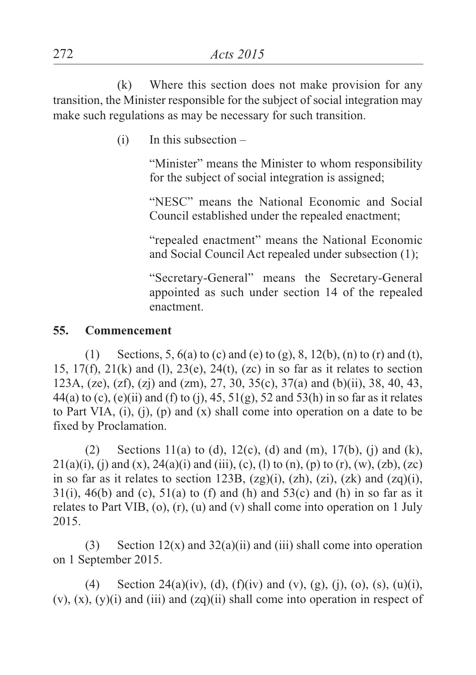(k) Where this section does not make provision for any transition, the Minister responsible for the subject of social integration may make such regulations as may be necessary for such transition.

 $(i)$  In this subsection –

"Minister" means the Minister to whom responsibility for the subject of social integration is assigned;

"NESC" means the National Economic and Social Council established under the repealed enactment;

"repealed enactment" means the National Economic and Social Council Act repealed under subsection (1);

"Secretary-General" means the Secretary-General appointed as such under section 14 of the repealed enactment.

#### **55. Commencement**

(1) Sections, 5,  $6(a)$  to (c) and (e) to (g), 8, 12(b), (n) to (r) and (t), 15,  $17(f)$ ,  $21(k)$  and (1),  $23(e)$ ,  $24(t)$ ,  $(zc)$  in so far as it relates to section 123A, (ze), (zf), (zj) and (zm), 27, 30, 35(c), 37(a) and (b)(ii), 38, 40, 43, 44(a) to (c), (e)(ii) and (f) to (j), 45,  $51(g)$ ,  $52$  and  $53(h)$  in so far as it relates to Part VIA,  $(i)$ ,  $(j)$ ,  $(p)$  and  $(x)$  shall come into operation on a date to be fixed by Proclamation.

(2) Sections 11(a) to (d), 12(c), (d) and (m), 17(b), (j) and (k),  $21(a)(i)$ , (i) and (x),  $24(a)(i)$  and (iii), (c), (l) to (n), (p) to (r), (w), (zb), (zc) in so far as it relates to section 123B,  $(2g)(i)$ ,  $(zh)$ ,  $(zi)$ ,  $(zk)$  and  $(zq)(i)$ ,  $31(i)$ ,  $46(b)$  and (c),  $51(a)$  to (f) and (h) and  $53(c)$  and (h) in so far as it relates to Part VIB, (o), (r), (u) and (v) shall come into operation on 1 July 2015.

(3) Section  $12(x)$  and  $32(a)(ii)$  and (iii) shall come into operation on 1 September 2015.

(4) Section 24(a)(iv), (d), (f)(iv) and (v), (g), (j), (o), (s), (u)(i),  $(v)$ ,  $(x)$ ,  $(y)(i)$  and  $(iii)$  and  $(zq)(ii)$  shall come into operation in respect of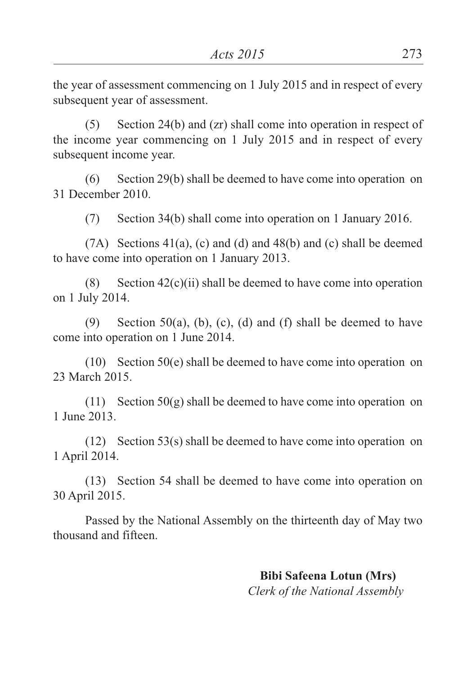the year of assessment commencing on 1 July 2015 and in respect of every subsequent year of assessment.

(5) Section 24(b) and (zr) shall come into operation in respect of the income year commencing on 1 July 2015 and in respect of every subsequent income year.

(6) Section 29(b) shall be deemed to have come into operation on 31 December 2010.

(7) Section 34(b) shall come into operation on 1 January 2016.

(7A) Sections 41(a), (c) and (d) and 48(b) and (c) shall be deemed to have come into operation on 1 January 2013.

(8) Section  $42(c)(ii)$  shall be deemed to have come into operation on 1 July 2014.

(9) Section 50(a), (b), (c), (d) and (f) shall be deemed to have come into operation on 1 June 2014.

(10) Section 50(e) shall be deemed to have come into operation on 23 March 2015.

(11) Section  $50(g)$  shall be deemed to have come into operation on 1 June 2013.

(12) Section 53(s) shall be deemed to have come into operation on 1 April 2014.

(13) Section 54 shall be deemed to have come into operation on 30 April 2015.

Passed by the National Assembly on the thirteenth day of May two thousand and fifteen.

> **Bibi Safeena Lotun (Mrs)** *Clerk of the National Assembly*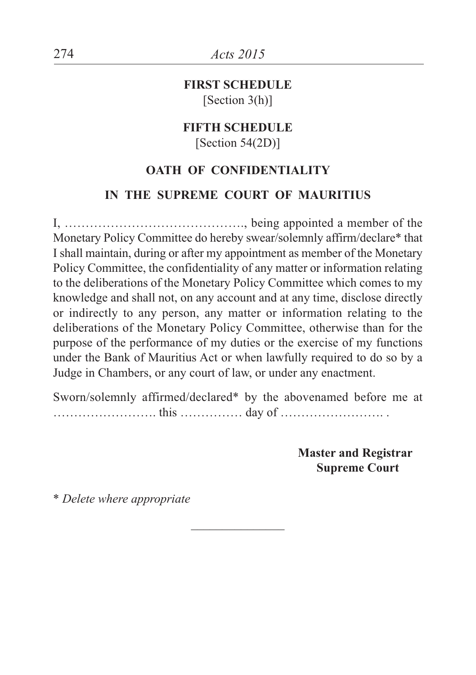**FIRST SCHEDULE** [Section 3(h)]

# **FIFTH SCHEDULE**

[Section 54(2D)]

### **OATH OF CONFIDENTIALITY**

#### **IN THE SUPREME COURT OF MAURITIUS**

I, ……………………………………., being appointed a member of the Monetary Policy Committee do hereby swear/solemnly affirm/declare\* that I shall maintain, during or after my appointment as member of the Monetary Policy Committee, the confidentiality of any matter or information relating to the deliberations of the Monetary Policy Committee which comes to my knowledge and shall not, on any account and at any time, disclose directly or indirectly to any person, any matter or information relating to the deliberations of the Monetary Policy Committee, otherwise than for the purpose of the performance of my duties or the exercise of my functions under the Bank of Mauritius Act or when lawfully required to do so by a Judge in Chambers, or any court of law, or under any enactment.

Sworn/solemnly affirmed/declared\* by the abovenamed before me at ……………………. this …………… day of ……………………. .

 $\overline{\phantom{a}}$  , where  $\overline{\phantom{a}}$ 

**Master and Registrar Supreme Court**

\* *Delete where appropriate*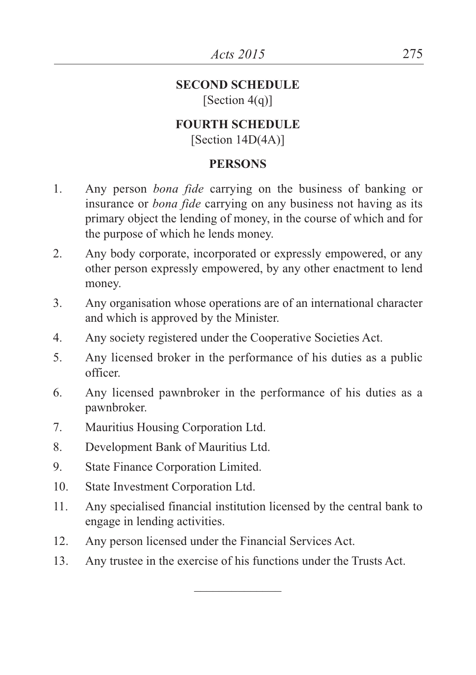#### **SECOND SCHEDULE** [Section 4(q)]

# **FOURTH SCHEDULE**

[Section 14D(4A)]

### **PERSONS**

- 1. Any person *bona fide* carrying on the business of banking or insurance or *bona fide* carrying on any business not having as its primary object the lending of money, in the course of which and for the purpose of which he lends money.
- 2. Any body corporate, incorporated or expressly empowered, or any other person expressly empowered, by any other enactment to lend money.
- 3. Any organisation whose operations are of an international character and which is approved by the Minister.
- 4. Any society registered under the Cooperative Societies Act.
- 5. Any licensed broker in the performance of his duties as a public officer.
- 6. Any licensed pawnbroker in the performance of his duties as a pawnbroker.
- 7. Mauritius Housing Corporation Ltd.
- 8. Development Bank of Mauritius Ltd.
- 9. State Finance Corporation Limited.
- 10. State Investment Corporation Ltd.
- 11. Any specialised financial institution licensed by the central bank to engage in lending activities.
- 12. Any person licensed under the Financial Services Act.
- 13. Any trustee in the exercise of his functions under the Trusts Act.

 $\overline{\phantom{a}}$  , where  $\overline{\phantom{a}}$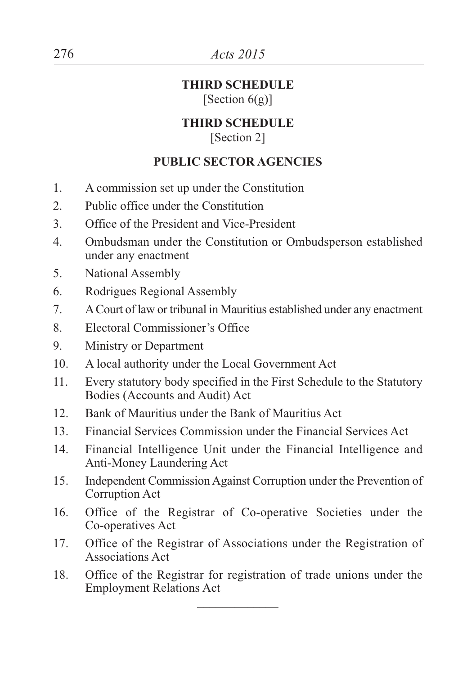### **THIRD SCHEDULE** [Section  $6(g)$ ]

# **THIRD SCHEDULE**

[Section 2]

# **PUBLIC SECTOR AGENCIES**

- 1. A commission set up under the Constitution
- 2. Public office under the Constitution
- 3. Office of the President and Vice-President
- 4. Ombudsman under the Constitution or Ombudsperson established under any enactment
- 5. National Assembly
- 6. Rodrigues Regional Assembly
- 7. ACourt of law or tribunal in Mauritius established under any enactment
- 8. Electoral Commissioner's Office
- 9. Ministry or Department
- 10. A local authority under the Local Government Act
- 11. Every statutory body specified in the First Schedule to the Statutory Bodies (Accounts and Audit) Act
- 12. Bank of Mauritius under the Bank of Mauritius Act
- 13. Financial Services Commission under the Financial Services Act
- 14. Financial Intelligence Unit under the Financial Intelligence and Anti-Money Laundering Act
- 15. Independent Commission Against Corruption under the Prevention of Corruption Act
- 16. Office of the Registrar of Co-operative Societies under the Co-operatives Act
- 17. Office of the Registrar of Associations under the Registration of Associations Act
- 18. Office of the Registrar for registration of trade unions under the Employment Relations Act  $\overline{\phantom{a}}$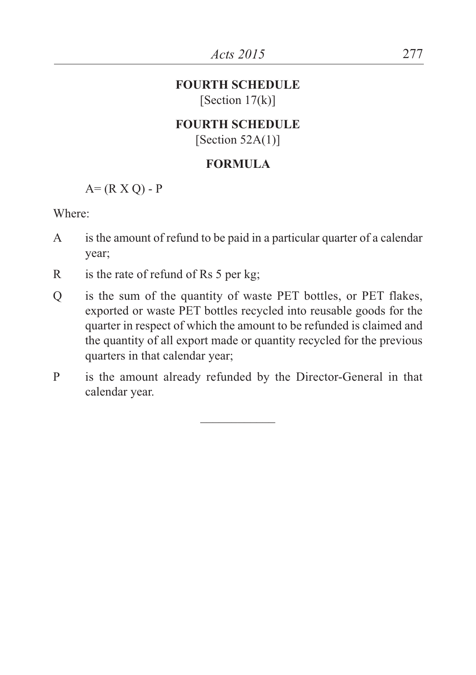### **FOURTH SCHEDULE**  $[Section 17(k)]$

# **FOURTH SCHEDULE**

[Section  $52A(1)$ ]

# **FORMULA**

 $A=(R X O) - P$ 

Where:

- A is the amount of refund to be paid in a particular quarter of a calendar year;
- R is the rate of refund of Rs 5 per kg:
- Q is the sum of the quantity of waste PET bottles, or PET flakes, exported or waste PET bottles recycled into reusable goods for the quarter in respect of which the amount to be refunded is claimed and the quantity of all export made or quantity recycled for the previous quarters in that calendar year;
- P is the amount already refunded by the Director-General in that calendar year.

 $\overline{\phantom{a}}$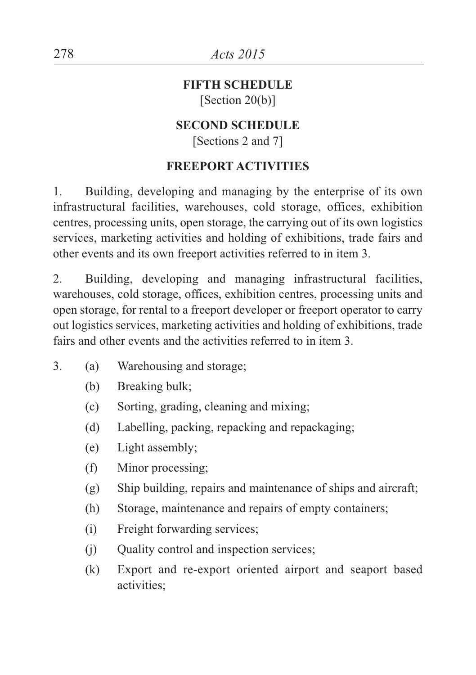### **FIFTH SCHEDULE** [Section 20(b)]

# **SECOND SCHEDULE**

[Sections 2 and 7]

## **FREEPORT ACTIVITIES**

1. Building, developing and managing by the enterprise of its own infrastructural facilities, warehouses, cold storage, offices, exhibition centres, processing units, open storage, the carrying out of its own logistics services, marketing activities and holding of exhibitions, trade fairs and other events and its own freeport activities referred to in item 3.

2. Building, developing and managing infrastructural facilities, warehouses, cold storage, offices, exhibition centres, processing units and open storage, for rental to a freeport developer or freeport operator to carry out logistics services, marketing activities and holding of exhibitions, trade fairs and other events and the activities referred to in item 3.

- 3. (a) Warehousing and storage;
	- (b) Breaking bulk;
	- (c) Sorting, grading, cleaning and mixing;
	- (d) Labelling, packing, repacking and repackaging;
	- (e) Light assembly;
	- (f) Minor processing;
	- (g) Ship building, repairs and maintenance of ships and aircraft;
	- (h) Storage, maintenance and repairs of empty containers;
	- (i) Freight forwarding services;
	- (j) Quality control and inspection services;
	- (k) Export and re-export oriented airport and seaport based activities;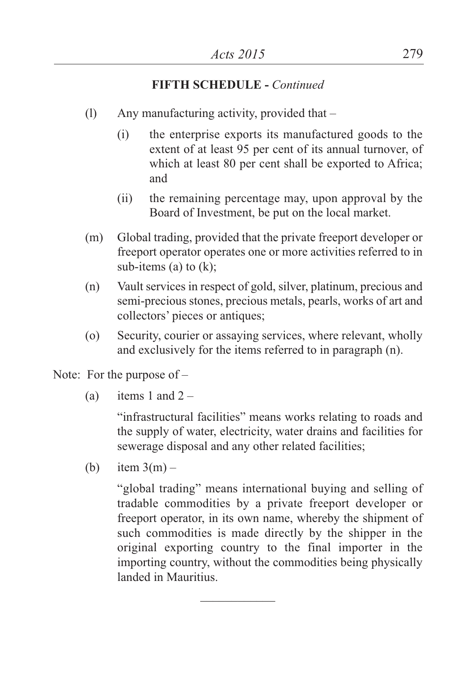## **FIFTH SCHEDULE -** *Continued*

- (l) Any manufacturing activity, provided that
	- (i) the enterprise exports its manufactured goods to the extent of at least 95 per cent of its annual turnover, of which at least 80 per cent shall be exported to Africa; and
	- (ii) the remaining percentage may, upon approval by the Board of Investment, be put on the local market.
- (m) Global trading, provided that the private freeport developer or freeport operator operates one or more activities referred to in sub-items (a) to (k);
- (n) Vault services in respect of gold, silver, platinum, precious and semi-precious stones, precious metals, pearls, works of art and collectors' pieces or antiques;
- (o) Security, courier or assaying services, where relevant, wholly and exclusively for the items referred to in paragraph (n).

Note: For the purpose of –

(a) items 1 and  $2 -$ 

"infrastructural facilities" means works relating to roads and the supply of water, electricity, water drains and facilities for sewerage disposal and any other related facilities;

(b) item  $3(m)$  –

"global trading" means international buying and selling of tradable commodities by a private freeport developer or freeport operator, in its own name, whereby the shipment of such commodities is made directly by the shipper in the original exporting country to the final importer in the importing country, without the commodities being physically landed in Mauritius.

 $\frac{1}{2}$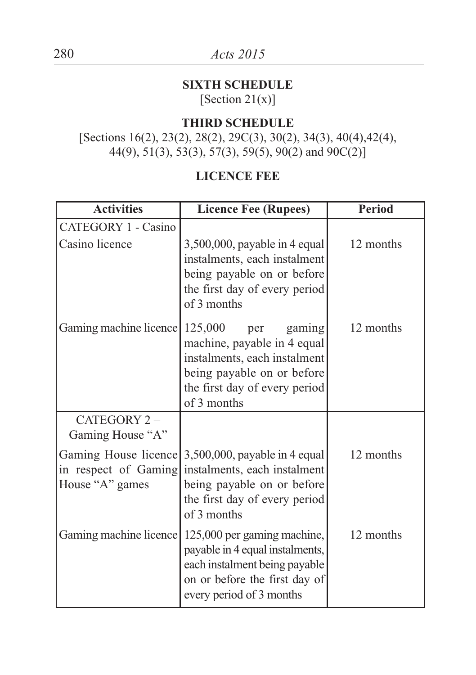# 280 *Acts 2015*

# **SIXTH SCHEDULE**

[Section  $21(x)$ ]

# **THIRD SCHEDULE**

[Sections 16(2), 23(2), 28(2), 29C(3), 30(2), 34(3), 40(4), 42(4), 44(9), 51(3), 53(3), 57(3), 59(5), 90(2) and 90C(2)]

# **LICENCE FEE**

| <b>Activities</b>                                               | <b>Licence Fee (Rupees)</b>                                                                                                                                           | <b>Period</b> |
|-----------------------------------------------------------------|-----------------------------------------------------------------------------------------------------------------------------------------------------------------------|---------------|
| CATEGORY 1 - Casino                                             |                                                                                                                                                                       |               |
| Casino licence                                                  | 3,500,000, payable in 4 equal<br>instalments, each instalment<br>being payable on or before<br>the first day of every period<br>of 3 months                           | 12 months     |
| Gaming machine licence                                          | 125,000<br>gaming<br>per<br>machine, payable in 4 equal<br>instalments, each instalment<br>being payable on or before<br>the first day of every period<br>of 3 months | 12 months     |
| CATEGORY 2-<br>Gaming House "A"                                 |                                                                                                                                                                       |               |
| Gaming House licence<br>in respect of Gaming<br>House "A" games | 3,500,000, payable in 4 equal<br>instalments, each instalment<br>being payable on or before<br>the first day of every period<br>of 3 months                           | 12 months     |
| Gaming machine licence                                          | 125,000 per gaming machine,<br>payable in 4 equal instalments,<br>each instalment being payable<br>on or before the first day of<br>every period of 3 months          | 12 months     |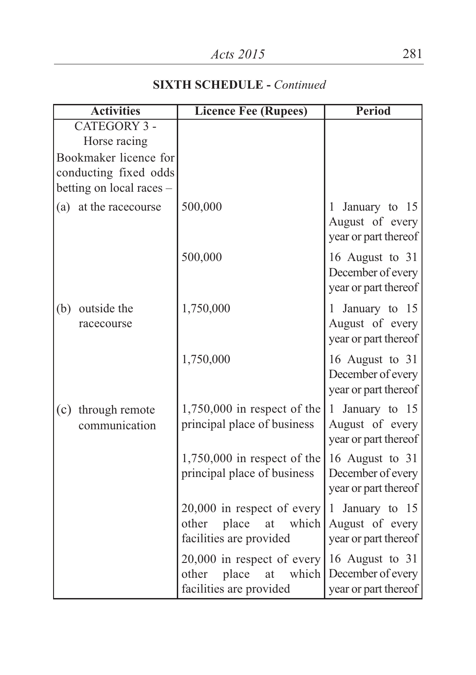# **SIXTH SCHEDULE -** *Continued*

| <b>Activities</b>                | <b>Licence Fee (Rupees)</b>                                                              | <b>Period</b>                                                 |
|----------------------------------|------------------------------------------------------------------------------------------|---------------------------------------------------------------|
| <b>CATEGORY 3 -</b>              |                                                                                          |                                                               |
| Horse racing                     |                                                                                          |                                                               |
| Bookmaker licence for            |                                                                                          |                                                               |
| conducting fixed odds            |                                                                                          |                                                               |
| betting on local races -         |                                                                                          |                                                               |
| (a) at the racecourse            | 500,000                                                                                  | January to 15<br>1<br>August of every<br>year or part thereof |
|                                  | 500,000                                                                                  | 16 August to 31<br>December of every<br>year or part thereof  |
| outside the<br>(b)<br>racecourse | 1,750,000                                                                                | 1 January to 15<br>August of every<br>year or part thereof    |
|                                  | 1,750,000                                                                                | 16 August to 31<br>December of every<br>year or part thereof  |
| through remote<br>(c)            | $1,750,000$ in respect of the                                                            | 1 January to 15                                               |
| communication                    | principal place of business                                                              | August of every<br>year or part thereof                       |
|                                  | $1,750,000$ in respect of the                                                            | 16 August to 31                                               |
|                                  | principal place of business                                                              | December of every<br>year or part thereof                     |
|                                  | $20,000$ in respect of every<br>other<br>place<br>which<br>at<br>facilities are provided | 1 January to 15<br>August of every<br>year or part thereof    |
|                                  | $20,000$ in respect of every<br>place<br>other<br>which<br>at<br>facilities are provided | 16 August to 31<br>December of every<br>year or part thereof  |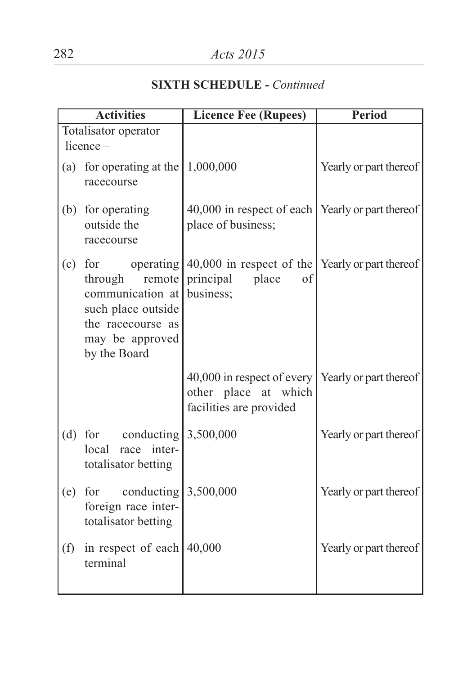# **SIXTH SCHEDULE -** *Continued*

| <b>Activities</b> |                                                                                                                                  | <b>Licence Fee (Rupees)</b>                                                                                        | Period                 |
|-------------------|----------------------------------------------------------------------------------------------------------------------------------|--------------------------------------------------------------------------------------------------------------------|------------------------|
|                   | Totalisator operator                                                                                                             |                                                                                                                    |                        |
|                   | $licence -$                                                                                                                      |                                                                                                                    |                        |
|                   | (a) for operating at the<br>racecourse                                                                                           | 1,000,000                                                                                                          | Yearly or part thereof |
|                   | (b) for operating<br>outside the<br>racecourse                                                                                   | 40,000 in respect of each   Yearly or part thereof<br>place of business;                                           |                        |
|                   | $(c)$ for<br>remote<br>through<br>communication at<br>such place outside<br>the racecourse as<br>may be approved<br>by the Board | operating $\vert 40,000 \rangle$ in respect of the Yearly or part thereof<br>principal<br>place<br>of<br>business; |                        |
|                   |                                                                                                                                  | 40,000 in respect of every<br>other place at which<br>facilities are provided                                      | Yearly or part thereof |
|                   | (d) for conducting $3,500,000$<br>local<br>race inter-<br>totalisator betting                                                    |                                                                                                                    | Yearly or part thereof |
| (e)               | for conducting<br>foreign race inter-<br>totalisator betting                                                                     | 3,500,000                                                                                                          | Yearly or part thereof |
| (f)               | in respect of each<br>terminal                                                                                                   | 40,000                                                                                                             | Yearly or part thereof |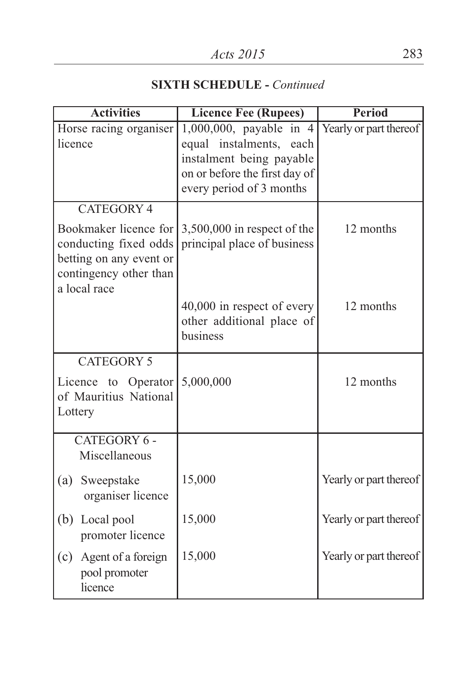| <b>Activities</b>                                                                                   | <b>Licence Fee (Rupees)</b>                                                                                                                 | <b>Period</b>          |  |
|-----------------------------------------------------------------------------------------------------|---------------------------------------------------------------------------------------------------------------------------------------------|------------------------|--|
| Horse racing organiser<br>licence                                                                   | 1,000,000, payable in 4<br>equal instalments, each<br>instalment being payable<br>on or before the first day of<br>every period of 3 months | Yearly or part thereof |  |
| <b>CATEGORY 4</b>                                                                                   |                                                                                                                                             |                        |  |
| Bookmaker licence for<br>conducting fixed odds<br>betting on any event or<br>contingency other than | $3,500,000$ in respect of the<br>principal place of business                                                                                | 12 months              |  |
| a local race                                                                                        | 40,000 in respect of every<br>other additional place of<br>business                                                                         | 12 months              |  |
| <b>CATEGORY 5</b><br>Licence to Operator<br>of Mauritius National<br>Lottery                        | 5,000,000                                                                                                                                   | 12 months              |  |
| CATEGORY 6 -<br>Miscellaneous                                                                       |                                                                                                                                             |                        |  |
| (a)<br>Sweepstake<br>organiser licence                                                              | 15,000                                                                                                                                      | Yearly or part thereof |  |
| (b) Local pool<br>promoter licence                                                                  | 15,000                                                                                                                                      | Yearly or part thereof |  |
| (c)<br>Agent of a foreign<br>pool promoter<br>licence                                               | 15,000                                                                                                                                      | Yearly or part thereof |  |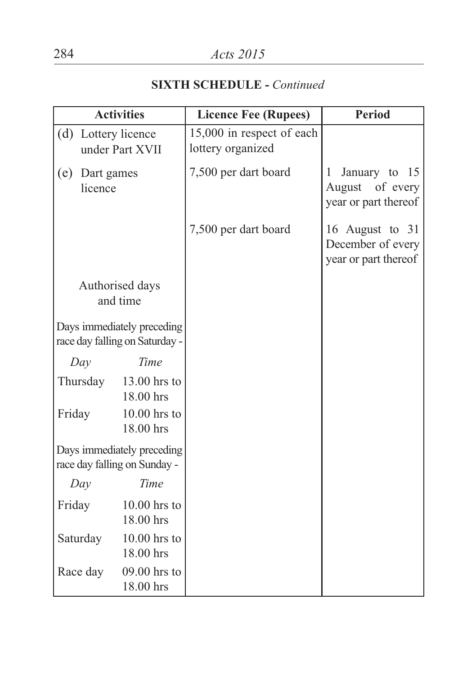|                              | <b>Activities</b>                                            | <b>Licence Fee (Rupees)</b>                    | <b>Period</b>                                                 |
|------------------------------|--------------------------------------------------------------|------------------------------------------------|---------------------------------------------------------------|
| (d)                          | Lottery licence<br>under Part XVII                           | 15,000 in respect of each<br>lottery organized |                                                               |
| (e)<br>Dart games<br>licence |                                                              | 7,500 per dart board                           | January to 15<br>1<br>August of every<br>year or part thereof |
|                              |                                                              | 7,500 per dart board                           | 16 August to 31<br>December of every<br>year or part thereof  |
|                              | Authorised days<br>and time                                  |                                                |                                                               |
|                              | Days immediately preceding<br>race day falling on Saturday - |                                                |                                                               |
| Day                          | Time                                                         |                                                |                                                               |
| Thursday                     | 13.00 hrs to<br>18.00 hrs                                    |                                                |                                                               |
| Friday                       | $10.00$ hrs to<br>18.00 hrs                                  |                                                |                                                               |
|                              | Days immediately preceding<br>race day falling on Sunday -   |                                                |                                                               |
| Day                          | Time                                                         |                                                |                                                               |
| Friday                       | $10.00$ hrs to<br>18.00 hrs                                  |                                                |                                                               |
| Saturday                     | $10.00$ hrs to<br>18.00 hrs                                  |                                                |                                                               |
| Race day                     | 09.00 hrs to<br>18.00 hrs                                    |                                                |                                                               |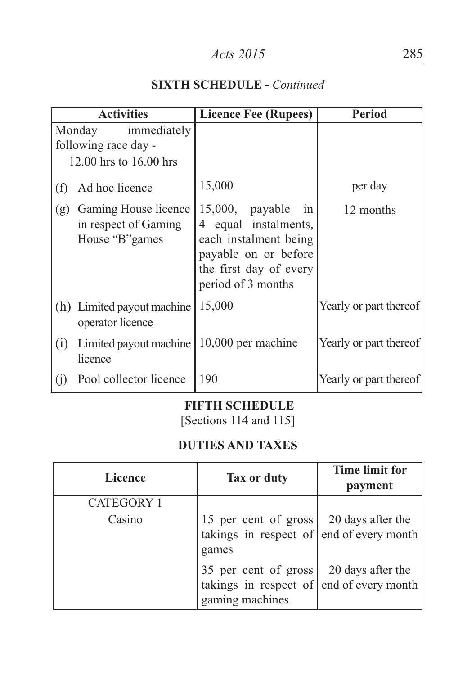|     | <b>Activities</b>                                                       | <b>Licence Fee (Rupees)</b>                                                                                                                       | <b>Period</b>          |
|-----|-------------------------------------------------------------------------|---------------------------------------------------------------------------------------------------------------------------------------------------|------------------------|
|     | immediately<br>Monday<br>following race day -<br>12.00 hrs to 16.00 hrs |                                                                                                                                                   |                        |
| (f) | Ad hoc licence                                                          | 15,000                                                                                                                                            | per day                |
| (g) | Gaming House licence<br>in respect of Gaming<br>House "B" games         | $15,000$ , payable<br>in<br>4 equal instalments,<br>each instalment being<br>payable on or before<br>the first day of every<br>period of 3 months | 12 months              |
|     | (h) Limited payout machine<br>operator licence                          | 15,000                                                                                                                                            | Yearly or part thereof |
| (i) | Limited payout machine<br>licence                                       | 10,000 per machine                                                                                                                                | Yearly or part thereof |
| (j) | Pool collector licence                                                  | 190                                                                                                                                               | Yearly or part thereof |

#### **FIFTH SCHEDULE**

[Sections 114 and 115]

## **DUTIES AND TAXES**

| Licence           | Tax or duty                                                                                                                    | <b>Time limit for</b><br>payment |
|-------------------|--------------------------------------------------------------------------------------------------------------------------------|----------------------------------|
| <b>CATEGORY 1</b> |                                                                                                                                |                                  |
| Casino            | 15 per cent of gross<br>takings in respect of $ $ end of every month<br>games                                                  | 20 days after the                |
|                   | 35 per cent of gross $\begin{vmatrix} 20 \text{ days after the} \\ \text{end of every month} \end{vmatrix}$<br>gaming machines |                                  |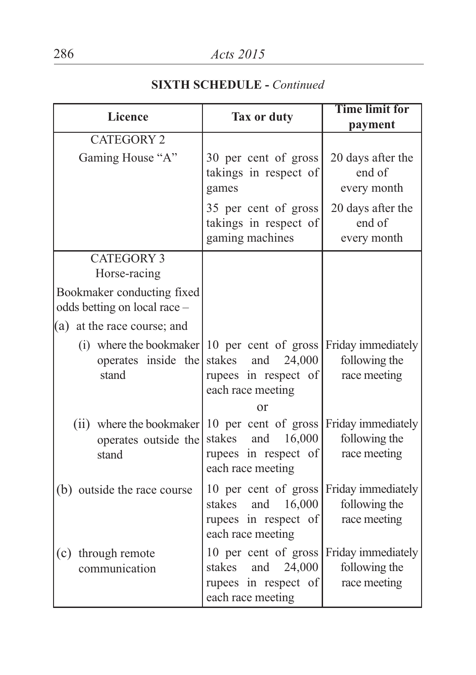| <b>Licence</b>                                                                                    | Tax or duty                                                                                                     | <b>Time limit for</b><br>payment                    |
|---------------------------------------------------------------------------------------------------|-----------------------------------------------------------------------------------------------------------------|-----------------------------------------------------|
| <b>CATEGORY 2</b>                                                                                 |                                                                                                                 |                                                     |
| Gaming House "A"                                                                                  | 30 per cent of gross<br>takings in respect of<br>games                                                          | 20 days after the<br>end of<br>every month          |
|                                                                                                   | 35 per cent of gross<br>takings in respect of<br>gaming machines                                                | 20 days after the<br>end of<br>every month          |
| CATEGORY 3<br>Horse-racing                                                                        |                                                                                                                 |                                                     |
| Bookmaker conducting fixed<br>odds betting on local race -                                        |                                                                                                                 |                                                     |
| (a) at the race course; and                                                                       |                                                                                                                 |                                                     |
| (i) where the bookmaker $ 10 \text{ per cent of gross} $<br>operates inside the<br>stand          | stakes<br>and<br>24,000<br>rupees in respect of<br>each race meeting<br>or                                      | Friday immediately<br>following the<br>race meeting |
| (ii) where the bookmaker 10 per cent of gross Friday immediately<br>operates outside the<br>stand | and<br>16,000<br>stakes<br>rupees in respect of<br>each race meeting                                            | following the<br>race meeting                       |
| (b) outside the race course                                                                       | 10 per cent of gross<br>and<br>16,000<br>stakes<br>rupees in respect of<br>each race meeting                    | Friday immediately<br>following the<br>race meeting |
| through remote<br>(c)<br>communication                                                            | 10 per cent of gross Friday immediately<br>24,000<br>stakes<br>and<br>rupees in respect of<br>each race meeting | following the<br>race meeting                       |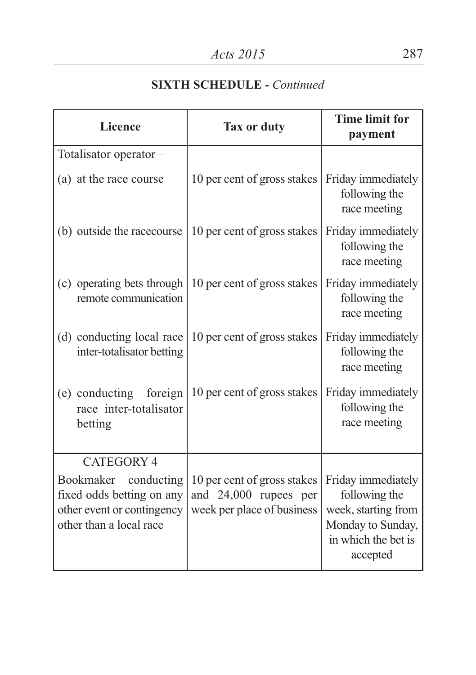| <b>Licence</b>                                                                                                                     | Tax or duty                                                                        | <b>Time limit for</b><br>payment                                                                                   |  |
|------------------------------------------------------------------------------------------------------------------------------------|------------------------------------------------------------------------------------|--------------------------------------------------------------------------------------------------------------------|--|
| Totalisator operator-                                                                                                              |                                                                                    |                                                                                                                    |  |
| (a) at the race course                                                                                                             | 10 per cent of gross stakes                                                        | Friday immediately<br>following the<br>race meeting                                                                |  |
| (b) outside the racecourse                                                                                                         | 10 per cent of gross stakes                                                        | Friday immediately<br>following the<br>race meeting                                                                |  |
| (c) operating bets through<br>remote communication                                                                                 | 10 per cent of gross stakes                                                        | Friday immediately<br>following the<br>race meeting                                                                |  |
| (d) conducting local race<br>inter-totalisator betting                                                                             | 10 per cent of gross stakes                                                        | Friday immediately<br>following the<br>race meeting                                                                |  |
| (e) conducting<br>foreign<br>race inter-totalisator<br>betting                                                                     | 10 per cent of gross stakes                                                        | Friday immediately<br>following the<br>race meeting                                                                |  |
| <b>CATEGORY 4</b><br>Bookmaker<br>conducting<br>fixed odds betting on any<br>other event or contingency<br>other than a local race | 10 per cent of gross stakes<br>and 24,000 rupees per<br>week per place of business | Friday immediately<br>following the<br>week, starting from<br>Monday to Sunday,<br>in which the bet is<br>accepted |  |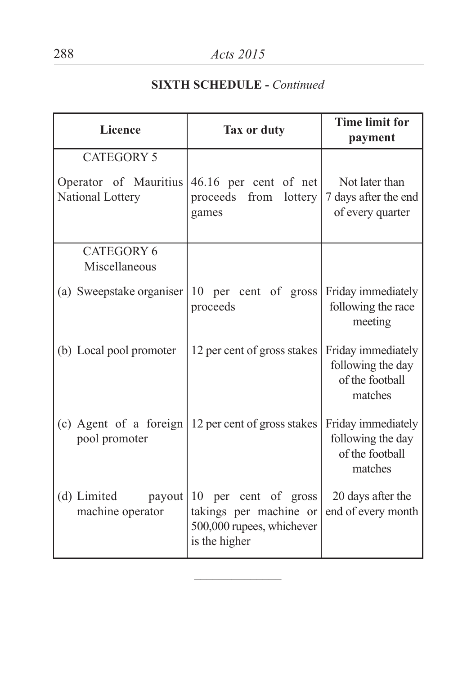| <b>Licence</b>                                                 | Tax or duty                                                                                  | <b>Time limit for</b><br>payment                                      |
|----------------------------------------------------------------|----------------------------------------------------------------------------------------------|-----------------------------------------------------------------------|
| <b>CATEGORY 5</b><br>Operator of Mauritius<br>National Lottery | 46.16 per cent of net<br>proceeds<br>from<br>lottery<br>games                                | Not later than<br>7 days after the end<br>of every quarter            |
| <b>CATEGORY 6</b><br>Miscellaneous                             |                                                                                              |                                                                       |
| (a) Sweepstake organiser                                       | 10 per cent of gross<br>proceeds                                                             | Friday immediately<br>following the race<br>meeting                   |
| (b) Local pool promoter                                        | 12 per cent of gross stakes                                                                  | Friday immediately<br>following the day<br>of the football<br>matches |
| (c) Agent of a foreign<br>pool promoter                        | 12 per cent of gross stakes                                                                  | Friday immediately<br>following the day<br>of the football<br>matches |
| (d) Limited<br>payout<br>machine operator                      | 10 per cent of gross<br>takings per machine or<br>500,000 rupees, whichever<br>is the higher | 20 days after the<br>end of every month                               |

 $\overline{\phantom{a}}$  , where  $\overline{\phantom{a}}$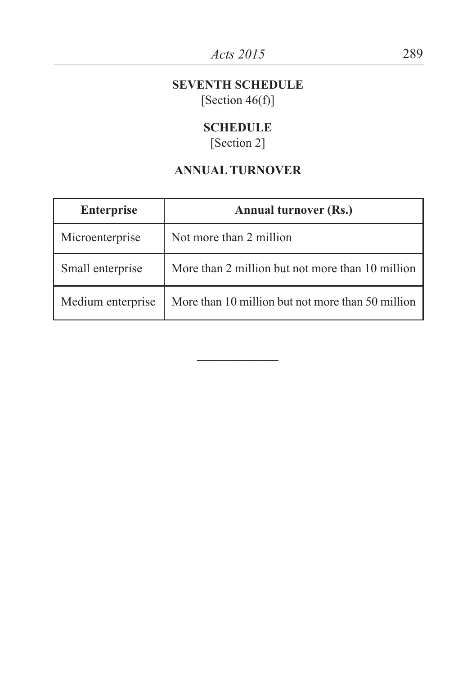#### **SEVENTH SCHEDULE** [Section  $46(f)$ ]

### **SCHEDULE**

[Section 2]

## **ANNUAL TURNOVER**

| <b>Enterprise</b> | <b>Annual turnover (Rs.)</b>                      |
|-------------------|---------------------------------------------------|
| Microenterprise   | Not more than 2 million                           |
| Small enterprise  | More than 2 million but not more than 10 million  |
| Medium enterprise | More than 10 million but not more than 50 million |

**\_\_\_\_\_\_\_\_\_\_\_\_\_**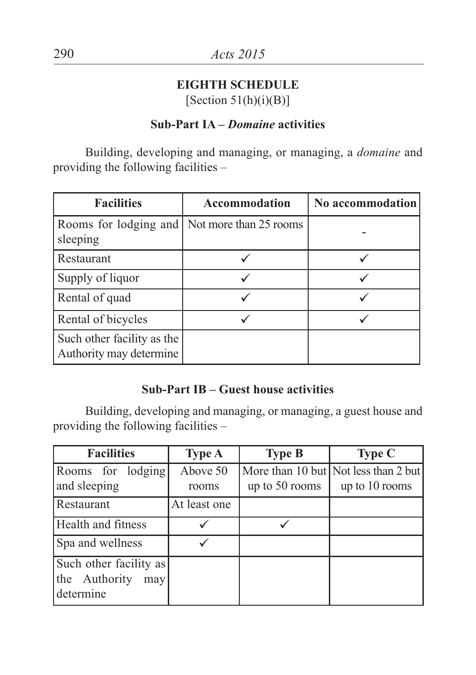#### **EIGHTH SCHEDULE** [Section  $51(h)(i)(B)$ ]

#### **Sub-Part IA –** *Domaine* **activities**

Building, developing and managing, or managing, a *domaine* and providing the following facilities –

| <b>Facilities</b>                                          | Accommodation | No accommodation |
|------------------------------------------------------------|---------------|------------------|
| Rooms for lodging and   Not more than 25 rooms<br>sleeping |               |                  |
| Restaurant                                                 |               |                  |
| Supply of liquor                                           |               |                  |
| Rental of quad                                             |               |                  |
| Rental of bicycles                                         |               |                  |
| Such other facility as the<br>Authority may determine      |               |                  |

### **Sub-Part IB – Guest house activities**

Building, developing and managing, or managing, a guest house and providing the following facilities –

| <b>Facilities</b>                                           | <b>Type A</b>     | <b>Type B</b>  | <b>Type C</b>                                          |
|-------------------------------------------------------------|-------------------|----------------|--------------------------------------------------------|
| Rooms for lodging<br>and sleeping                           | Above 50<br>rooms | up to 50 rooms | More than 10 but Not less than 2 but<br>up to 10 rooms |
| Restaurant                                                  | At least one      |                |                                                        |
| Health and fitness                                          |                   |                |                                                        |
| Spa and wellness                                            |                   |                |                                                        |
| Such other facility as<br>the Authority<br>may<br>determine |                   |                |                                                        |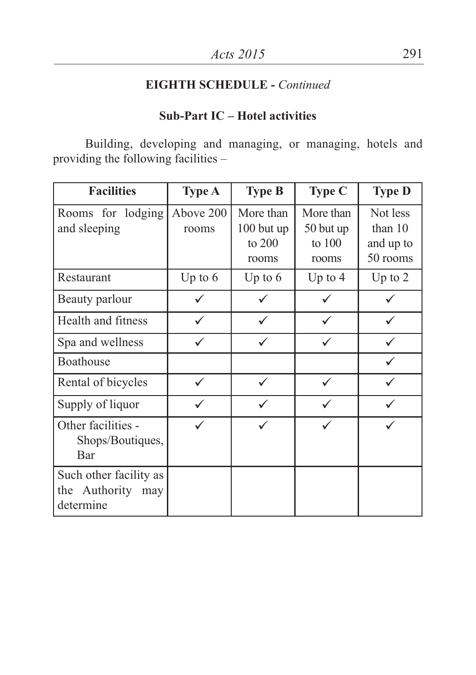### **Sub-Part IC – Hotel activities**

Building, developing and managing, or managing, hotels and providing the following facilities –

| <b>Facilities</b>                                           | <b>Type A</b>      | <b>Type B</b>                              | Type C                                    | <b>Type D</b>                                  |
|-------------------------------------------------------------|--------------------|--------------------------------------------|-------------------------------------------|------------------------------------------------|
| Rooms for lodging<br>and sleeping                           | Above 200<br>rooms | More than<br>100 but up<br>to 200<br>rooms | More than<br>50 but up<br>to 100<br>rooms | Not less<br>than $10$<br>and up to<br>50 rooms |
| Restaurant                                                  | Up to $6$          | Up to $6$                                  | Up to $4$                                 | Up to $2$                                      |
| Beauty parlour                                              |                    |                                            |                                           |                                                |
| Health and fitness                                          |                    |                                            |                                           |                                                |
| Spa and wellness                                            |                    |                                            |                                           |                                                |
| Boathouse                                                   |                    |                                            |                                           |                                                |
| Rental of bicycles                                          |                    |                                            |                                           |                                                |
| Supply of liquor                                            |                    |                                            |                                           |                                                |
| Other facilities -<br>Shops/Boutiques,<br>Bar               |                    |                                            |                                           |                                                |
| Such other facility as<br>the Authority<br>may<br>determine |                    |                                            |                                           |                                                |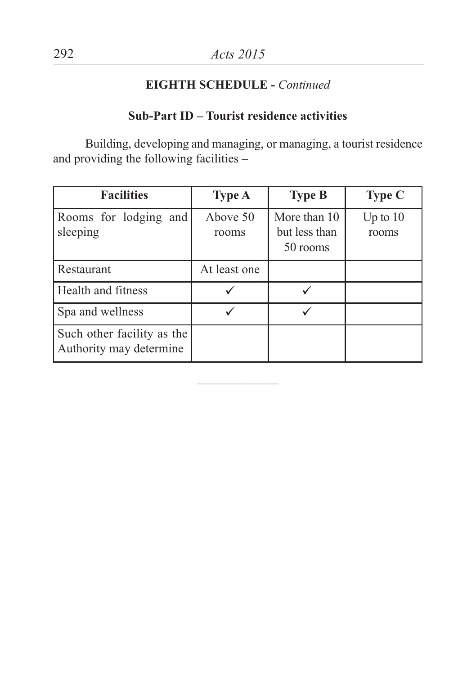### **Sub-Part ID – Tourist residence activities**

Building, developing and managing, or managing, a tourist residence and providing the following facilities –

| <b>Facilities</b>                                     | <b>Type A</b>     | <b>Type B</b>                             | <b>Type C</b>       |
|-------------------------------------------------------|-------------------|-------------------------------------------|---------------------|
| Rooms for lodging and<br>sleeping                     | Above 50<br>rooms | More than 10<br>but less than<br>50 rooms | Up to $10$<br>rooms |
| <b>Restaurant</b>                                     | At least one      |                                           |                     |
| <b>Health</b> and fitness                             |                   |                                           |                     |
| Spa and wellness                                      |                   |                                           |                     |
| Such other facility as the<br>Authority may determine |                   |                                           |                     |

 $\overline{\phantom{a}}$  , where  $\overline{\phantom{a}}$